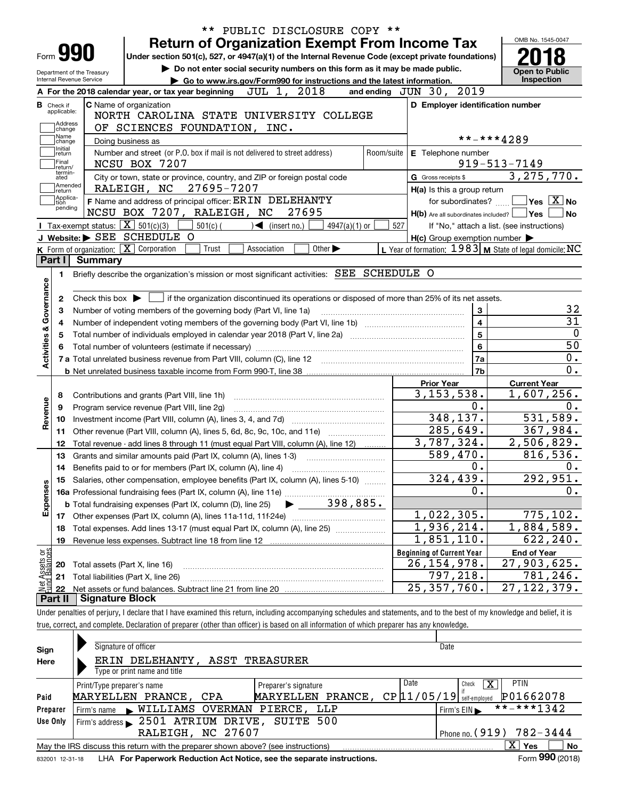|                                 |                             |                            | PUBLIC DISCLOSURE COPY **<br>$***$                                                                                                                                         |                                                           |                                                              |
|---------------------------------|-----------------------------|----------------------------|----------------------------------------------------------------------------------------------------------------------------------------------------------------------------|-----------------------------------------------------------|--------------------------------------------------------------|
|                                 |                             |                            | <b>Return of Organization Exempt From Income Tax</b>                                                                                                                       |                                                           | OMB No. 1545-0047                                            |
| Form <b>990</b>                 |                             |                            | Under section 501(c), 527, or 4947(a)(1) of the Internal Revenue Code (except private foundations)                                                                         |                                                           |                                                              |
|                                 |                             | Department of the Treasury | Do not enter social security numbers on this form as it may be made public.                                                                                                |                                                           | <b>Open to Public</b>                                        |
| Internal Revenue Service        |                             |                            | Go to www.irs.gov/Form990 for instructions and the latest information.                                                                                                     |                                                           | Inspection                                                   |
|                                 |                             |                            | JUL 1, 2018<br>A For the 2018 calendar year, or tax year beginning                                                                                                         | and ending JUN 30, 2019                                   |                                                              |
| <b>B</b> Check if               | applicable:                 |                            | C Name of organization                                                                                                                                                     | D Employer identification number                          |                                                              |
|                                 | Address                     |                            | NORTH CAROLINA STATE UNIVERSITY COLLEGE                                                                                                                                    |                                                           |                                                              |
|                                 | change<br>Name              |                            | OF SCIENCES FOUNDATION, INC.                                                                                                                                               |                                                           |                                                              |
|                                 | change<br>Initial           |                            | Doing business as                                                                                                                                                          |                                                           | **-***4289                                                   |
|                                 | return                      |                            | Number and street (or P.O. box if mail is not delivered to street address)<br>Room/suite                                                                                   | E Telephone number                                        |                                                              |
|                                 | Final<br>return/<br>termin- |                            | NCSU BOX 7207                                                                                                                                                              |                                                           | $919 - 513 - 7149$                                           |
|                                 | ated<br>Amended             |                            | City or town, state or province, country, and ZIP or foreign postal code                                                                                                   | G Gross receipts \$                                       | 3, 275, 770.                                                 |
|                                 | return<br>Applica-          |                            | RALEIGH, NC<br>27695-7207                                                                                                                                                  | H(a) Is this a group return                               |                                                              |
| tion                            | pending                     |                            | F Name and address of principal officer: ERIN DELEHANTY                                                                                                                    | for subordinates?                                         | $\blacksquare$ Yes $\lceil$ $\overline{\mathrm{X}}\rceil$ No |
|                                 |                             |                            | NCSU BOX 7207, RALEIGH, NC<br>27695                                                                                                                                        | H(b) Are all subordinates included?   Yes                 | ∣No                                                          |
|                                 |                             |                            | <b>I</b> Tax-exempt status: $\boxed{\mathbf{X}}$ 501(c)(3)<br>$\sqrt{\frac{1}{1}}$ (insert no.)<br>$501(c)$ (<br>4947(a)(1) or                                             | 527                                                       | If "No," attach a list. (see instructions)                   |
|                                 |                             |                            | J Website: > SEE SCHEDULE O                                                                                                                                                | $H(c)$ Group exemption number $\blacktriangleright$       |                                                              |
| Part I                          |                             | Summary                    | K Form of organization: $\boxed{\mathbf{X}}$ Corporation<br>Trust<br>Association<br>Other $\blacktriangleright$                                                            | L Year of formation: $1983$ M State of legal domicile: NC |                                                              |
|                                 |                             |                            |                                                                                                                                                                            |                                                           |                                                              |
|                                 | 1.                          |                            | Briefly describe the organization's mission or most significant activities: SEE SCHEDULE O                                                                                 |                                                           |                                                              |
|                                 |                             |                            |                                                                                                                                                                            |                                                           |                                                              |
|                                 | 2                           |                            | Check this box $\blacktriangleright \Box$ if the organization discontinued its operations or disposed of more than 25% of its net assets.                                  |                                                           | 32                                                           |
|                                 | з                           |                            | Number of voting members of the governing body (Part VI, line 1a)                                                                                                          | $\mathbf{3}$<br>$\overline{4}$                            | $\overline{31}$                                              |
|                                 | 4                           |                            |                                                                                                                                                                            | $5^{\circ}$                                               | $\overline{0}$                                               |
|                                 |                             |                            | Total number of individuals employed in calendar year 2018 (Part V, line 2a) manufacture controller to intervent                                                           | $6\phantom{a}$                                            | $\overline{50}$                                              |
| Activities & Governance         |                             |                            |                                                                                                                                                                            |                                                           | 0.                                                           |
|                                 |                             |                            |                                                                                                                                                                            | 7a<br>7b                                                  | $\overline{0}$ .                                             |
|                                 |                             |                            |                                                                                                                                                                            |                                                           |                                                              |
|                                 |                             |                            |                                                                                                                                                                            | <b>Prior Year</b><br>3, 153, 538.                         | <b>Current Year</b><br>1,607,256.                            |
| 8                               |                             |                            | Contributions and grants (Part VIII, line 1h)                                                                                                                              | 0.                                                        | 0.                                                           |
| Revenue<br>9                    |                             |                            | Program service revenue (Part VIII, line 2g)                                                                                                                               | 348, 137.                                                 | 531,589.                                                     |
| 10                              |                             |                            |                                                                                                                                                                            | 285,649.                                                  | 367,984.                                                     |
|                                 | 11                          |                            | Other revenue (Part VIII, column (A), lines 5, 6d, 8c, 9c, 10c, and 11e)                                                                                                   | 3,787,324.                                                | 2,506,829.                                                   |
|                                 | 12                          |                            | Total revenue - add lines 8 through 11 (must equal Part VIII, column (A), line 12)                                                                                         | 589,470.                                                  | 816, 536.                                                    |
|                                 | 13                          |                            | Grants and similar amounts paid (Part IX, column (A), lines 1-3)                                                                                                           | 0.                                                        | 0.                                                           |
|                                 | 14                          |                            | Benefits paid to or for members (Part IX, column (A), line 4)                                                                                                              | 324, 439.                                                 | 292,951.                                                     |
| Expenses                        |                             |                            | 15 Salaries, other compensation, employee benefits (Part IX, column (A), lines 5-10)                                                                                       | 0.                                                        | 0.                                                           |
|                                 |                             |                            | 398,885.<br><b>b</b> Total fundraising expenses (Part IX, column (D), line 25)                                                                                             |                                                           |                                                              |
|                                 |                             |                            |                                                                                                                                                                            | 1,022,305.                                                | 775, 102.                                                    |
|                                 |                             |                            |                                                                                                                                                                            | 1,936,214.                                                | 1,884,589.                                                   |
| 18                              |                             |                            | Total expenses. Add lines 13-17 (must equal Part IX, column (A), line 25)<br>Revenue less expenses. Subtract line 18 from line 12                                          | 1,851,110.                                                | 622, 240.                                                    |
| 19                              |                             |                            |                                                                                                                                                                            | <b>Beginning of Current Year</b>                          | <b>End of Year</b>                                           |
|                                 |                             |                            |                                                                                                                                                                            | 26, 154, 978.                                             | 27,903,625.                                                  |
| : Assets or<br>d Balances<br>20 |                             |                            | Total assets (Part X, line 16)<br>Total liabilities (Part X, line 26)                                                                                                      | 797,218.                                                  | 781,246.                                                     |
| 21                              |                             |                            |                                                                                                                                                                            | 25, 357, 760.                                             | 27, 122, 379.                                                |
| 22<br>Part II                   |                             | <b>Signature Block</b>     |                                                                                                                                                                            |                                                           |                                                              |
|                                 |                             |                            | Under penalties of perjury, I declare that I have examined this return, including accompanying schedules and statements, and to the best of my knowledge and belief, it is |                                                           |                                                              |
|                                 |                             |                            | true, correct, and complete. Declaration of preparer (other than officer) is based on all information of which preparer has any knowledge.                                 |                                                           |                                                              |
|                                 |                             |                            |                                                                                                                                                                            |                                                           |                                                              |
| Sign                            |                             |                            | Signature of officer                                                                                                                                                       | Date                                                      |                                                              |
|                                 |                             |                            |                                                                                                                                                                            |                                                           |                                                              |

| əıyıı    |                                                                                                              |                            |  |                       |  |  |                                             |  |  |                               |  |              |             |  |
|----------|--------------------------------------------------------------------------------------------------------------|----------------------------|--|-----------------------|--|--|---------------------------------------------|--|--|-------------------------------|--|--------------|-------------|--|
| Here     |                                                                                                              |                            |  |                       |  |  | ERIN DELEHANTY, ASST TREASURER              |  |  |                               |  |              |             |  |
|          | Type or print name and title                                                                                 |                            |  |                       |  |  |                                             |  |  |                               |  |              |             |  |
|          |                                                                                                              | Print/Type preparer's name |  |                       |  |  | Preparer's signature                        |  |  | Date                          |  | х<br>Check   | <b>PTIN</b> |  |
| Paid     |                                                                                                              |                            |  | MARYELLEN PRANCE, CPA |  |  | MARYELLEN PRANCE,                           |  |  | $CP$ $11/05/19$ self-employed |  |              | P01662078   |  |
| Preparer |                                                                                                              |                            |  |                       |  |  | Firm's name WILLIAMS OVERMAN PIERCE, LLP    |  |  |                               |  | Firm's $EIN$ | **-***1342  |  |
| Use Only |                                                                                                              |                            |  |                       |  |  | Firm's address 2501 ATRIUM DRIVE, SUITE 500 |  |  |                               |  |              |             |  |
|          | Phone no. $(919)$ 782-3444<br>RALEIGH, NC 27607                                                              |                            |  |                       |  |  |                                             |  |  |                               |  |              |             |  |
|          | x<br><b>No</b><br>Yes<br>May the IRS discuss this return with the preparer shown above? (see instructions)   |                            |  |                       |  |  |                                             |  |  |                               |  |              |             |  |
|          | Form 990 (2018)<br>LHA For Paperwork Reduction Act Notice, see the separate instructions.<br>832001 12-31-18 |                            |  |                       |  |  |                                             |  |  |                               |  |              |             |  |

832001 12-31-18 LHA **For Paperwork Reduction Act Notice, see the separate instructions.**<br> **Back Contract Contract Contract Contract Contract Contract Contract Contract Contract Contract Contract Contr**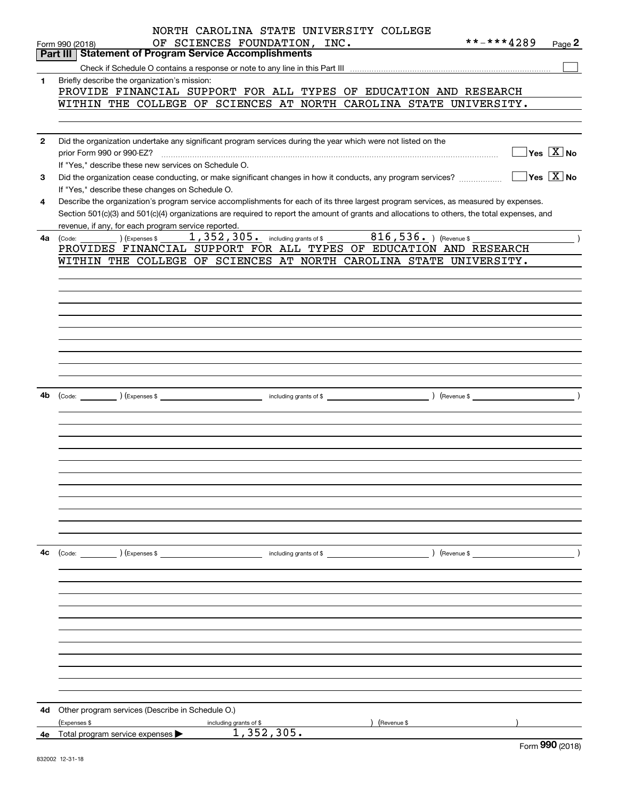|              | NORTH CAROLINA STATE UNIVERSITY COLLEGE                                                                                                                            |
|--------------|--------------------------------------------------------------------------------------------------------------------------------------------------------------------|
|              | **-***4289<br>OF SCIENCES FOUNDATION, INC.<br>Page 2<br>Form 990 (2018)                                                                                            |
|              | <b>Part III   Statement of Program Service Accomplishments</b>                                                                                                     |
|              |                                                                                                                                                                    |
| 1            | Briefly describe the organization's mission:                                                                                                                       |
|              | PROVIDE FINANCIAL SUPPORT FOR ALL TYPES OF EDUCATION AND RESEARCH                                                                                                  |
|              | WITHIN THE COLLEGE OF SCIENCES AT NORTH CAROLINA STATE UNIVERSITY.                                                                                                 |
|              |                                                                                                                                                                    |
|              |                                                                                                                                                                    |
| $\mathbf{2}$ | Did the organization undertake any significant program services during the year which were not listed on the                                                       |
|              | $\sqrt{}$ Yes $\sqrt{X}$ No                                                                                                                                        |
|              | If "Yes," describe these new services on Schedule O.                                                                                                               |
| 3            |                                                                                                                                                                    |
|              | If "Yes," describe these changes on Schedule O.                                                                                                                    |
| 4            | Describe the organization's program service accomplishments for each of its three largest program services, as measured by expenses.                               |
|              | Section 501(c)(3) and 501(c)(4) organizations are required to report the amount of grants and allocations to others, the total expenses, and                       |
|              | revenue, if any, for each program service reported.                                                                                                                |
| 4a           | $\overline{\hspace{1cm}}$ ) (Expenses \$ $\overline{\hspace{1cm}}$ 1, 352, 305. including grants of \$ $\overline{\hspace{1cm}}$ 816, 536. ) (Revenue \$<br>(Code: |
|              | PROVIDES FINANCIAL SUPPORT FOR ALL TYPES OF EDUCATION AND RESEARCH                                                                                                 |
|              | WITHIN THE COLLEGE OF SCIENCES AT NORTH CAROLINA STATE UNIVERSITY.                                                                                                 |
|              |                                                                                                                                                                    |
|              |                                                                                                                                                                    |
|              |                                                                                                                                                                    |
|              |                                                                                                                                                                    |
|              |                                                                                                                                                                    |
|              |                                                                                                                                                                    |
|              |                                                                                                                                                                    |
|              |                                                                                                                                                                    |
|              |                                                                                                                                                                    |
|              |                                                                                                                                                                    |
|              |                                                                                                                                                                    |
| 4b           |                                                                                                                                                                    |
|              |                                                                                                                                                                    |
|              |                                                                                                                                                                    |
|              |                                                                                                                                                                    |
|              |                                                                                                                                                                    |
|              |                                                                                                                                                                    |
|              |                                                                                                                                                                    |
|              |                                                                                                                                                                    |
|              |                                                                                                                                                                    |
|              |                                                                                                                                                                    |
|              |                                                                                                                                                                    |
|              |                                                                                                                                                                    |
|              |                                                                                                                                                                    |
| 4с           | (Code: ) (Expenses \$<br>) (Revenue \$<br>including grants of \$                                                                                                   |
|              |                                                                                                                                                                    |
|              |                                                                                                                                                                    |
|              |                                                                                                                                                                    |
|              |                                                                                                                                                                    |
|              |                                                                                                                                                                    |
|              |                                                                                                                                                                    |
|              |                                                                                                                                                                    |
|              |                                                                                                                                                                    |
|              |                                                                                                                                                                    |
|              |                                                                                                                                                                    |
|              |                                                                                                                                                                    |
|              |                                                                                                                                                                    |
|              |                                                                                                                                                                    |
| 4d           | Other program services (Describe in Schedule O.)                                                                                                                   |
|              | (Expenses \$<br>including grants of \$<br>) (Revenue \$                                                                                                            |
| 4е           | 1,352,305.<br>Total program service expenses >                                                                                                                     |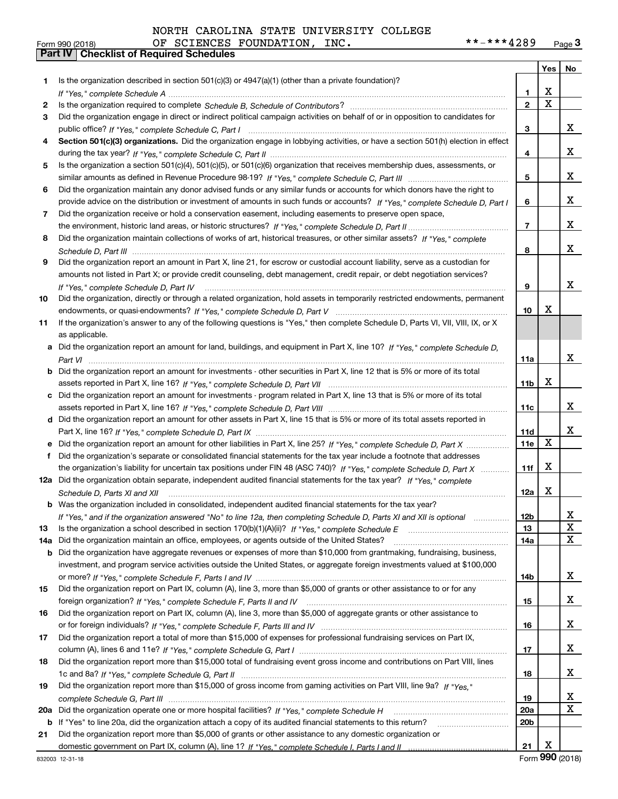| NORTH CAROLINA STATE UNIVERSITY COLLEGE |  |
|-----------------------------------------|--|
|-----------------------------------------|--|

|     |                                                                                                                                                    |                 | Yes   No    |    |
|-----|----------------------------------------------------------------------------------------------------------------------------------------------------|-----------------|-------------|----|
| 1.  | Is the organization described in section $501(c)(3)$ or $4947(a)(1)$ (other than a private foundation)?                                            |                 |             |    |
|     |                                                                                                                                                    | 1.              | x           |    |
| 2   |                                                                                                                                                    | $\overline{2}$  | $\mathbf X$ |    |
| 3   | Did the organization engage in direct or indirect political campaign activities on behalf of or in opposition to candidates for                    |                 |             |    |
|     |                                                                                                                                                    | 3               |             | x  |
| 4   | Section 501(c)(3) organizations. Did the organization engage in lobbying activities, or have a section 501(h) election in effect                   |                 |             |    |
|     |                                                                                                                                                    | 4               |             | x  |
| 5   | Is the organization a section 501(c)(4), 501(c)(5), or 501(c)(6) organization that receives membership dues, assessments, or                       |                 |             |    |
|     |                                                                                                                                                    | 5               |             | x  |
| 6   | Did the organization maintain any donor advised funds or any similar funds or accounts for which donors have the right to                          |                 |             |    |
|     | provide advice on the distribution or investment of amounts in such funds or accounts? If "Yes," complete Schedule D, Part I                       | 6               |             | x  |
| 7   | Did the organization receive or hold a conservation easement, including easements to preserve open space,                                          |                 |             |    |
|     |                                                                                                                                                    | $\overline{7}$  |             | x  |
| 8   | Did the organization maintain collections of works of art, historical treasures, or other similar assets? If "Yes," complete                       |                 |             |    |
|     |                                                                                                                                                    | 8               |             | x  |
| 9   | Did the organization report an amount in Part X, line 21, for escrow or custodial account liability, serve as a custodian for                      |                 |             |    |
|     | amounts not listed in Part X; or provide credit counseling, debt management, credit repair, or debt negotiation services?                          |                 |             |    |
|     | If "Yes." complete Schedule D. Part IV                                                                                                             | 9               |             | x  |
| 10  | Did the organization, directly or through a related organization, hold assets in temporarily restricted endowments, permanent                      |                 | х           |    |
|     |                                                                                                                                                    | 10              |             |    |
| 11  | If the organization's answer to any of the following questions is "Yes," then complete Schedule D, Parts VI, VII, VIII, IX, or X<br>as applicable. |                 |             |    |
|     | Did the organization report an amount for land, buildings, and equipment in Part X, line 10? If "Yes," complete Schedule D.                        |                 |             |    |
| a   |                                                                                                                                                    | 11a             |             | x  |
|     | Did the organization report an amount for investments - other securities in Part X, line 12 that is 5% or more of its total                        |                 |             |    |
|     |                                                                                                                                                    | 11 <sub>b</sub> | х           |    |
|     | Did the organization report an amount for investments - program related in Part X, line 13 that is 5% or more of its total                         |                 |             |    |
|     |                                                                                                                                                    | 11c             |             | x  |
|     | d Did the organization report an amount for other assets in Part X, line 15 that is 5% or more of its total assets reported in                     |                 |             |    |
|     |                                                                                                                                                    | 11d             |             | x  |
|     | Did the organization report an amount for other liabilities in Part X, line 25? If "Yes," complete Schedule D, Part X                              | 11e             | X           |    |
| f   | Did the organization's separate or consolidated financial statements for the tax year include a footnote that addresses                            |                 |             |    |
|     | the organization's liability for uncertain tax positions under FIN 48 (ASC 740)? If "Yes," complete Schedule D, Part X                             | 11f             | x           |    |
|     | 12a Did the organization obtain separate, independent audited financial statements for the tax year? If "Yes," complete                            |                 |             |    |
|     | Schedule D, Parts XI and XII                                                                                                                       | 12a             | х           |    |
|     | <b>b</b> Was the organization included in consolidated, independent audited financial statements for the tax year?                                 |                 |             |    |
|     | If "Yes," and if the organization answered "No" to line 12a, then completing Schedule D, Parts XI and XII is optional                              | 12 <sub>b</sub> |             | 47 |
| 13  |                                                                                                                                                    | 13              |             | X  |
| 14a | Did the organization maintain an office, employees, or agents outside of the United States?                                                        | 14a             |             | X  |
| b   | Did the organization have aggregate revenues or expenses of more than \$10,000 from grantmaking, fundraising, business,                            |                 |             |    |
|     | investment, and program service activities outside the United States, or aggregate foreign investments valued at \$100,000                         |                 |             |    |
|     |                                                                                                                                                    | 14b             |             | X  |
| 15  | Did the organization report on Part IX, column (A), line 3, more than \$5,000 of grants or other assistance to or for any                          |                 |             |    |
|     |                                                                                                                                                    | 15              |             | x  |
| 16  | Did the organization report on Part IX, column (A), line 3, more than \$5,000 of aggregate grants or other assistance to                           |                 |             | x  |
| 17  | Did the organization report a total of more than \$15,000 of expenses for professional fundraising services on Part IX,                            | 16              |             |    |
|     |                                                                                                                                                    | 17              |             | x  |
| 18  | Did the organization report more than \$15,000 total of fundraising event gross income and contributions on Part VIII, lines                       |                 |             |    |
|     |                                                                                                                                                    | 18              |             | x  |
| 19  | Did the organization report more than \$15,000 of gross income from gaming activities on Part VIII, line 9a? If "Yes."                             |                 |             |    |
|     |                                                                                                                                                    | 19              |             | x  |
| 20a |                                                                                                                                                    | <b>20a</b>      |             | X  |
|     | b If "Yes" to line 20a, did the organization attach a copy of its audited financial statements to this return?                                     | 20 <sub>b</sub> |             |    |
| 21  | Did the organization report more than \$5,000 of grants or other assistance to any domestic organization or                                        |                 |             |    |
|     |                                                                                                                                                    | 21              | x           |    |
|     |                                                                                                                                                    |                 |             |    |

Form (2018) **990**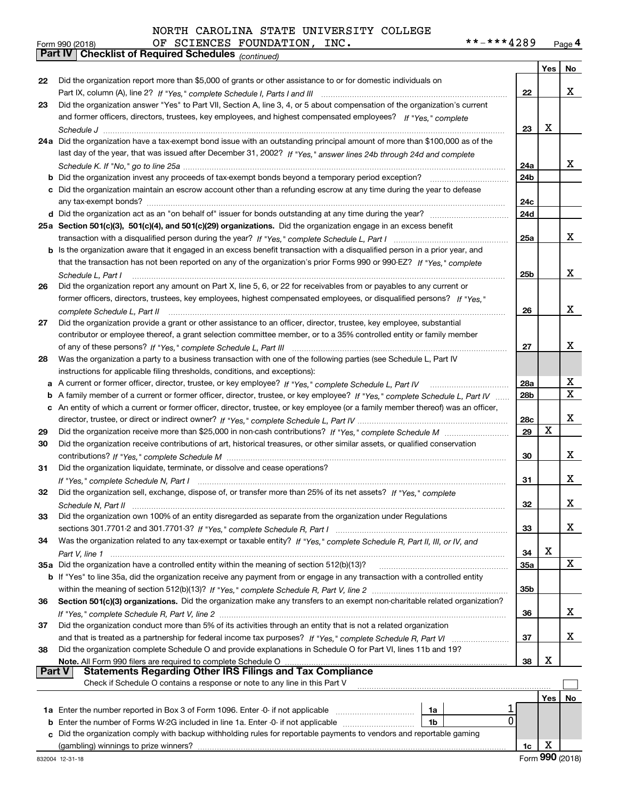#### **Yes No 222324a**Did the organization have a tax-exempt bond issue with an outstanding principal amount of more than \$100,000 as of the **25aSection 501(c)(3), 501(c)(4), and 501(c)(29) organizations.**  Did the organization engage in an excess benefit **26272829303132333435a** Did the organization have a controlled entity within the meaning of section 512(b)(13)? **363738222324a24b24c24d25a25b262728a28b28c29303132333435a35b363738b** Did the organization invest any proceeds of tax-exempt bonds beyond a temporary period exception? \_\_\_\_\_\_\_\_\_\_\_\_\_\_\_\_\_ **c**Did the organization maintain an escrow account other than a refunding escrow at any time during the year to defease **d** Did the organization act as an "on behalf of" issuer for bonds outstanding at any time during the year? \_\_\_\_\_\_\_\_\_\_\_\_\_\_\_\_\_\_\_\_\_ **b** Is the organization aware that it engaged in an excess benefit transaction with a disqualified person in a prior year, and **abcb** If "Yes" to line 35a, did the organization receive any payment from or engage in any transaction with a controlled entity **Section 501(c)(3) organizations.** Did the organization make any transfers to an exempt non-charitable related organization? **Note.** All Form 990 filers are required to complete Schedule O **Yes No 1a** Enter the number reported in Box 3 of Form 1096. Enter -0- if not applicable  $\ldots$  $\ldots$  $\ldots$  $\ldots$  $\ldots$ **b** Enter the number of Forms W-2G included in line 1a. Enter -0- if not applicable  $\ldots$  $\ldots$  $\ldots$  $\ldots$ **1a1b**orm 990 (2018) OF SCIENCES FOUNDATION, INC**. \* \* – \* \* \* 4** 2 8 9 <sub>Page</sub> 4<br><mark>Part IV | Checklist of Required Schedules</mark> <sub>(continued)</sub> Part IX, column (A), line 2? H "Yes," complete Schedule I, Parts I and III **www.www.www.www.www.www.www.ww** *If "Yes," complete* and former officers, directors, trustees, key employees, and highest compensated employees? *Schedule J* last day of the year, that was issued after December 31, 2002? If "Yes," answer lines 24b through 24d and complete *Schedule K. If "No," go to line 25a* ~~~~~~~~~~~~~~~~~~~~~~~~~~~~~~~~~~~~~~~~~~~~~ transaction with a disqualified person during the year? If "Yes," complete Schedule L, Part I multimated and the *If "Yes," complete* that the transaction has not been reported on any of the organization's prior Forms 990 or 990-EZ? *Schedule L, Part I If "Yes,"* former officers, directors, trustees, key employees, highest compensated employees, or disqualified persons? *complete Schedule L, Part II* ~~~~~~~~~~~~~~~~~~~~~~~~~~~~~~~~~~~~~~~~~~~~~~~ *If "Yes," complete Schedule L, Part III* of any of these persons? ~~~~~~~~~~~~~~~~~~~~~~~~~~~~~~ A current or former officer, director, trustee, or key employee? *µ* "Yes," c*omplete Schedule L, Part IV \_\_\_\_\_\_\_\_\_\_\_\_\_\_\_\_*\_\_\_\_\_ A family member of a current or former officer, director, trustee, or key employee? If "Yes," co*mplete Schedule L, Part IV* ...... *If "Yes," complete Schedule L, Part IV* director, trustee, or direct or indirect owner? ~~~~~~~~~~~~~~~~~~~~~ Did the organization receive more than \$25,000 in non-cash contributions? If "Yes," complete Schedule M ........................... *If "Yes," complete Schedule M* contributions? ~~~~~~~~~~~~~~~~~~~~~~~~~~~~~~~~~~~~~~~ *If "Yes," complete Schedule N, Part I* ~~~~~~~~~~~~~~~~~~~~~~~~~~~~~~~~~~~~~~~~~~~*If "Yes," complete* Did the organization sell, exchange, dispose of, or transfer more than 25% of its net assets? *Schedule N, Part II* ~~~~~~~~~~~~~~~~~~~~~~~~~~~~~~~~~~~~~~~~~~~~~~~~~~~~ *If "Yes," complete Schedule R, Part I* sections 301.7701-2 and 301.7701-3? ~~~~~~~~~~~~~~~~~~~~~~~~ Was the organization related to any tax-exempt or taxable entity? If "Yes," complete Schedule R, Part II, III, or IV, and *Part V, line 1* within the meaning of section 512(b)(13)? If "Yes," complete Schedule R, Part V, line 2 ……………………………………………… If "Yes," complete Schedule R, Part V, line 2 …………………………………………………………………………………………… and that is treated as a partnership for federal income tax purposes? *H* "Yes," complete Schedule R, Part VI ......................... Did the organization report more than \$5,000 of grants or other assistance to or for domestic individuals on Did the organization answer "Yes" to Part VII, Section A, line 3, 4, or 5 about compensation of the organization's current any tax-exempt bonds? ~~~~~~~~~~~~~~~~~~~~~~~~~~~~~~~~~~~~~~~~~~~~~~~~~~ Did the organization report any amount on Part X, line 5, 6, or 22 for receivables from or payables to any current or Did the organization provide a grant or other assistance to an officer, director, trustee, key employee, substantial contributor or employee thereof, a grant selection committee member, or to a 35% controlled entity or family member Was the organization a party to a business transaction with one of the following parties (see Schedule L, Part IV instructions for applicable filing thresholds, conditions, and exceptions): An entity of which a current or former officer, director, trustee, or key employee (or a family member thereof) was an officer, Did the organization receive contributions of art, historical treasures, or other similar assets, or qualified conservation Did the organization liquidate, terminate, or dissolve and cease operations? Did the organization own 100% of an entity disregarded as separate from the organization under Regulations Did the organization conduct more than 5% of its activities through an entity that is not a related organization Did the organization complete Schedule O and provide explanations in Schedule O for Part VI, lines 11b and 19? All Form 990 filers are required to complete Schedule O **Part V Statements Regarding Other IRS Filings and Tax Compliance** Check if Schedule O contains a response or note to any line in this Part V  $\mathcal{L}^{\text{max}}$ X X X X X X X X X X X X 1  $\overline{0}$ X X X X X X X X

 ${\bf c}$  Did the organization comply with backup withholding rules for reportable payments to vendors and reportable gaming (gambling) winnings to prize winners?

**1c**

| וטו ט≾ט עכדווו |              |
|----------------|--------------|
|                | art IV Check |

| וטו טבע ווווע |  |
|---------------|--|
| Part IV Che   |  |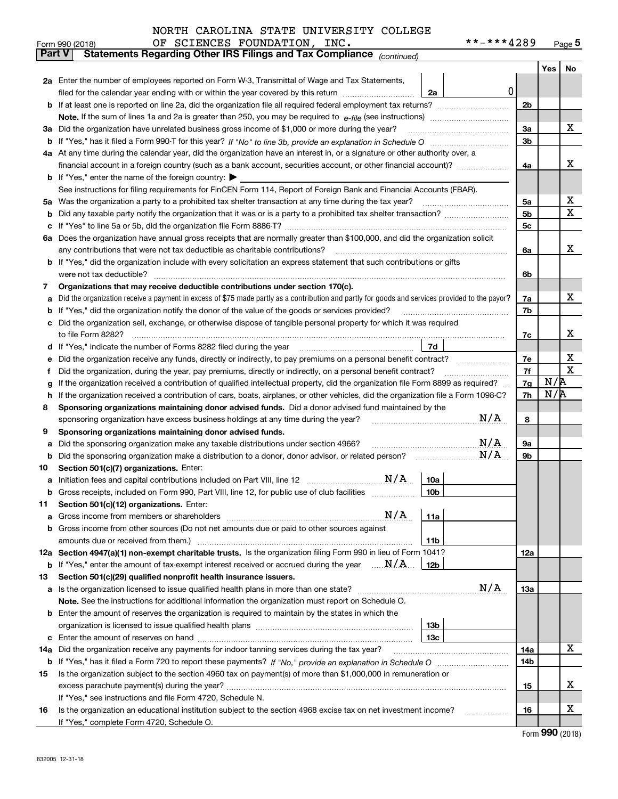|        | **-***4289<br>OF SCIENCES FOUNDATION, INC.<br>Form 990 (2018)                                                                                   |                |     | <u>Page 5</u> |  |  |  |  |  |  |
|--------|-------------------------------------------------------------------------------------------------------------------------------------------------|----------------|-----|---------------|--|--|--|--|--|--|
| Part V | Statements Regarding Other IRS Filings and Tax Compliance (continued)                                                                           |                |     |               |  |  |  |  |  |  |
|        |                                                                                                                                                 |                | Yes | No            |  |  |  |  |  |  |
|        | 2a Enter the number of employees reported on Form W-3, Transmittal of Wage and Tax Statements,                                                  |                |     |               |  |  |  |  |  |  |
|        | 0<br>filed for the calendar year ending with or within the year covered by this return <i>manumumumum</i><br>2a                                 |                |     |               |  |  |  |  |  |  |
|        |                                                                                                                                                 | 2 <sub>b</sub> |     |               |  |  |  |  |  |  |
|        |                                                                                                                                                 |                |     |               |  |  |  |  |  |  |
| За     | Did the organization have unrelated business gross income of \$1,000 or more during the year?                                                   | 3a             |     | x             |  |  |  |  |  |  |
| b      |                                                                                                                                                 |                |     |               |  |  |  |  |  |  |
|        | 4a At any time during the calendar year, did the organization have an interest in, or a signature or other authority over, a                    |                |     |               |  |  |  |  |  |  |
|        |                                                                                                                                                 |                |     |               |  |  |  |  |  |  |
|        | <b>b</b> If "Yes," enter the name of the foreign country: $\blacktriangleright$                                                                 |                |     |               |  |  |  |  |  |  |
|        | See instructions for filing requirements for FinCEN Form 114, Report of Foreign Bank and Financial Accounts (FBAR).                             |                |     |               |  |  |  |  |  |  |
| 5a     | Was the organization a party to a prohibited tax shelter transaction at any time during the tax year?                                           | 5a             |     | х             |  |  |  |  |  |  |
| b      |                                                                                                                                                 | 5b             |     | х             |  |  |  |  |  |  |
| с      |                                                                                                                                                 | 5 <sub>c</sub> |     |               |  |  |  |  |  |  |
|        | 6a Does the organization have annual gross receipts that are normally greater than \$100,000, and did the organization solicit                  |                |     |               |  |  |  |  |  |  |
|        | any contributions that were not tax deductible as charitable contributions?                                                                     | 6a             |     | х             |  |  |  |  |  |  |
|        | <b>b</b> If "Yes," did the organization include with every solicitation an express statement that such contributions or gifts                   |                |     |               |  |  |  |  |  |  |
|        | were not tax deductible?                                                                                                                        | 6b             |     |               |  |  |  |  |  |  |
| 7      | Organizations that may receive deductible contributions under section 170(c).                                                                   |                |     |               |  |  |  |  |  |  |
| а      | Did the organization receive a payment in excess of \$75 made partly as a contribution and partly for goods and services provided to the payor? | 7a             |     | х             |  |  |  |  |  |  |
| b      | If "Yes," did the organization notify the donor of the value of the goods or services provided?                                                 | 7b             |     |               |  |  |  |  |  |  |
|        | Did the organization sell, exchange, or otherwise dispose of tangible personal property for which it was required                               |                |     |               |  |  |  |  |  |  |
|        |                                                                                                                                                 | 7c             |     | х             |  |  |  |  |  |  |
| d      | 7d<br>If "Yes," indicate the number of Forms 8282 filed during the year [11] [11] Wes," indicate the number of Forms 8282 filed during the year |                |     |               |  |  |  |  |  |  |
| е      | Did the organization receive any funds, directly or indirectly, to pay premiums on a personal benefit contract?                                 | 7e             |     | х<br>х        |  |  |  |  |  |  |
| f      | Did the organization, during the year, pay premiums, directly or indirectly, on a personal benefit contract?                                    |                |     |               |  |  |  |  |  |  |
| g      | If the organization received a contribution of qualified intellectual property, did the organization file Form 8899 as required?                | 7g             | N/R |               |  |  |  |  |  |  |
| h      | If the organization received a contribution of cars, boats, airplanes, or other vehicles, did the organization file a Form 1098-C?              | 7h             | N/R |               |  |  |  |  |  |  |
| 8      | Sponsoring organizations maintaining donor advised funds. Did a donor advised fund maintained by the                                            |                |     |               |  |  |  |  |  |  |
|        | N/A<br>sponsoring organization have excess business holdings at any time during the year?                                                       | 8              |     |               |  |  |  |  |  |  |
| 9      | Sponsoring organizations maintaining donor advised funds.                                                                                       |                |     |               |  |  |  |  |  |  |
| а      | N/A<br>Did the sponsoring organization make any taxable distributions under section 4966?                                                       | <b>9a</b>      |     |               |  |  |  |  |  |  |
| b      | N/A<br>Did the sponsoring organization make a distribution to a donor, donor advisor, or related person?                                        | 9b             |     |               |  |  |  |  |  |  |
| 10     | Section 501(c)(7) organizations. Enter:                                                                                                         |                |     |               |  |  |  |  |  |  |
|        | N/A<br>10a                                                                                                                                      |                |     |               |  |  |  |  |  |  |
|        | 10 <sub>b</sub><br>Gross receipts, included on Form 990, Part VIII, line 12, for public use of club facilities                                  |                |     |               |  |  |  |  |  |  |
| 11     | Section 501(c)(12) organizations. Enter:                                                                                                        |                |     |               |  |  |  |  |  |  |
| а      | N/A<br>11a<br>Gross income from members or shareholders                                                                                         |                |     |               |  |  |  |  |  |  |
| b      | Gross income from other sources (Do not net amounts due or paid to other sources against                                                        |                |     |               |  |  |  |  |  |  |
|        | 11 <sub>b</sub>                                                                                                                                 |                |     |               |  |  |  |  |  |  |
|        | 12a Section 4947(a)(1) non-exempt charitable trusts. Is the organization filing Form 990 in lieu of Form 1041?                                  | 12a            |     |               |  |  |  |  |  |  |
|        | <b>b</b> If "Yes," enter the amount of tax-exempt interest received or accrued during the year $\ldots \mathbf{N}/\mathbf{A}$<br>12b            |                |     |               |  |  |  |  |  |  |
| 13     | Section 501(c)(29) qualified nonprofit health insurance issuers.                                                                                |                |     |               |  |  |  |  |  |  |
| a      | N/A<br>Is the organization licensed to issue qualified health plans in more than one state?                                                     | 13a            |     |               |  |  |  |  |  |  |
|        | Note. See the instructions for additional information the organization must report on Schedule O.                                               |                |     |               |  |  |  |  |  |  |
| b      | Enter the amount of reserves the organization is required to maintain by the states in which the                                                |                |     |               |  |  |  |  |  |  |
|        | 13 <sub>b</sub>                                                                                                                                 |                |     |               |  |  |  |  |  |  |
| с      | 13с                                                                                                                                             |                |     |               |  |  |  |  |  |  |
| 14a    | Did the organization receive any payments for indoor tanning services during the tax year?                                                      | 14a            |     | x             |  |  |  |  |  |  |
|        |                                                                                                                                                 | 14b            |     |               |  |  |  |  |  |  |
| 15     | Is the organization subject to the section 4960 tax on payment(s) of more than \$1,000,000 in remuneration or                                   |                |     |               |  |  |  |  |  |  |
|        |                                                                                                                                                 | 15             |     | х             |  |  |  |  |  |  |
|        | If "Yes," see instructions and file Form 4720, Schedule N.                                                                                      |                |     |               |  |  |  |  |  |  |
| 16     | Is the organization an educational institution subject to the section 4968 excise tax on net investment income?                                 | 16             |     | х             |  |  |  |  |  |  |
|        | If "Yes," complete Form 4720, Schedule O.                                                                                                       |                |     |               |  |  |  |  |  |  |

Form (2018) **990**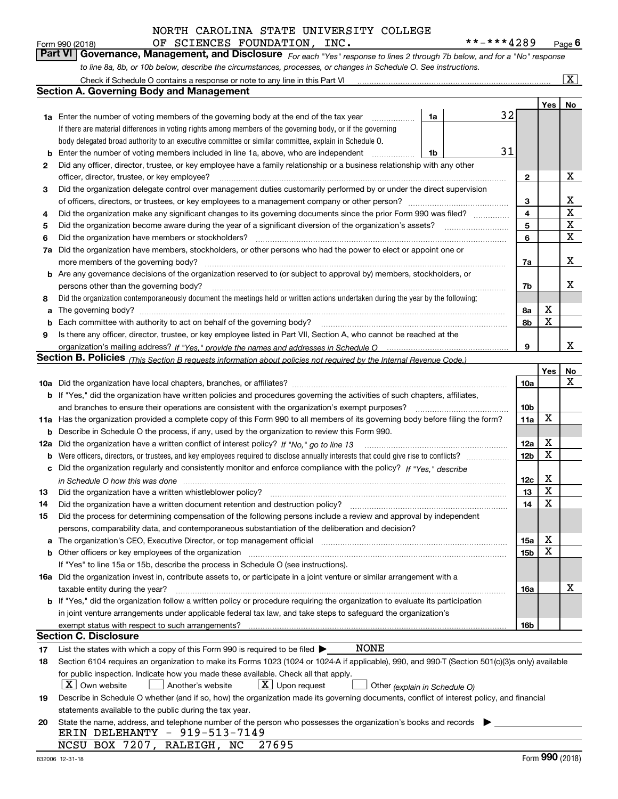# OF SCIENCES FOUNDATION, INC. \*\*-\*\*\*\*4289 NORTH CAROLINA STATE UNIVERSITY COLLEGE

*For each "Yes" response to lines 2 through 7b below, and for a "No" response to line 8a, 8b, or 10b below, describe the circumstances, processes, or changes in Schedule O. See instructions.* Form 990 (2018) **CHENCES FOUNDATION, INC.** \*\*-\*\*\*4289 Page 6<br>**Part VI Governance, Management, and Disclosure** For each "Yes" response to lines 2 through 7b below, and for a "No" response

|     | Check if Schedule O contains a response or note to any line in this Part VI                                                                                           |                 |     | $\overline{\mathbf{x}}$ |  |  |  |  |  |  |
|-----|-----------------------------------------------------------------------------------------------------------------------------------------------------------------------|-----------------|-----|-------------------------|--|--|--|--|--|--|
|     | <b>Section A. Governing Body and Management</b>                                                                                                                       |                 |     |                         |  |  |  |  |  |  |
|     |                                                                                                                                                                       |                 | Yes | No                      |  |  |  |  |  |  |
|     | 32<br>1a<br><b>1a</b> Enter the number of voting members of the governing body at the end of the tax year<br>.                                                        |                 |     |                         |  |  |  |  |  |  |
|     | If there are material differences in voting rights among members of the governing body, or if the governing                                                           |                 |     |                         |  |  |  |  |  |  |
|     | body delegated broad authority to an executive committee or similar committee, explain in Schedule O.                                                                 |                 |     |                         |  |  |  |  |  |  |
| b   | 31<br>Enter the number of voting members included in line 1a, above, who are independent<br>1b                                                                        |                 |     |                         |  |  |  |  |  |  |
| 2   | Did any officer, director, trustee, or key employee have a family relationship or a business relationship with any other                                              |                 |     |                         |  |  |  |  |  |  |
|     | officer, director, trustee, or key employee?                                                                                                                          |                 |     |                         |  |  |  |  |  |  |
| 3   | Did the organization delegate control over management duties customarily performed by or under the direct supervision                                                 |                 |     |                         |  |  |  |  |  |  |
|     |                                                                                                                                                                       |                 |     |                         |  |  |  |  |  |  |
| 4   | Did the organization make any significant changes to its governing documents since the prior Form 990 was filed?                                                      |                 |     |                         |  |  |  |  |  |  |
| 5   |                                                                                                                                                                       | 4<br>5          |     | X<br>$\mathbf X$        |  |  |  |  |  |  |
| 6   | Did the organization have members or stockholders?                                                                                                                    | 6               |     | $\mathbf X$             |  |  |  |  |  |  |
| 7a  | Did the organization have members, stockholders, or other persons who had the power to elect or appoint one or                                                        |                 |     |                         |  |  |  |  |  |  |
|     | more members of the governing body?                                                                                                                                   | 7a              |     | х                       |  |  |  |  |  |  |
| b   | Are any governance decisions of the organization reserved to (or subject to approval by) members, stockholders, or                                                    |                 |     |                         |  |  |  |  |  |  |
|     | persons other than the governing body?                                                                                                                                | 7b              |     | x                       |  |  |  |  |  |  |
| 8   | Did the organization contemporaneously document the meetings held or written actions undertaken during the year by the following:                                     |                 |     |                         |  |  |  |  |  |  |
| a   |                                                                                                                                                                       | 8а              | х   |                         |  |  |  |  |  |  |
| b   | Each committee with authority to act on behalf of the governing body?<br>The committee with authority to act on behalf of the governing body?                         | 8b              | X   |                         |  |  |  |  |  |  |
| 9   | Is there any officer, director, trustee, or key employee listed in Part VII, Section A, who cannot be reached at the                                                  |                 |     |                         |  |  |  |  |  |  |
|     |                                                                                                                                                                       | 9               |     | х                       |  |  |  |  |  |  |
|     | Section B. Policies <sub>(This Section B requests information about policies not required by the Internal Revenue Code.)</sub>                                        |                 |     |                         |  |  |  |  |  |  |
|     |                                                                                                                                                                       |                 | Yes | No                      |  |  |  |  |  |  |
|     |                                                                                                                                                                       | 10a             |     | $\mathbf X$             |  |  |  |  |  |  |
|     | b If "Yes," did the organization have written policies and procedures governing the activities of such chapters, affiliates,                                          |                 |     |                         |  |  |  |  |  |  |
|     | and branches to ensure their operations are consistent with the organization's exempt purposes?                                                                       | 10 <sub>b</sub> |     |                         |  |  |  |  |  |  |
|     | 11a Has the organization provided a complete copy of this Form 990 to all members of its governing body before filing the form?                                       |                 |     |                         |  |  |  |  |  |  |
|     | Describe in Schedule O the process, if any, used by the organization to review this Form 990.<br>b                                                                    |                 |     |                         |  |  |  |  |  |  |
| 12a | Did the organization have a written conflict of interest policy? If "No," go to line 13                                                                               |                 |     |                         |  |  |  |  |  |  |
| b   | Were officers, directors, or trustees, and key employees required to disclose annually interests that could give rise to conflicts?                                   |                 |     |                         |  |  |  |  |  |  |
| с   | Did the organization regularly and consistently monitor and enforce compliance with the policy? If "Yes," describe                                                    |                 |     |                         |  |  |  |  |  |  |
|     |                                                                                                                                                                       | 12c             | х   |                         |  |  |  |  |  |  |
| 13  | Did the organization have a written whistleblower policy?                                                                                                             | 13              | X   |                         |  |  |  |  |  |  |
| 14  | Did the organization have a written document retention and destruction policy?                                                                                        | 14              | X   |                         |  |  |  |  |  |  |
| 15  | Did the process for determining compensation of the following persons include a review and approval by independent                                                    |                 |     |                         |  |  |  |  |  |  |
|     | persons, comparability data, and contemporaneous substantiation of the deliberation and decision?                                                                     |                 |     |                         |  |  |  |  |  |  |
| а   | The organization's CEO, Executive Director, or top management official manufactured content of the organization's CEO, Executive Director, or top management official | 15a             | x   |                         |  |  |  |  |  |  |
| b   | Other officers or key employees of the organization                                                                                                                   | 15b             | X   |                         |  |  |  |  |  |  |
|     | If "Yes" to line 15a or 15b, describe the process in Schedule O (see instructions).                                                                                   |                 |     |                         |  |  |  |  |  |  |
|     | 16a Did the organization invest in, contribute assets to, or participate in a joint venture or similar arrangement with a                                             |                 |     |                         |  |  |  |  |  |  |
|     | taxable entity during the year?                                                                                                                                       | 16a             |     | x                       |  |  |  |  |  |  |
|     | b If "Yes," did the organization follow a written policy or procedure requiring the organization to evaluate its participation                                        |                 |     |                         |  |  |  |  |  |  |
|     | in joint venture arrangements under applicable federal tax law, and take steps to safeguard the organization's                                                        |                 |     |                         |  |  |  |  |  |  |
|     | exempt status with respect to such arrangements?                                                                                                                      | 16b             |     |                         |  |  |  |  |  |  |
|     | <b>Section C. Disclosure</b>                                                                                                                                          |                 |     |                         |  |  |  |  |  |  |
| 17  | <b>NONE</b><br>List the states with which a copy of this Form 990 is required to be filed $\blacktriangleright$                                                       |                 |     |                         |  |  |  |  |  |  |
| 18  | Section 6104 requires an organization to make its Forms 1023 (1024 or 1024-A if applicable), 990, and 990-T (Section 501(c)(3)s only) available                       |                 |     |                         |  |  |  |  |  |  |
|     | for public inspection. Indicate how you made these available. Check all that apply.                                                                                   |                 |     |                         |  |  |  |  |  |  |
|     | $X$ Own website<br>$X$ Upon request<br>Another's website<br>Other (explain in Schedule O)                                                                             |                 |     |                         |  |  |  |  |  |  |
| 19  | Describe in Schedule O whether (and if so, how) the organization made its governing documents, conflict of interest policy, and financial                             |                 |     |                         |  |  |  |  |  |  |
|     | statements available to the public during the tax year.                                                                                                               |                 |     |                         |  |  |  |  |  |  |
| 20  | State the name, address, and telephone number of the person who possesses the organization's books and records                                                        |                 |     |                         |  |  |  |  |  |  |
|     | ERIN DELEHANTY - 919-513-7149                                                                                                                                         |                 |     |                         |  |  |  |  |  |  |
|     | NCSU BOX 7207, RALEIGH, NC<br>27695                                                                                                                                   |                 |     |                         |  |  |  |  |  |  |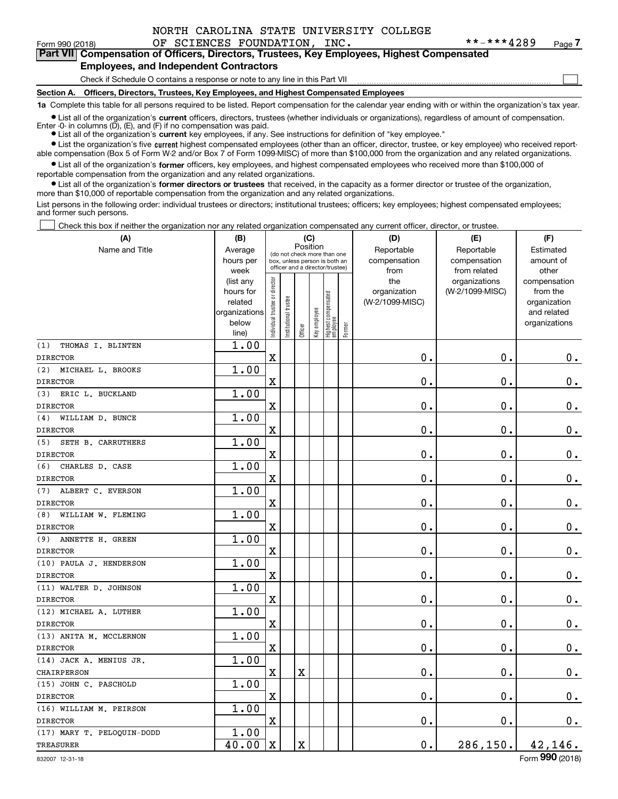$\mathcal{L}^{\text{max}}$ 

Form 990 (2018) Page OF SCIENCES FOUNDATION, INC. \*\*-\*\*\*4289

# Form 990 (2018) **The START COMPET COMPATE COMPATE COMPART ON THE SET ASSESS** Frage 7<br>**Part VII** Compensation of Officers, Directors, Trustees, Key Employees, Highest Compensated **Employees, and Independent Contractors**

Check if Schedule O contains a response or note to any line in this Part VII

**Section A. Officers, Directors, Trustees, Key Employees, and Highest Compensated Employees**

**1a**  Complete this table for all persons required to be listed. Report compensation for the calendar year ending with or within the organization's tax year.

**•** List all of the organization's current officers, directors, trustees (whether individuals or organizations), regardless of amount of compensation.

● List all of the organization's **current** key employees, if any. See instructions for definition of "key employee." Enter  $-0$ - in columns  $(D)$ ,  $(E)$ , and  $(F)$  if no compensation was paid.

**In List the organization's five current highest compensated employees (other than an officer, director, trustee, or key employee) who received report-**■ List the organization's five current highest compensated employees (other than an officer, director, trustee, or key employee) who received report-<br>able compensation (Box 5 of Form W-2 and/or Box 7 of Form 1099-MISC) of

 $\bullet$  List all of the organization's **former** officers, key employees, and highest compensated employees who received more than \$100,000 of reportable compensation from the organization and any related organizations.

**•** List all of the organization's former directors or trustees that received, in the capacity as a former director or trustee of the organization, more than \$10,000 of reportable compensation from the organization and any related organizations.

List persons in the following order: individual trustees or directors; institutional trustees; officers; key employees; highest compensated employees; and former such persons.

Check this box if neither the organization nor any related organization compensated any current officer, director, or trustee.  $\mathcal{L}^{\text{max}}$ 

| (A)                        | (B)                    |                                |                                                                  |                         | (C)          |                                   |        | (D)                             | (E)             | (F)                      |  |
|----------------------------|------------------------|--------------------------------|------------------------------------------------------------------|-------------------------|--------------|-----------------------------------|--------|---------------------------------|-----------------|--------------------------|--|
| Name and Title             | Average                |                                | (do not check more than one                                      | Position                |              |                                   |        | Reportable                      | Reportable      | Estimated                |  |
|                            | hours per              |                                | box, unless person is both an<br>officer and a director/trustee) |                         |              |                                   |        | compensation                    | compensation    | amount of                |  |
|                            | week                   |                                |                                                                  |                         |              |                                   |        | from                            | from related    | other                    |  |
|                            | (list any<br>hours for |                                |                                                                  |                         |              |                                   |        | the                             | organizations   | compensation<br>from the |  |
|                            | related                |                                |                                                                  |                         |              |                                   |        | organization<br>(W-2/1099-MISC) | (W-2/1099-MISC) | organization             |  |
|                            | organizations          |                                |                                                                  |                         |              |                                   |        |                                 |                 | and related              |  |
|                            | below                  | Individual trustee or director | nstitutional trustee                                             |                         | Key employee |                                   |        |                                 |                 | organizations            |  |
|                            | line)                  |                                |                                                                  | Officer                 |              | Highest compensated<br>  employee | Former |                                 |                 |                          |  |
| (1)<br>THOMAS I. BLINTEN   | 1.00                   |                                |                                                                  |                         |              |                                   |        |                                 |                 |                          |  |
| <b>DIRECTOR</b>            |                        | $\mathbf x$                    |                                                                  |                         |              |                                   |        | 0.                              | $\mathbf 0$ .   | $\mathbf 0$ .            |  |
| MICHAEL L. BROOKS<br>(2)   | 1.00                   |                                |                                                                  |                         |              |                                   |        |                                 |                 |                          |  |
| <b>DIRECTOR</b>            |                        | $\mathbf X$                    |                                                                  |                         |              |                                   |        | 0.                              | $\mathbf 0$ .   | $0$ .                    |  |
| ERIC L. BUCKLAND<br>(3)    | 1.00                   |                                |                                                                  |                         |              |                                   |        |                                 |                 |                          |  |
| <b>DIRECTOR</b>            |                        | $\mathbf X$                    |                                                                  |                         |              |                                   |        | 0.                              | $\mathbf 0$ .   | $0$ .                    |  |
| WILLIAM D. BUNCE<br>(4)    | 1.00                   |                                |                                                                  |                         |              |                                   |        |                                 |                 |                          |  |
| <b>DIRECTOR</b>            |                        | $\mathbf X$                    |                                                                  |                         |              |                                   |        | 0.                              | $\mathbf 0$ .   | $0$ .                    |  |
| SETH B. CARRUTHERS<br>(5)  | 1.00                   |                                |                                                                  |                         |              |                                   |        |                                 |                 |                          |  |
| <b>DIRECTOR</b>            |                        | $\mathbf X$                    |                                                                  |                         |              |                                   |        | $\mathbf 0$ .                   | $\mathbf 0$ .   | 0.                       |  |
| (6)<br>CHARLES D. CASE     | 1.00                   |                                |                                                                  |                         |              |                                   |        |                                 |                 |                          |  |
| <b>DIRECTOR</b>            |                        | $\mathbf X$                    |                                                                  |                         |              |                                   |        | 0.                              | $\mathbf 0$ .   | $\mathbf 0$ .            |  |
| (7)<br>ALBERT C. EVERSON   | 1.00                   |                                |                                                                  |                         |              |                                   |        |                                 |                 |                          |  |
| <b>DIRECTOR</b>            |                        | $\mathbf x$                    |                                                                  |                         |              |                                   |        | 0.                              | $\mathbf 0$ .   | $\mathbf 0$ .            |  |
| WILLIAM W. FLEMING<br>(8)  | 1.00                   |                                |                                                                  |                         |              |                                   |        |                                 |                 |                          |  |
| <b>DIRECTOR</b>            |                        | $\mathbf X$                    |                                                                  |                         |              |                                   |        | 0.                              | $\mathbf 0$ .   | $\mathbf 0$ .            |  |
| ANNETTE H. GREEN<br>(9)    | 1.00                   |                                |                                                                  |                         |              |                                   |        |                                 |                 |                          |  |
| <b>DIRECTOR</b>            |                        | $\mathbf x$                    |                                                                  |                         |              |                                   |        | 0.                              | $\mathbf 0$ .   | $\mathbf 0$ .            |  |
| (10) PAULA J. HENDERSON    | 1.00                   |                                |                                                                  |                         |              |                                   |        |                                 |                 |                          |  |
| <b>DIRECTOR</b>            |                        | $\mathbf X$                    |                                                                  |                         |              |                                   |        | $\mathbf 0$ .                   | $\mathbf 0$ .   | $\mathbf 0$ .            |  |
| (11) WALTER D. JOHNSON     | 1.00                   |                                |                                                                  |                         |              |                                   |        |                                 |                 |                          |  |
| <b>DIRECTOR</b>            |                        | $\mathbf X$                    |                                                                  |                         |              |                                   |        | 0.                              | $\mathbf 0$ .   | $\mathbf 0$ .            |  |
| (12) MICHAEL A. LUTHER     | 1.00                   |                                |                                                                  |                         |              |                                   |        |                                 |                 |                          |  |
| <b>DIRECTOR</b>            |                        | $\mathbf X$                    |                                                                  |                         |              |                                   |        | 0.                              | $\mathbf 0$ .   | $\mathbf 0$ .            |  |
| (13) ANITA M. MCCLERNON    | 1.00                   |                                |                                                                  |                         |              |                                   |        |                                 |                 |                          |  |
| <b>DIRECTOR</b>            |                        | $\mathbf X$                    |                                                                  |                         |              |                                   |        | 0.                              | $\mathbf 0$ .   | $0_{.}$                  |  |
| (14) JACK A. MENIUS JR.    | 1.00                   |                                |                                                                  |                         |              |                                   |        |                                 |                 |                          |  |
| CHAIRPERSON                |                        | $\mathbf X$                    |                                                                  | $\overline{\textbf{X}}$ |              |                                   |        | 0.                              | $\mathbf 0$ .   | $\mathbf 0$ .            |  |
| (15) JOHN C. PASCHOLD      | 1.00                   |                                |                                                                  |                         |              |                                   |        |                                 |                 |                          |  |
| <b>DIRECTOR</b>            |                        | $\mathbf X$                    |                                                                  |                         |              |                                   |        | 0.                              | $\mathbf 0$ .   | $0_{.}$                  |  |
| (16) WILLIAM M. PEIRSON    | 1.00                   |                                |                                                                  |                         |              |                                   |        |                                 |                 |                          |  |
| <b>DIRECTOR</b>            |                        | $\mathbf x$                    |                                                                  |                         |              |                                   |        | 0.                              | $\mathbf 0$ .   | $0_{.}$                  |  |
| (17) MARY T. PELOQUIN-DODD | 1.00                   |                                |                                                                  |                         |              |                                   |        |                                 |                 |                          |  |
| <b>TREASURER</b>           | 40.00                  | $\mathbf X$                    |                                                                  | $\mathbf X$             |              |                                   |        | $\mathbf 0$ .                   | 286,150.        | 42,146.                  |  |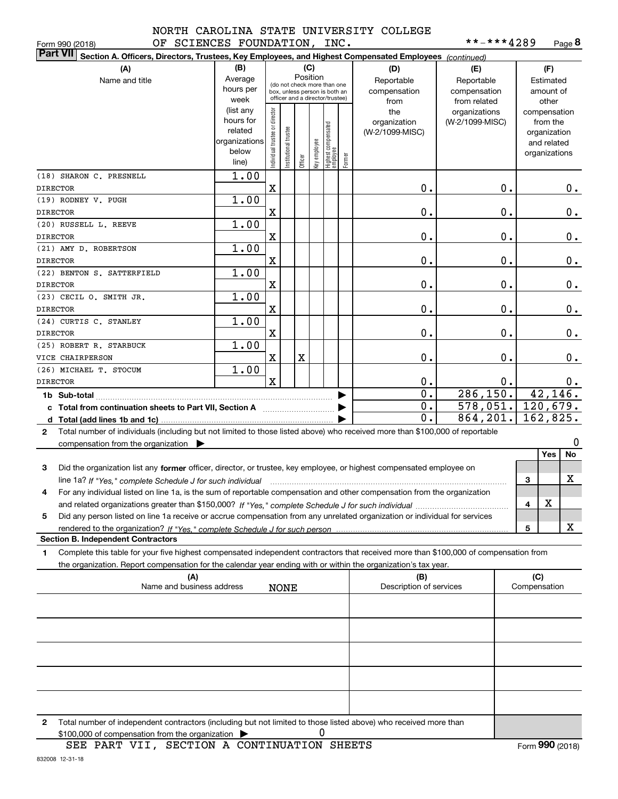**8**\*\*-\*\*\*4289

|                 | OF SCIENCES FOUNDATION, INC.<br>Form 990 (2018)                                                                                                      |                                                                      |                               |                      |         |                                                                                                                    |                                 |        |                                           | **-***4289                                        |               |                     | Page 8                                                                   |
|-----------------|------------------------------------------------------------------------------------------------------------------------------------------------------|----------------------------------------------------------------------|-------------------------------|----------------------|---------|--------------------------------------------------------------------------------------------------------------------|---------------------------------|--------|-------------------------------------------|---------------------------------------------------|---------------|---------------------|--------------------------------------------------------------------------|
| <b>Part VII</b> | Section A. Officers, Directors, Trustees, Key Employees, and Highest Compensated Employees (continued)                                               |                                                                      |                               |                      |         |                                                                                                                    |                                 |        |                                           |                                                   |               |                     |                                                                          |
|                 | (A)<br>Name and title                                                                                                                                | (B)<br>Average<br>hours per<br>week                                  |                               |                      |         | (C)<br>Position<br>(do not check more than one<br>box, unless person is both an<br>officer and a director/trustee) |                                 |        | (D)<br>Reportable<br>compensation<br>from | (E)<br>Reportable<br>compensation<br>from related |               |                     | (F)<br>Estimated<br>amount of<br>other                                   |
|                 |                                                                                                                                                      | (list any<br>hours for<br>related<br>organizations<br>below<br>line) | ndividual trustee or director | nstitutional trustee | Officer | Key employee                                                                                                       | Highest compensated<br>employee | Former | the<br>organization<br>(W-2/1099-MISC)    | organizations<br>(W-2/1099-MISC)                  |               |                     | compensation<br>from the<br>organization<br>and related<br>organizations |
| <b>DIRECTOR</b> | (18) SHARON C. PRESNELL                                                                                                                              | 1.00                                                                 | X                             |                      |         |                                                                                                                    |                                 |        | $\mathbf 0$ .                             |                                                   | 0.            |                     | 0.                                                                       |
|                 | (19) RODNEY V. PUGH                                                                                                                                  | 1.00                                                                 |                               |                      |         |                                                                                                                    |                                 |        |                                           |                                                   |               |                     |                                                                          |
| <b>DIRECTOR</b> |                                                                                                                                                      |                                                                      | X                             |                      |         |                                                                                                                    |                                 |        | 0.                                        |                                                   | $\mathbf 0$ . |                     | $0_{.}$                                                                  |
| <b>DIRECTOR</b> | (20) RUSSELL L. REEVE                                                                                                                                | 1.00                                                                 | X                             |                      |         |                                                                                                                    |                                 |        | 0.                                        |                                                   | 0.            |                     | $0_{.}$                                                                  |
|                 | (21) AMY D. ROBERTSON                                                                                                                                | 1.00                                                                 |                               |                      |         |                                                                                                                    |                                 |        |                                           |                                                   |               |                     |                                                                          |
| <b>DIRECTOR</b> | (22) BENTON S. SATTERFIELD                                                                                                                           | 1.00                                                                 | X                             |                      |         |                                                                                                                    |                                 |        | 0.                                        |                                                   | 0.            |                     | $0_{.}$                                                                  |
| <b>DIRECTOR</b> |                                                                                                                                                      |                                                                      | X                             |                      |         |                                                                                                                    |                                 |        | 0.                                        |                                                   | 0.            |                     | 0.                                                                       |
| <b>DIRECTOR</b> | (23) CECIL O. SMITH JR.                                                                                                                              | 1.00                                                                 | X                             |                      |         |                                                                                                                    |                                 |        | 0.                                        |                                                   | 0.            |                     | $0$ .                                                                    |
| <b>DIRECTOR</b> | (24) CURTIS C. STANLEY                                                                                                                               | 1.00                                                                 | X                             |                      |         |                                                                                                                    |                                 |        | 0.                                        |                                                   | 0.            |                     | $\mathbf 0$ .                                                            |
|                 | (25) ROBERT R. STARBUCK                                                                                                                              | 1.00                                                                 |                               |                      |         |                                                                                                                    |                                 |        |                                           |                                                   |               |                     |                                                                          |
|                 | VICE CHAIRPERSON                                                                                                                                     |                                                                      | X                             |                      | X       |                                                                                                                    |                                 |        | 0.                                        |                                                   | 0.            |                     | 0.                                                                       |
|                 | (26) MICHAEL T. STOCUM                                                                                                                               | 1.00                                                                 |                               |                      |         |                                                                                                                    |                                 |        |                                           |                                                   |               |                     |                                                                          |
| <b>DIRECTOR</b> |                                                                                                                                                      |                                                                      | $\mathbf{x}$                  |                      |         |                                                                                                                    |                                 |        | 0.<br>$\overline{0}$ .                    | 286, 150.                                         | 0.            |                     | 0.<br>42, 146.                                                           |
|                 |                                                                                                                                                      |                                                                      |                               |                      |         |                                                                                                                    |                                 |        | 0.                                        | $578,051.$ 120,679.                               |               |                     |                                                                          |
|                 | c Total from continuation sheets to Part VII, Section A                                                                                              |                                                                      |                               |                      |         |                                                                                                                    |                                 | ▶      | $\mathbf{0}$ .                            | 864, 201.                                         |               |                     | 162,825.                                                                 |
| $\mathbf{2}$    | Total number of individuals (including but not limited to those listed above) who received more than \$100,000 of reportable                         |                                                                      |                               |                      |         |                                                                                                                    |                                 |        |                                           |                                                   |               |                     |                                                                          |
|                 | compensation from the organization $\blacktriangleright$                                                                                             |                                                                      |                               |                      |         |                                                                                                                    |                                 |        |                                           |                                                   |               |                     | $\mathbf 0$<br>Yes<br>No                                                 |
| 3               | Did the organization list any former officer, director, or trustee, key employee, or highest compensated employee on                                 |                                                                      |                               |                      |         |                                                                                                                    |                                 |        |                                           |                                                   |               |                     |                                                                          |
|                 | line 1a? If "Yes," complete Schedule J for such individual manufactured contained and the line 1a? If "Yes," complete Schedule J for such individual |                                                                      |                               |                      |         |                                                                                                                    |                                 |        |                                           |                                                   |               | 3                   | x                                                                        |
|                 | For any individual listed on line 1a, is the sum of reportable compensation and other compensation from the organization                             |                                                                      |                               |                      |         |                                                                                                                    |                                 |        |                                           |                                                   |               |                     |                                                                          |
|                 |                                                                                                                                                      |                                                                      |                               |                      |         |                                                                                                                    |                                 |        |                                           |                                                   |               | 4                   | X                                                                        |
| 5               | Did any person listed on line 1a receive or accrue compensation from any unrelated organization or individual for services                           |                                                                      |                               |                      |         |                                                                                                                    |                                 |        |                                           |                                                   |               | 5                   | x                                                                        |
|                 | rendered to the organization? If "Yes " complete Schedule J for such person<br><b>Section B. Independent Contractors</b>                             |                                                                      |                               |                      |         |                                                                                                                    |                                 |        |                                           |                                                   |               |                     |                                                                          |
| 1               | Complete this table for your five highest compensated independent contractors that received more than \$100,000 of compensation from                 |                                                                      |                               |                      |         |                                                                                                                    |                                 |        |                                           |                                                   |               |                     |                                                                          |
|                 | the organization. Report compensation for the calendar year ending with or within the organization's tax year.                                       |                                                                      |                               |                      |         |                                                                                                                    |                                 |        |                                           |                                                   |               |                     |                                                                          |
|                 | (A)<br>Name and business address                                                                                                                     |                                                                      |                               | <b>NONE</b>          |         |                                                                                                                    |                                 |        | (B)<br>Description of services            |                                                   |               | (C)<br>Compensation |                                                                          |
|                 |                                                                                                                                                      |                                                                      |                               |                      |         |                                                                                                                    |                                 |        |                                           |                                                   |               |                     |                                                                          |
|                 |                                                                                                                                                      |                                                                      |                               |                      |         |                                                                                                                    |                                 |        |                                           |                                                   |               |                     |                                                                          |
|                 |                                                                                                                                                      |                                                                      |                               |                      |         |                                                                                                                    |                                 |        |                                           |                                                   |               |                     |                                                                          |
|                 |                                                                                                                                                      |                                                                      |                               |                      |         |                                                                                                                    |                                 |        |                                           |                                                   |               |                     |                                                                          |
|                 |                                                                                                                                                      |                                                                      |                               |                      |         |                                                                                                                    |                                 |        |                                           |                                                   |               |                     |                                                                          |
|                 |                                                                                                                                                      |                                                                      |                               |                      |         |                                                                                                                    |                                 |        |                                           |                                                   |               |                     |                                                                          |

**2**Total number of independent contractors (including but not limited to those listed above) who received more than 0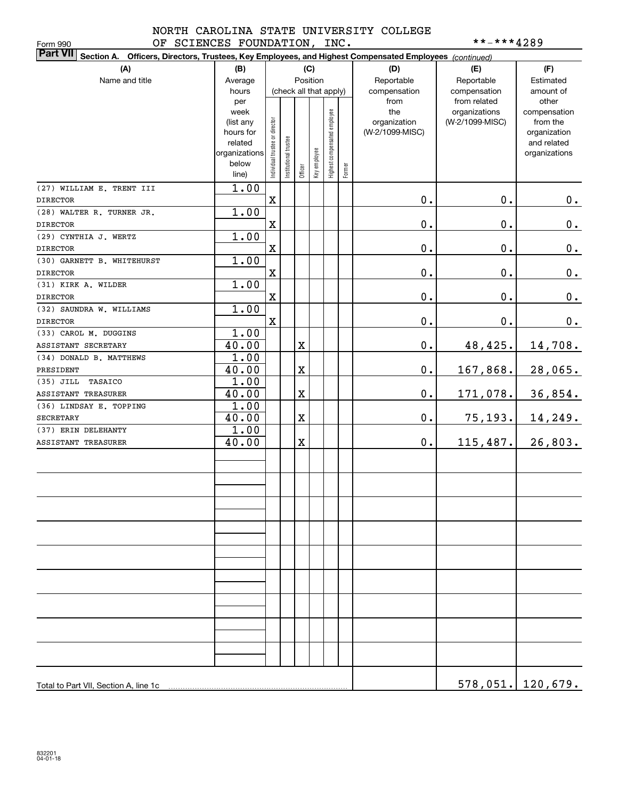Form 990

# NORTH CAROLINA STATE UNIVERSITY COLLEGE OF SCIENCES FOUNDATION, INC. \*\*-\*\*\*\*4289

| <b>Part VII</b> Section A. Officers, Directors, Trustees, Key Employees, and Highest Compensated Employees (continued) |                |                                |                        |             |              |                              |        |                 |                                  |                            |
|------------------------------------------------------------------------------------------------------------------------|----------------|--------------------------------|------------------------|-------------|--------------|------------------------------|--------|-----------------|----------------------------------|----------------------------|
| (A)                                                                                                                    | (B)            |                                |                        |             | (C)          |                              |        | (D)             | (E)                              | (F)                        |
| Name and title                                                                                                         | Average        |                                |                        |             | Position     |                              |        | Reportable      | Reportable                       | Estimated                  |
|                                                                                                                        | hours          |                                | (check all that apply) |             |              |                              |        | compensation    | compensation                     | amount of                  |
|                                                                                                                        | per<br>week    |                                |                        |             |              |                              |        | from<br>the     | from related                     | other                      |
|                                                                                                                        | (list any      |                                |                        |             |              |                              |        | organization    | organizations<br>(W-2/1099-MISC) | compensation<br>from the   |
|                                                                                                                        | hours for      |                                |                        |             |              |                              |        | (W-2/1099-MISC) |                                  | organization               |
|                                                                                                                        | related        |                                |                        |             |              |                              |        |                 |                                  | and related                |
|                                                                                                                        | organizations  |                                |                        |             |              |                              |        |                 |                                  | organizations              |
|                                                                                                                        | below<br>line) | Individual trustee or director | Institutional trustee  | Officer     | Key employee | Highest compensated employee | Former |                 |                                  |                            |
| (27) WILLIAM E. TRENT III                                                                                              | 1.00           |                                |                        |             |              |                              |        |                 |                                  |                            |
| <b>DIRECTOR</b>                                                                                                        |                | $\mathbf X$                    |                        |             |              |                              |        | 0.              | $\mathbf 0$ .                    | $0$ .                      |
| (28) WALTER R. TURNER JR.                                                                                              | 1.00           |                                |                        |             |              |                              |        |                 |                                  |                            |
| <b>DIRECTOR</b>                                                                                                        |                | $\mathbf X$                    |                        |             |              |                              |        | $\mathbf 0$ .   | $\mathbf 0$ .                    | $0$ .                      |
| (29) CYNTHIA J. WERTZ                                                                                                  | 1.00           |                                |                        |             |              |                              |        |                 |                                  |                            |
| <b>DIRECTOR</b>                                                                                                        |                | $\mathbf X$                    |                        |             |              |                              |        | 0.              | $\mathbf 0$ .                    | $0$ .                      |
| (30) GARNETT B. WHITEHURST                                                                                             | 1.00           |                                |                        |             |              |                              |        |                 |                                  |                            |
| <b>DIRECTOR</b>                                                                                                        |                | $\mathbf X$                    |                        |             |              |                              |        | 0.              | $\mathbf 0$ .                    | $0$ .                      |
| (31) KIRK A. WILDER                                                                                                    | 1.00           |                                |                        |             |              |                              |        |                 |                                  |                            |
| <b>DIRECTOR</b>                                                                                                        |                | $\mathbf X$                    |                        |             |              |                              |        | 0.              | $\mathbf 0$ .                    | $0$ .                      |
| (32) SAUNDRA W. WILLIAMS                                                                                               | 1.00           |                                |                        |             |              |                              |        |                 |                                  |                            |
| <b>DIRECTOR</b>                                                                                                        |                | $\mathbf X$                    |                        |             |              |                              |        | $\mathbf 0$ .   | $0$ .                            | $0_{\cdot}$                |
| (33) CAROL M. DUGGINS                                                                                                  | 1.00           |                                |                        |             |              |                              |        |                 |                                  |                            |
| ASSISTANT SECRETARY                                                                                                    | 40.00          |                                |                        | $\mathbf X$ |              |                              |        | $0$ .           | 48,425.                          | 14,708.                    |
| (34) DONALD B. MATTHEWS                                                                                                | 1.00           |                                |                        |             |              |                              |        |                 |                                  |                            |
| PRESIDENT                                                                                                              | 40.00          |                                |                        | $\mathbf X$ |              |                              |        | $\mathbf 0$ .   | 167,868.                         | 28,065.                    |
| TASAICO<br>$(35)$ JILL                                                                                                 | 1.00           |                                |                        |             |              |                              |        |                 |                                  |                            |
| ASSISTANT TREASURER                                                                                                    | 40.00          |                                |                        | X           |              |                              |        | $0$ .           | 171,078.                         | 36,854.                    |
| (36) LINDSAY E. TOPPING                                                                                                | 1.00           |                                |                        |             |              |                              |        |                 |                                  |                            |
| <b>SECRETARY</b>                                                                                                       | 40.00          |                                |                        | X           |              |                              |        | $0$ .           | 75, 193.                         | 14,249.                    |
| (37) ERIN DELEHANTY                                                                                                    | 1.00           |                                |                        |             |              |                              |        |                 |                                  |                            |
| ASSISTANT TREASURER                                                                                                    | 40.00          |                                |                        | X           |              |                              |        | $\mathbf 0$ .   | 115, 487.                        | 26,803.                    |
|                                                                                                                        |                |                                |                        |             |              |                              |        |                 |                                  |                            |
|                                                                                                                        |                |                                |                        |             |              |                              |        |                 |                                  |                            |
|                                                                                                                        |                |                                |                        |             |              |                              |        |                 |                                  |                            |
|                                                                                                                        |                |                                |                        |             |              |                              |        |                 |                                  |                            |
|                                                                                                                        |                |                                |                        |             |              |                              |        |                 |                                  |                            |
|                                                                                                                        |                |                                |                        |             |              |                              |        |                 |                                  |                            |
|                                                                                                                        |                |                                |                        |             |              |                              |        |                 |                                  |                            |
|                                                                                                                        |                |                                |                        |             |              |                              |        |                 |                                  |                            |
|                                                                                                                        |                |                                |                        |             |              |                              |        |                 |                                  |                            |
|                                                                                                                        |                |                                |                        |             |              |                              |        |                 |                                  |                            |
|                                                                                                                        |                |                                |                        |             |              |                              |        |                 |                                  |                            |
|                                                                                                                        |                |                                |                        |             |              |                              |        |                 |                                  |                            |
|                                                                                                                        |                |                                |                        |             |              |                              |        |                 |                                  |                            |
|                                                                                                                        |                |                                |                        |             |              |                              |        |                 |                                  |                            |
|                                                                                                                        |                |                                |                        |             |              |                              |        |                 |                                  |                            |
|                                                                                                                        |                |                                |                        |             |              |                              |        |                 |                                  |                            |
|                                                                                                                        |                |                                |                        |             |              |                              |        |                 |                                  |                            |
|                                                                                                                        |                |                                |                        |             |              |                              |        |                 |                                  |                            |
|                                                                                                                        |                |                                |                        |             |              |                              |        |                 |                                  | <u>578,051.   120,679.</u> |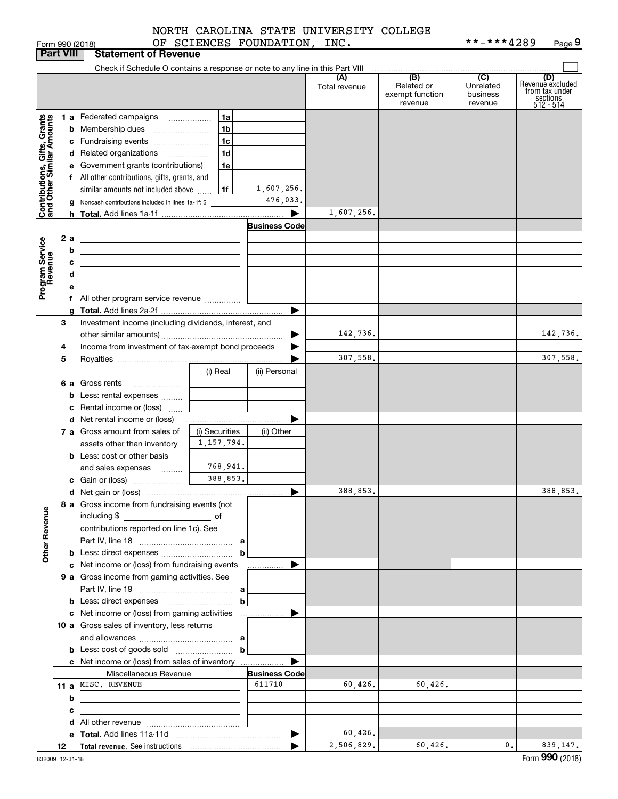|  | NORTH CAROLINA STATE UNIVERSITY COLLEGE |  |
|--|-----------------------------------------|--|
|  |                                         |  |

Form 990 (2018) OF SCIENCES FOUNDATION, INC. \* \*-\*\*\*4289 Page **9** \*\*-\*\*\*4289

|                                                           | <b>Part VIII</b> | <b>Statement of Revenue</b>                                                                                                         |                                |                       |                      |                                                 |                                         |                                                                      |
|-----------------------------------------------------------|------------------|-------------------------------------------------------------------------------------------------------------------------------------|--------------------------------|-----------------------|----------------------|-------------------------------------------------|-----------------------------------------|----------------------------------------------------------------------|
|                                                           |                  | Check if Schedule O contains a response or note to any line in this Part VIII                                                       |                                |                       |                      |                                                 |                                         |                                                                      |
|                                                           |                  |                                                                                                                                     |                                |                       | (A)<br>Total revenue | (B)<br>Related or<br>exempt function<br>revenue | (C)<br>Unrelated<br>business<br>revenue | (D)<br>Revenuè excluded<br>from tax under<br>sections<br>$512 - 514$ |
|                                                           |                  | 1 a Federated campaigns                                                                                                             | 1a                             |                       |                      |                                                 |                                         |                                                                      |
|                                                           |                  | <b>b</b> Membership dues                                                                                                            | 1 <sub>b</sub>                 |                       |                      |                                                 |                                         |                                                                      |
|                                                           |                  | c Fundraising events                                                                                                                | 1 <sub>c</sub>                 |                       |                      |                                                 |                                         |                                                                      |
|                                                           |                  | d Related organizations                                                                                                             | 1 <sub>d</sub>                 |                       |                      |                                                 |                                         |                                                                      |
|                                                           |                  | e Government grants (contributions)                                                                                                 | 1e                             |                       |                      |                                                 |                                         |                                                                      |
|                                                           |                  | f All other contributions, gifts, grants, and                                                                                       |                                |                       |                      |                                                 |                                         |                                                                      |
|                                                           |                  | similar amounts not included above                                                                                                  | 1f                             | 1,607,256.            |                      |                                                 |                                         |                                                                      |
| Contributions, Gifts, Grants<br>and Other Similar Amounts |                  | <b>g</b> Noncash contributions included in lines 1a-1f: \$                                                                          |                                | 476,033.              |                      |                                                 |                                         |                                                                      |
|                                                           |                  |                                                                                                                                     |                                |                       | 1,607,256.           |                                                 |                                         |                                                                      |
|                                                           |                  |                                                                                                                                     |                                | <b>Business Code</b>  |                      |                                                 |                                         |                                                                      |
|                                                           | 2a               | <u> 1989 - Johann Barn, fransk politik (d. 1989)</u>                                                                                |                                |                       |                      |                                                 |                                         |                                                                      |
| Program Service<br>Revenue                                | b                | <u> 1989 - Johann Stein, mars an de Brazilian (b. 1989)</u>                                                                         |                                |                       |                      |                                                 |                                         |                                                                      |
|                                                           | с<br>d           | <u> 1989 - John Stein, Amerikaansk politiker (</u>                                                                                  |                                |                       |                      |                                                 |                                         |                                                                      |
|                                                           | е                |                                                                                                                                     |                                |                       |                      |                                                 |                                         |                                                                      |
|                                                           |                  |                                                                                                                                     |                                |                       |                      |                                                 |                                         |                                                                      |
|                                                           |                  |                                                                                                                                     |                                |                       |                      |                                                 |                                         |                                                                      |
|                                                           | 3                | Investment income (including dividends, interest, and                                                                               |                                |                       |                      |                                                 |                                         |                                                                      |
|                                                           |                  |                                                                                                                                     |                                |                       | 142,736.             |                                                 |                                         | 142,736.                                                             |
|                                                           | 4                | Income from investment of tax-exempt bond proceeds                                                                                  |                                |                       |                      |                                                 |                                         |                                                                      |
|                                                           | 5                |                                                                                                                                     |                                |                       | 307,558.             |                                                 |                                         | 307,558.                                                             |
|                                                           |                  |                                                                                                                                     | (i) Real                       | (ii) Personal         |                      |                                                 |                                         |                                                                      |
|                                                           |                  | 6 a Gross rents                                                                                                                     |                                |                       |                      |                                                 |                                         |                                                                      |
|                                                           |                  | b Less: rental expenses    <b>Conserverse System</b>                                                                                |                                |                       |                      |                                                 |                                         |                                                                      |
|                                                           |                  | Rental income or (loss)                                                                                                             |                                |                       |                      |                                                 |                                         |                                                                      |
|                                                           |                  |                                                                                                                                     |                                |                       |                      |                                                 |                                         |                                                                      |
|                                                           |                  | 7 a Gross amount from sales of                                                                                                      | (i) Securities<br>1, 157, 794. | (ii) Other            |                      |                                                 |                                         |                                                                      |
|                                                           |                  | assets other than inventory                                                                                                         |                                |                       |                      |                                                 |                                         |                                                                      |
|                                                           |                  | <b>b</b> Less: cost or other basis<br>and sales expenses                                                                            | 768,941.                       |                       |                      |                                                 |                                         |                                                                      |
|                                                           |                  |                                                                                                                                     | 388,853.                       |                       |                      |                                                 |                                         |                                                                      |
|                                                           |                  |                                                                                                                                     |                                | ▶                     | 388,853.             |                                                 |                                         | 388,853.                                                             |
|                                                           |                  | 8 a Gross income from fundraising events (not                                                                                       |                                |                       |                      |                                                 |                                         |                                                                      |
|                                                           |                  | including \$<br>and the contract of the contract of the contract of the contract of the contract of the contract of the contract of |                                |                       |                      |                                                 |                                         |                                                                      |
| <b>Other Revenue</b>                                      |                  | contributions reported on line 1c). See                                                                                             |                                |                       |                      |                                                 |                                         |                                                                      |
|                                                           |                  |                                                                                                                                     |                                |                       |                      |                                                 |                                         |                                                                      |
|                                                           |                  |                                                                                                                                     | $\mathbf b$                    |                       |                      |                                                 |                                         |                                                                      |
|                                                           |                  | c Net income or (loss) from fundraising events                                                                                      |                                | .                     |                      |                                                 |                                         |                                                                      |
|                                                           |                  | 9 a Gross income from gaming activities. See                                                                                        |                                |                       |                      |                                                 |                                         |                                                                      |
|                                                           |                  |                                                                                                                                     |                                |                       |                      |                                                 |                                         |                                                                      |
|                                                           |                  |                                                                                                                                     | b                              |                       |                      |                                                 |                                         |                                                                      |
|                                                           |                  |                                                                                                                                     |                                |                       |                      |                                                 |                                         |                                                                      |
|                                                           |                  | 10 a Gross sales of inventory, less returns                                                                                         |                                |                       |                      |                                                 |                                         |                                                                      |
|                                                           |                  |                                                                                                                                     | b                              |                       |                      |                                                 |                                         |                                                                      |
|                                                           |                  | c Net income or (loss) from sales of inventory                                                                                      |                                |                       |                      |                                                 |                                         |                                                                      |
|                                                           |                  | Miscellaneous Revenue                                                                                                               |                                | <b>Business Code</b>  |                      |                                                 |                                         |                                                                      |
|                                                           |                  | 11 a MISC. REVENUE                                                                                                                  |                                | 611710                | 60,426.              | 60,426.                                         |                                         |                                                                      |
|                                                           | b                |                                                                                                                                     |                                |                       |                      |                                                 |                                         |                                                                      |
|                                                           | с                |                                                                                                                                     |                                |                       |                      |                                                 |                                         |                                                                      |
|                                                           |                  |                                                                                                                                     |                                |                       |                      |                                                 |                                         |                                                                      |
|                                                           |                  |                                                                                                                                     |                                | $\blacktriangleright$ | 60,426.              |                                                 |                                         |                                                                      |
|                                                           | 12               |                                                                                                                                     |                                |                       | 2,506,829.           | 60,426.                                         | $\mathbf{0}$ .                          | 839,147.                                                             |
|                                                           | 832009 12-31-18  |                                                                                                                                     |                                |                       |                      |                                                 |                                         | Form 990 (2018)                                                      |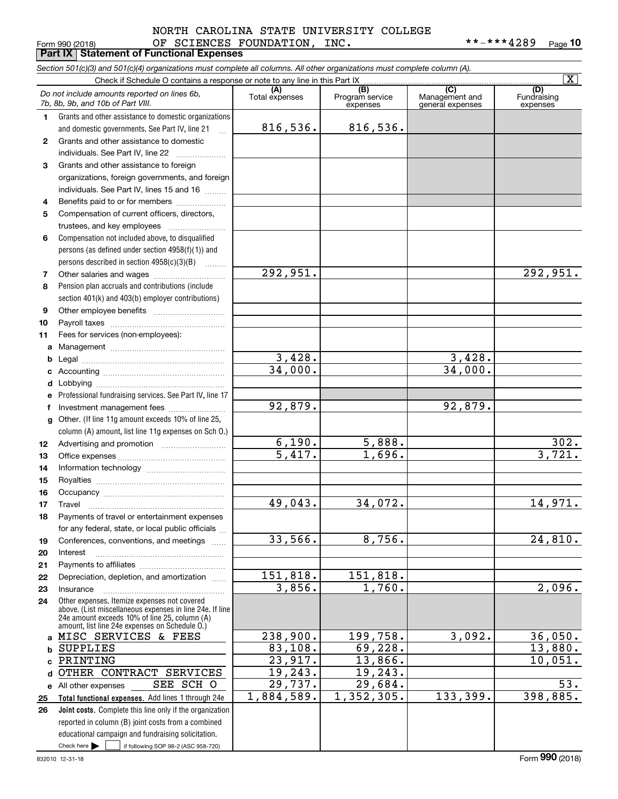# Form 990 (2018) OF SCIENCES FOUNDATION, INC. \*\*-\*\*\*4289 <sub>Page</sub> Form 990 (2018) **DETENCES FOUNDATION, INC.**<br>**Part IX** Statement of Functional Expenses NORTH CAROLINA STATE UNIVERSITY COLLEGE

|              | Section 501(c)(3) and 501(c)(4) organizations must complete all columns. All other organizations must complete column (A).                                                                                  |                      |                             |                                    | $\overline{\mathbf{X}}$ |
|--------------|-------------------------------------------------------------------------------------------------------------------------------------------------------------------------------------------------------------|----------------------|-----------------------------|------------------------------------|-------------------------|
|              | Check if Schedule O contains a response or note to any line in this Part IX                                                                                                                                 | (A)                  | (B)                         | (C)                                | (D)                     |
|              | Do not include amounts reported on lines 6b,<br>7b, 8b, 9b, and 10b of Part VIII.                                                                                                                           | Total expenses       | Program service<br>expenses | Management and<br>general expenses | Fundraising<br>expenses |
| 1.           | Grants and other assistance to domestic organizations                                                                                                                                                       |                      |                             |                                    |                         |
|              | and domestic governments. See Part IV, line 21<br>$\ddotsc$                                                                                                                                                 | 816,536.             | 816,536.                    |                                    |                         |
| $\mathbf{2}$ | Grants and other assistance to domestic                                                                                                                                                                     |                      |                             |                                    |                         |
|              | individuals. See Part IV, line 22                                                                                                                                                                           |                      |                             |                                    |                         |
| 3            | Grants and other assistance to foreign                                                                                                                                                                      |                      |                             |                                    |                         |
|              | organizations, foreign governments, and foreign                                                                                                                                                             |                      |                             |                                    |                         |
|              | individuals. See Part IV, lines 15 and 16                                                                                                                                                                   |                      |                             |                                    |                         |
| 4            | Benefits paid to or for members                                                                                                                                                                             |                      |                             |                                    |                         |
| 5            | Compensation of current officers, directors,                                                                                                                                                                |                      |                             |                                    |                         |
|              |                                                                                                                                                                                                             |                      |                             |                                    |                         |
| 6            | Compensation not included above, to disqualified                                                                                                                                                            |                      |                             |                                    |                         |
|              | persons (as defined under section 4958(f)(1)) and                                                                                                                                                           |                      |                             |                                    |                         |
|              | persons described in section 4958(c)(3)(B)<br>1.1.1.1.1.1.1                                                                                                                                                 |                      |                             |                                    |                         |
| 7            | Other salaries and wages                                                                                                                                                                                    | 292,951.             |                             |                                    | 292,951.                |
| 8            | Pension plan accruals and contributions (include                                                                                                                                                            |                      |                             |                                    |                         |
|              | section 401(k) and 403(b) employer contributions)                                                                                                                                                           |                      |                             |                                    |                         |
| 9            |                                                                                                                                                                                                             |                      |                             |                                    |                         |
| 10           |                                                                                                                                                                                                             |                      |                             |                                    |                         |
| 11           | Fees for services (non-employees):                                                                                                                                                                          |                      |                             |                                    |                         |
| a            |                                                                                                                                                                                                             |                      |                             |                                    |                         |
| b            |                                                                                                                                                                                                             | 3,428.               |                             | 3,428.                             |                         |
| c            |                                                                                                                                                                                                             | 34,000.              |                             | 34,000.                            |                         |
| d            |                                                                                                                                                                                                             |                      |                             |                                    |                         |
| е            | Professional fundraising services. See Part IV, line 17                                                                                                                                                     |                      |                             |                                    |                         |
| f            | Investment management fees                                                                                                                                                                                  | 92,879.              |                             | 92,879.                            |                         |
| g            | Other. (If line 11g amount exceeds 10% of line 25,                                                                                                                                                          |                      |                             |                                    |                         |
|              | column (A) amount, list line 11g expenses on Sch O.)                                                                                                                                                        |                      |                             |                                    |                         |
| 12           |                                                                                                                                                                                                             | 6,190.               | 5,888.                      |                                    | 302.                    |
| 13           |                                                                                                                                                                                                             | $\overline{5,417}$ . | 1,696.                      |                                    | 3,721.                  |
| 14           |                                                                                                                                                                                                             |                      |                             |                                    |                         |
| 15           |                                                                                                                                                                                                             |                      |                             |                                    |                         |
| 16           |                                                                                                                                                                                                             |                      |                             |                                    |                         |
| 17           |                                                                                                                                                                                                             | 49,043.              | 34,072.                     |                                    | 14,971.                 |
| 18           | Payments of travel or entertainment expenses                                                                                                                                                                |                      |                             |                                    |                         |
|              | for any federal, state, or local public officials                                                                                                                                                           |                      |                             |                                    |                         |
| 19           | Conferences, conventions, and meetings                                                                                                                                                                      | 33,566.              | 8,756.                      |                                    | 24,810.                 |
| 20           | Interest                                                                                                                                                                                                    |                      |                             |                                    |                         |
| 21           |                                                                                                                                                                                                             | 151,818.             | 151,818.                    |                                    |                         |
| 22           | Depreciation, depletion, and amortization                                                                                                                                                                   | 3,856.               | 1,760.                      |                                    | 2,096.                  |
| 23           | Insurance                                                                                                                                                                                                   |                      |                             |                                    |                         |
| 24           | Other expenses. Itemize expenses not covered<br>above. (List miscellaneous expenses in line 24e. If line<br>24e amount exceeds 10% of line 25, column (A)<br>amount, list line 24e expenses on Schedule O.) |                      |                             |                                    |                         |
| a            | MISC SERVICES & FEES                                                                                                                                                                                        | 238,900.             | 199,758.                    | 3,092.                             | 36,050.                 |
| b            | <b>SUPPLIES</b>                                                                                                                                                                                             | 83,108.              | 69,228.                     |                                    | 13,880.                 |
| C            | PRINTING                                                                                                                                                                                                    | 23,917.              | 13,866.                     |                                    | 10,051.                 |
| d            | OTHER CONTRACT SERVICES                                                                                                                                                                                     | 19,243.              | 19,243.                     |                                    |                         |
|              | SCH O<br>SEE<br>e All other expenses                                                                                                                                                                        | 29,737.              | 29,684.                     |                                    | 53.                     |
| 25           | Total functional expenses. Add lines 1 through 24e                                                                                                                                                          | 1,884,589.           | 1,352,305.                  | 133,399.                           | 398,885.                |
| 26           | Joint costs. Complete this line only if the organization                                                                                                                                                    |                      |                             |                                    |                         |
|              | reported in column (B) joint costs from a combined                                                                                                                                                          |                      |                             |                                    |                         |
|              | educational campaign and fundraising solicitation.                                                                                                                                                          |                      |                             |                                    |                         |
|              | Check here $\blacktriangleright$<br>if following SOP 98-2 (ASC 958-720)                                                                                                                                     |                      |                             |                                    |                         |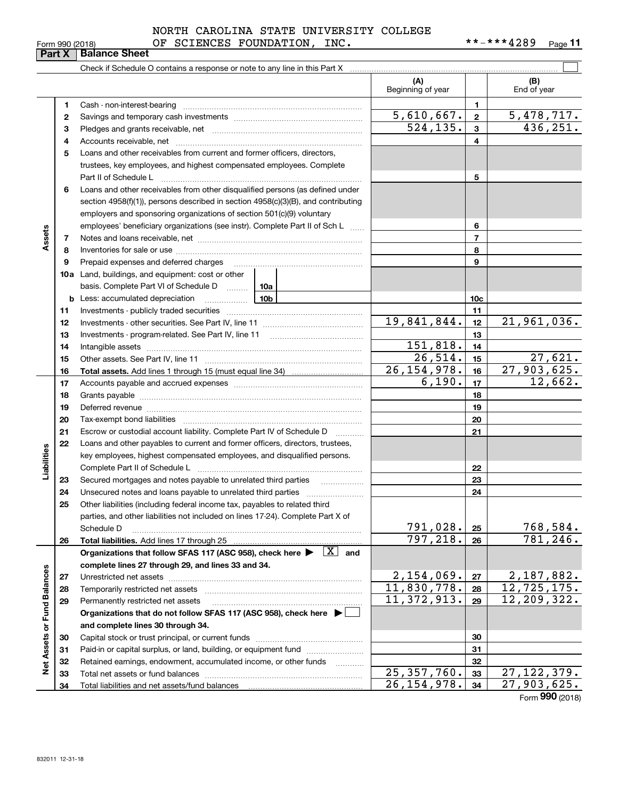|                 | NORTH CAROLINA STATE UNIVERSITY COLLEGE |            |         |
|-----------------|-----------------------------------------|------------|---------|
| Form 990 (2018) | INC.<br>OF SCIENCES FOUNDATION.         | **-***4289 | Page 11 |

| (A)<br>(B)<br>Beginning of year<br>End of year<br>1<br>1<br>$\frac{5,478,717.}{436,251.}$<br><u>5,610,667.</u><br>$\mathbf{2}$<br>2<br>524, 135.<br>3<br>з<br>4<br>4<br>Loans and other receivables from current and former officers, directors,<br>5<br>trustees, key employees, and highest compensated employees. Complete<br>5<br>Part II of Schedule L<br>Loans and other receivables from other disqualified persons (as defined under<br>6<br>section $4958(f)(1)$ , persons described in section $4958(c)(3)(B)$ , and contributing<br>employers and sponsoring organizations of section 501(c)(9) voluntary<br>employees' beneficiary organizations (see instr). Complete Part II of Sch L<br>6<br>Assets<br>$\overline{7}$<br>7<br>8<br>8<br>9<br>9<br><b>10a</b> Land, buildings, and equipment: cost or other<br>basis. Complete Part VI of Schedule D  10a<br><u>10b</u><br>10c<br>Less: accumulated depreciation<br>b<br>11<br>11<br>19,841,844.<br>21,961,036.<br>12<br>12<br>13<br>13<br>151,818.<br>14<br>14<br>26,514.<br>27,621.<br>15<br>15<br>27,903,625.<br>26, 154, 978.<br>16<br>16<br>6,190.<br>12,662.<br>17<br>17<br>18<br>18<br>19<br>19<br>Deferred revenue material contracts and contracts are contracted and contract and contract are contracted and contract are contracted and contract are contracted and contract are contracted and contract are contracted and<br>20<br>20<br>21<br>Escrow or custodial account liability. Complete Part IV of Schedule D<br>21<br>$\cdots$<br>Loans and other payables to current and former officers, directors, trustees,<br>22<br>Liabilities<br>key employees, highest compensated employees, and disqualified persons.<br>22<br>23<br>23<br>24<br>24<br>Other liabilities (including federal income tax, payables to related third<br>25<br>parties, and other liabilities not included on lines 17-24). Complete Part X of<br>791,028.<br>768,584.<br>25<br>Schedule D<br>797, 218.<br>781, 246.<br>Total liabilities. Add lines 17 through 25<br>26<br>26<br>Organizations that follow SFAS 117 (ASC 958), check here $\blacktriangleright \begin{array}{ c } \hline X & \text{and} \end{array}$<br>complete lines 27 through 29, and lines 33 and 34.<br>Net Assets or Fund Balances<br>2,154,069.<br>2,187,882.<br>27<br>Unrestricted net assets<br>27<br>12, 725, 175.<br>11,830,778.<br>28<br>Temporarily restricted net assets<br>28<br>11, 372, 913.<br>12,209,322.<br>29<br>Permanently restricted net assets<br>29<br>Organizations that do not follow SFAS 117 (ASC 958), check here ▶ │<br>and complete lines 30 through 34.<br>30<br>30<br>Paid-in or capital surplus, or land, building, or equipment fund<br>31<br>31<br>32<br>Retained earnings, endowment, accumulated income, or other funds<br>32<br>.<br>25, 357, 760.<br>27,122,379.<br>33<br>Total net assets or fund balances<br>33<br>26, 154, 978.<br>$\overline{27,903,625}$ .<br>34<br>Total liabilities and net assets/fund balances<br>34<br>$E_{\text{arm}}$ 990 $\mu$ |  |  |  |  |
|-----------------------------------------------------------------------------------------------------------------------------------------------------------------------------------------------------------------------------------------------------------------------------------------------------------------------------------------------------------------------------------------------------------------------------------------------------------------------------------------------------------------------------------------------------------------------------------------------------------------------------------------------------------------------------------------------------------------------------------------------------------------------------------------------------------------------------------------------------------------------------------------------------------------------------------------------------------------------------------------------------------------------------------------------------------------------------------------------------------------------------------------------------------------------------------------------------------------------------------------------------------------------------------------------------------------------------------------------------------------------------------------------------------------------------------------------------------------------------------------------------------------------------------------------------------------------------------------------------------------------------------------------------------------------------------------------------------------------------------------------------------------------------------------------------------------------------------------------------------------------------------------------------------------------------------------------------------------------------------------------------------------------------------------------------------------------------------------------------------------------------------------------------------------------------------------------------------------------------------------------------------------------------------------------------------------------------------------------------------------------------------------------------------------------------------------------------------------------------------------------------------------------------------------------------------------------------------------------------------------------------------------------------------------------------------------------------------------------------------------------------------------------------------------------------------------------------------------------------------------------------------------------------------------------------------------------------------------------------------------------------------------------------------|--|--|--|--|
|                                                                                                                                                                                                                                                                                                                                                                                                                                                                                                                                                                                                                                                                                                                                                                                                                                                                                                                                                                                                                                                                                                                                                                                                                                                                                                                                                                                                                                                                                                                                                                                                                                                                                                                                                                                                                                                                                                                                                                                                                                                                                                                                                                                                                                                                                                                                                                                                                                                                                                                                                                                                                                                                                                                                                                                                                                                                                                                                                                                                                                   |  |  |  |  |
|                                                                                                                                                                                                                                                                                                                                                                                                                                                                                                                                                                                                                                                                                                                                                                                                                                                                                                                                                                                                                                                                                                                                                                                                                                                                                                                                                                                                                                                                                                                                                                                                                                                                                                                                                                                                                                                                                                                                                                                                                                                                                                                                                                                                                                                                                                                                                                                                                                                                                                                                                                                                                                                                                                                                                                                                                                                                                                                                                                                                                                   |  |  |  |  |
|                                                                                                                                                                                                                                                                                                                                                                                                                                                                                                                                                                                                                                                                                                                                                                                                                                                                                                                                                                                                                                                                                                                                                                                                                                                                                                                                                                                                                                                                                                                                                                                                                                                                                                                                                                                                                                                                                                                                                                                                                                                                                                                                                                                                                                                                                                                                                                                                                                                                                                                                                                                                                                                                                                                                                                                                                                                                                                                                                                                                                                   |  |  |  |  |
|                                                                                                                                                                                                                                                                                                                                                                                                                                                                                                                                                                                                                                                                                                                                                                                                                                                                                                                                                                                                                                                                                                                                                                                                                                                                                                                                                                                                                                                                                                                                                                                                                                                                                                                                                                                                                                                                                                                                                                                                                                                                                                                                                                                                                                                                                                                                                                                                                                                                                                                                                                                                                                                                                                                                                                                                                                                                                                                                                                                                                                   |  |  |  |  |
|                                                                                                                                                                                                                                                                                                                                                                                                                                                                                                                                                                                                                                                                                                                                                                                                                                                                                                                                                                                                                                                                                                                                                                                                                                                                                                                                                                                                                                                                                                                                                                                                                                                                                                                                                                                                                                                                                                                                                                                                                                                                                                                                                                                                                                                                                                                                                                                                                                                                                                                                                                                                                                                                                                                                                                                                                                                                                                                                                                                                                                   |  |  |  |  |
|                                                                                                                                                                                                                                                                                                                                                                                                                                                                                                                                                                                                                                                                                                                                                                                                                                                                                                                                                                                                                                                                                                                                                                                                                                                                                                                                                                                                                                                                                                                                                                                                                                                                                                                                                                                                                                                                                                                                                                                                                                                                                                                                                                                                                                                                                                                                                                                                                                                                                                                                                                                                                                                                                                                                                                                                                                                                                                                                                                                                                                   |  |  |  |  |
|                                                                                                                                                                                                                                                                                                                                                                                                                                                                                                                                                                                                                                                                                                                                                                                                                                                                                                                                                                                                                                                                                                                                                                                                                                                                                                                                                                                                                                                                                                                                                                                                                                                                                                                                                                                                                                                                                                                                                                                                                                                                                                                                                                                                                                                                                                                                                                                                                                                                                                                                                                                                                                                                                                                                                                                                                                                                                                                                                                                                                                   |  |  |  |  |
|                                                                                                                                                                                                                                                                                                                                                                                                                                                                                                                                                                                                                                                                                                                                                                                                                                                                                                                                                                                                                                                                                                                                                                                                                                                                                                                                                                                                                                                                                                                                                                                                                                                                                                                                                                                                                                                                                                                                                                                                                                                                                                                                                                                                                                                                                                                                                                                                                                                                                                                                                                                                                                                                                                                                                                                                                                                                                                                                                                                                                                   |  |  |  |  |
|                                                                                                                                                                                                                                                                                                                                                                                                                                                                                                                                                                                                                                                                                                                                                                                                                                                                                                                                                                                                                                                                                                                                                                                                                                                                                                                                                                                                                                                                                                                                                                                                                                                                                                                                                                                                                                                                                                                                                                                                                                                                                                                                                                                                                                                                                                                                                                                                                                                                                                                                                                                                                                                                                                                                                                                                                                                                                                                                                                                                                                   |  |  |  |  |
|                                                                                                                                                                                                                                                                                                                                                                                                                                                                                                                                                                                                                                                                                                                                                                                                                                                                                                                                                                                                                                                                                                                                                                                                                                                                                                                                                                                                                                                                                                                                                                                                                                                                                                                                                                                                                                                                                                                                                                                                                                                                                                                                                                                                                                                                                                                                                                                                                                                                                                                                                                                                                                                                                                                                                                                                                                                                                                                                                                                                                                   |  |  |  |  |
|                                                                                                                                                                                                                                                                                                                                                                                                                                                                                                                                                                                                                                                                                                                                                                                                                                                                                                                                                                                                                                                                                                                                                                                                                                                                                                                                                                                                                                                                                                                                                                                                                                                                                                                                                                                                                                                                                                                                                                                                                                                                                                                                                                                                                                                                                                                                                                                                                                                                                                                                                                                                                                                                                                                                                                                                                                                                                                                                                                                                                                   |  |  |  |  |
|                                                                                                                                                                                                                                                                                                                                                                                                                                                                                                                                                                                                                                                                                                                                                                                                                                                                                                                                                                                                                                                                                                                                                                                                                                                                                                                                                                                                                                                                                                                                                                                                                                                                                                                                                                                                                                                                                                                                                                                                                                                                                                                                                                                                                                                                                                                                                                                                                                                                                                                                                                                                                                                                                                                                                                                                                                                                                                                                                                                                                                   |  |  |  |  |
|                                                                                                                                                                                                                                                                                                                                                                                                                                                                                                                                                                                                                                                                                                                                                                                                                                                                                                                                                                                                                                                                                                                                                                                                                                                                                                                                                                                                                                                                                                                                                                                                                                                                                                                                                                                                                                                                                                                                                                                                                                                                                                                                                                                                                                                                                                                                                                                                                                                                                                                                                                                                                                                                                                                                                                                                                                                                                                                                                                                                                                   |  |  |  |  |
|                                                                                                                                                                                                                                                                                                                                                                                                                                                                                                                                                                                                                                                                                                                                                                                                                                                                                                                                                                                                                                                                                                                                                                                                                                                                                                                                                                                                                                                                                                                                                                                                                                                                                                                                                                                                                                                                                                                                                                                                                                                                                                                                                                                                                                                                                                                                                                                                                                                                                                                                                                                                                                                                                                                                                                                                                                                                                                                                                                                                                                   |  |  |  |  |
|                                                                                                                                                                                                                                                                                                                                                                                                                                                                                                                                                                                                                                                                                                                                                                                                                                                                                                                                                                                                                                                                                                                                                                                                                                                                                                                                                                                                                                                                                                                                                                                                                                                                                                                                                                                                                                                                                                                                                                                                                                                                                                                                                                                                                                                                                                                                                                                                                                                                                                                                                                                                                                                                                                                                                                                                                                                                                                                                                                                                                                   |  |  |  |  |
|                                                                                                                                                                                                                                                                                                                                                                                                                                                                                                                                                                                                                                                                                                                                                                                                                                                                                                                                                                                                                                                                                                                                                                                                                                                                                                                                                                                                                                                                                                                                                                                                                                                                                                                                                                                                                                                                                                                                                                                                                                                                                                                                                                                                                                                                                                                                                                                                                                                                                                                                                                                                                                                                                                                                                                                                                                                                                                                                                                                                                                   |  |  |  |  |
|                                                                                                                                                                                                                                                                                                                                                                                                                                                                                                                                                                                                                                                                                                                                                                                                                                                                                                                                                                                                                                                                                                                                                                                                                                                                                                                                                                                                                                                                                                                                                                                                                                                                                                                                                                                                                                                                                                                                                                                                                                                                                                                                                                                                                                                                                                                                                                                                                                                                                                                                                                                                                                                                                                                                                                                                                                                                                                                                                                                                                                   |  |  |  |  |
|                                                                                                                                                                                                                                                                                                                                                                                                                                                                                                                                                                                                                                                                                                                                                                                                                                                                                                                                                                                                                                                                                                                                                                                                                                                                                                                                                                                                                                                                                                                                                                                                                                                                                                                                                                                                                                                                                                                                                                                                                                                                                                                                                                                                                                                                                                                                                                                                                                                                                                                                                                                                                                                                                                                                                                                                                                                                                                                                                                                                                                   |  |  |  |  |
|                                                                                                                                                                                                                                                                                                                                                                                                                                                                                                                                                                                                                                                                                                                                                                                                                                                                                                                                                                                                                                                                                                                                                                                                                                                                                                                                                                                                                                                                                                                                                                                                                                                                                                                                                                                                                                                                                                                                                                                                                                                                                                                                                                                                                                                                                                                                                                                                                                                                                                                                                                                                                                                                                                                                                                                                                                                                                                                                                                                                                                   |  |  |  |  |
|                                                                                                                                                                                                                                                                                                                                                                                                                                                                                                                                                                                                                                                                                                                                                                                                                                                                                                                                                                                                                                                                                                                                                                                                                                                                                                                                                                                                                                                                                                                                                                                                                                                                                                                                                                                                                                                                                                                                                                                                                                                                                                                                                                                                                                                                                                                                                                                                                                                                                                                                                                                                                                                                                                                                                                                                                                                                                                                                                                                                                                   |  |  |  |  |
|                                                                                                                                                                                                                                                                                                                                                                                                                                                                                                                                                                                                                                                                                                                                                                                                                                                                                                                                                                                                                                                                                                                                                                                                                                                                                                                                                                                                                                                                                                                                                                                                                                                                                                                                                                                                                                                                                                                                                                                                                                                                                                                                                                                                                                                                                                                                                                                                                                                                                                                                                                                                                                                                                                                                                                                                                                                                                                                                                                                                                                   |  |  |  |  |
|                                                                                                                                                                                                                                                                                                                                                                                                                                                                                                                                                                                                                                                                                                                                                                                                                                                                                                                                                                                                                                                                                                                                                                                                                                                                                                                                                                                                                                                                                                                                                                                                                                                                                                                                                                                                                                                                                                                                                                                                                                                                                                                                                                                                                                                                                                                                                                                                                                                                                                                                                                                                                                                                                                                                                                                                                                                                                                                                                                                                                                   |  |  |  |  |
|                                                                                                                                                                                                                                                                                                                                                                                                                                                                                                                                                                                                                                                                                                                                                                                                                                                                                                                                                                                                                                                                                                                                                                                                                                                                                                                                                                                                                                                                                                                                                                                                                                                                                                                                                                                                                                                                                                                                                                                                                                                                                                                                                                                                                                                                                                                                                                                                                                                                                                                                                                                                                                                                                                                                                                                                                                                                                                                                                                                                                                   |  |  |  |  |
|                                                                                                                                                                                                                                                                                                                                                                                                                                                                                                                                                                                                                                                                                                                                                                                                                                                                                                                                                                                                                                                                                                                                                                                                                                                                                                                                                                                                                                                                                                                                                                                                                                                                                                                                                                                                                                                                                                                                                                                                                                                                                                                                                                                                                                                                                                                                                                                                                                                                                                                                                                                                                                                                                                                                                                                                                                                                                                                                                                                                                                   |  |  |  |  |
|                                                                                                                                                                                                                                                                                                                                                                                                                                                                                                                                                                                                                                                                                                                                                                                                                                                                                                                                                                                                                                                                                                                                                                                                                                                                                                                                                                                                                                                                                                                                                                                                                                                                                                                                                                                                                                                                                                                                                                                                                                                                                                                                                                                                                                                                                                                                                                                                                                                                                                                                                                                                                                                                                                                                                                                                                                                                                                                                                                                                                                   |  |  |  |  |
|                                                                                                                                                                                                                                                                                                                                                                                                                                                                                                                                                                                                                                                                                                                                                                                                                                                                                                                                                                                                                                                                                                                                                                                                                                                                                                                                                                                                                                                                                                                                                                                                                                                                                                                                                                                                                                                                                                                                                                                                                                                                                                                                                                                                                                                                                                                                                                                                                                                                                                                                                                                                                                                                                                                                                                                                                                                                                                                                                                                                                                   |  |  |  |  |
|                                                                                                                                                                                                                                                                                                                                                                                                                                                                                                                                                                                                                                                                                                                                                                                                                                                                                                                                                                                                                                                                                                                                                                                                                                                                                                                                                                                                                                                                                                                                                                                                                                                                                                                                                                                                                                                                                                                                                                                                                                                                                                                                                                                                                                                                                                                                                                                                                                                                                                                                                                                                                                                                                                                                                                                                                                                                                                                                                                                                                                   |  |  |  |  |
|                                                                                                                                                                                                                                                                                                                                                                                                                                                                                                                                                                                                                                                                                                                                                                                                                                                                                                                                                                                                                                                                                                                                                                                                                                                                                                                                                                                                                                                                                                                                                                                                                                                                                                                                                                                                                                                                                                                                                                                                                                                                                                                                                                                                                                                                                                                                                                                                                                                                                                                                                                                                                                                                                                                                                                                                                                                                                                                                                                                                                                   |  |  |  |  |
|                                                                                                                                                                                                                                                                                                                                                                                                                                                                                                                                                                                                                                                                                                                                                                                                                                                                                                                                                                                                                                                                                                                                                                                                                                                                                                                                                                                                                                                                                                                                                                                                                                                                                                                                                                                                                                                                                                                                                                                                                                                                                                                                                                                                                                                                                                                                                                                                                                                                                                                                                                                                                                                                                                                                                                                                                                                                                                                                                                                                                                   |  |  |  |  |
|                                                                                                                                                                                                                                                                                                                                                                                                                                                                                                                                                                                                                                                                                                                                                                                                                                                                                                                                                                                                                                                                                                                                                                                                                                                                                                                                                                                                                                                                                                                                                                                                                                                                                                                                                                                                                                                                                                                                                                                                                                                                                                                                                                                                                                                                                                                                                                                                                                                                                                                                                                                                                                                                                                                                                                                                                                                                                                                                                                                                                                   |  |  |  |  |
|                                                                                                                                                                                                                                                                                                                                                                                                                                                                                                                                                                                                                                                                                                                                                                                                                                                                                                                                                                                                                                                                                                                                                                                                                                                                                                                                                                                                                                                                                                                                                                                                                                                                                                                                                                                                                                                                                                                                                                                                                                                                                                                                                                                                                                                                                                                                                                                                                                                                                                                                                                                                                                                                                                                                                                                                                                                                                                                                                                                                                                   |  |  |  |  |
|                                                                                                                                                                                                                                                                                                                                                                                                                                                                                                                                                                                                                                                                                                                                                                                                                                                                                                                                                                                                                                                                                                                                                                                                                                                                                                                                                                                                                                                                                                                                                                                                                                                                                                                                                                                                                                                                                                                                                                                                                                                                                                                                                                                                                                                                                                                                                                                                                                                                                                                                                                                                                                                                                                                                                                                                                                                                                                                                                                                                                                   |  |  |  |  |
|                                                                                                                                                                                                                                                                                                                                                                                                                                                                                                                                                                                                                                                                                                                                                                                                                                                                                                                                                                                                                                                                                                                                                                                                                                                                                                                                                                                                                                                                                                                                                                                                                                                                                                                                                                                                                                                                                                                                                                                                                                                                                                                                                                                                                                                                                                                                                                                                                                                                                                                                                                                                                                                                                                                                                                                                                                                                                                                                                                                                                                   |  |  |  |  |
|                                                                                                                                                                                                                                                                                                                                                                                                                                                                                                                                                                                                                                                                                                                                                                                                                                                                                                                                                                                                                                                                                                                                                                                                                                                                                                                                                                                                                                                                                                                                                                                                                                                                                                                                                                                                                                                                                                                                                                                                                                                                                                                                                                                                                                                                                                                                                                                                                                                                                                                                                                                                                                                                                                                                                                                                                                                                                                                                                                                                                                   |  |  |  |  |
|                                                                                                                                                                                                                                                                                                                                                                                                                                                                                                                                                                                                                                                                                                                                                                                                                                                                                                                                                                                                                                                                                                                                                                                                                                                                                                                                                                                                                                                                                                                                                                                                                                                                                                                                                                                                                                                                                                                                                                                                                                                                                                                                                                                                                                                                                                                                                                                                                                                                                                                                                                                                                                                                                                                                                                                                                                                                                                                                                                                                                                   |  |  |  |  |
|                                                                                                                                                                                                                                                                                                                                                                                                                                                                                                                                                                                                                                                                                                                                                                                                                                                                                                                                                                                                                                                                                                                                                                                                                                                                                                                                                                                                                                                                                                                                                                                                                                                                                                                                                                                                                                                                                                                                                                                                                                                                                                                                                                                                                                                                                                                                                                                                                                                                                                                                                                                                                                                                                                                                                                                                                                                                                                                                                                                                                                   |  |  |  |  |
|                                                                                                                                                                                                                                                                                                                                                                                                                                                                                                                                                                                                                                                                                                                                                                                                                                                                                                                                                                                                                                                                                                                                                                                                                                                                                                                                                                                                                                                                                                                                                                                                                                                                                                                                                                                                                                                                                                                                                                                                                                                                                                                                                                                                                                                                                                                                                                                                                                                                                                                                                                                                                                                                                                                                                                                                                                                                                                                                                                                                                                   |  |  |  |  |
|                                                                                                                                                                                                                                                                                                                                                                                                                                                                                                                                                                                                                                                                                                                                                                                                                                                                                                                                                                                                                                                                                                                                                                                                                                                                                                                                                                                                                                                                                                                                                                                                                                                                                                                                                                                                                                                                                                                                                                                                                                                                                                                                                                                                                                                                                                                                                                                                                                                                                                                                                                                                                                                                                                                                                                                                                                                                                                                                                                                                                                   |  |  |  |  |
|                                                                                                                                                                                                                                                                                                                                                                                                                                                                                                                                                                                                                                                                                                                                                                                                                                                                                                                                                                                                                                                                                                                                                                                                                                                                                                                                                                                                                                                                                                                                                                                                                                                                                                                                                                                                                                                                                                                                                                                                                                                                                                                                                                                                                                                                                                                                                                                                                                                                                                                                                                                                                                                                                                                                                                                                                                                                                                                                                                                                                                   |  |  |  |  |
|                                                                                                                                                                                                                                                                                                                                                                                                                                                                                                                                                                                                                                                                                                                                                                                                                                                                                                                                                                                                                                                                                                                                                                                                                                                                                                                                                                                                                                                                                                                                                                                                                                                                                                                                                                                                                                                                                                                                                                                                                                                                                                                                                                                                                                                                                                                                                                                                                                                                                                                                                                                                                                                                                                                                                                                                                                                                                                                                                                                                                                   |  |  |  |  |
|                                                                                                                                                                                                                                                                                                                                                                                                                                                                                                                                                                                                                                                                                                                                                                                                                                                                                                                                                                                                                                                                                                                                                                                                                                                                                                                                                                                                                                                                                                                                                                                                                                                                                                                                                                                                                                                                                                                                                                                                                                                                                                                                                                                                                                                                                                                                                                                                                                                                                                                                                                                                                                                                                                                                                                                                                                                                                                                                                                                                                                   |  |  |  |  |
|                                                                                                                                                                                                                                                                                                                                                                                                                                                                                                                                                                                                                                                                                                                                                                                                                                                                                                                                                                                                                                                                                                                                                                                                                                                                                                                                                                                                                                                                                                                                                                                                                                                                                                                                                                                                                                                                                                                                                                                                                                                                                                                                                                                                                                                                                                                                                                                                                                                                                                                                                                                                                                                                                                                                                                                                                                                                                                                                                                                                                                   |  |  |  |  |
|                                                                                                                                                                                                                                                                                                                                                                                                                                                                                                                                                                                                                                                                                                                                                                                                                                                                                                                                                                                                                                                                                                                                                                                                                                                                                                                                                                                                                                                                                                                                                                                                                                                                                                                                                                                                                                                                                                                                                                                                                                                                                                                                                                                                                                                                                                                                                                                                                                                                                                                                                                                                                                                                                                                                                                                                                                                                                                                                                                                                                                   |  |  |  |  |
|                                                                                                                                                                                                                                                                                                                                                                                                                                                                                                                                                                                                                                                                                                                                                                                                                                                                                                                                                                                                                                                                                                                                                                                                                                                                                                                                                                                                                                                                                                                                                                                                                                                                                                                                                                                                                                                                                                                                                                                                                                                                                                                                                                                                                                                                                                                                                                                                                                                                                                                                                                                                                                                                                                                                                                                                                                                                                                                                                                                                                                   |  |  |  |  |
|                                                                                                                                                                                                                                                                                                                                                                                                                                                                                                                                                                                                                                                                                                                                                                                                                                                                                                                                                                                                                                                                                                                                                                                                                                                                                                                                                                                                                                                                                                                                                                                                                                                                                                                                                                                                                                                                                                                                                                                                                                                                                                                                                                                                                                                                                                                                                                                                                                                                                                                                                                                                                                                                                                                                                                                                                                                                                                                                                                                                                                   |  |  |  |  |
|                                                                                                                                                                                                                                                                                                                                                                                                                                                                                                                                                                                                                                                                                                                                                                                                                                                                                                                                                                                                                                                                                                                                                                                                                                                                                                                                                                                                                                                                                                                                                                                                                                                                                                                                                                                                                                                                                                                                                                                                                                                                                                                                                                                                                                                                                                                                                                                                                                                                                                                                                                                                                                                                                                                                                                                                                                                                                                                                                                                                                                   |  |  |  |  |
|                                                                                                                                                                                                                                                                                                                                                                                                                                                                                                                                                                                                                                                                                                                                                                                                                                                                                                                                                                                                                                                                                                                                                                                                                                                                                                                                                                                                                                                                                                                                                                                                                                                                                                                                                                                                                                                                                                                                                                                                                                                                                                                                                                                                                                                                                                                                                                                                                                                                                                                                                                                                                                                                                                                                                                                                                                                                                                                                                                                                                                   |  |  |  |  |
|                                                                                                                                                                                                                                                                                                                                                                                                                                                                                                                                                                                                                                                                                                                                                                                                                                                                                                                                                                                                                                                                                                                                                                                                                                                                                                                                                                                                                                                                                                                                                                                                                                                                                                                                                                                                                                                                                                                                                                                                                                                                                                                                                                                                                                                                                                                                                                                                                                                                                                                                                                                                                                                                                                                                                                                                                                                                                                                                                                                                                                   |  |  |  |  |
|                                                                                                                                                                                                                                                                                                                                                                                                                                                                                                                                                                                                                                                                                                                                                                                                                                                                                                                                                                                                                                                                                                                                                                                                                                                                                                                                                                                                                                                                                                                                                                                                                                                                                                                                                                                                                                                                                                                                                                                                                                                                                                                                                                                                                                                                                                                                                                                                                                                                                                                                                                                                                                                                                                                                                                                                                                                                                                                                                                                                                                   |  |  |  |  |

Form (2018) **990**

# **Part X Balance Sheet**

| Form 990 (2018) |
|-----------------|
|-----------------|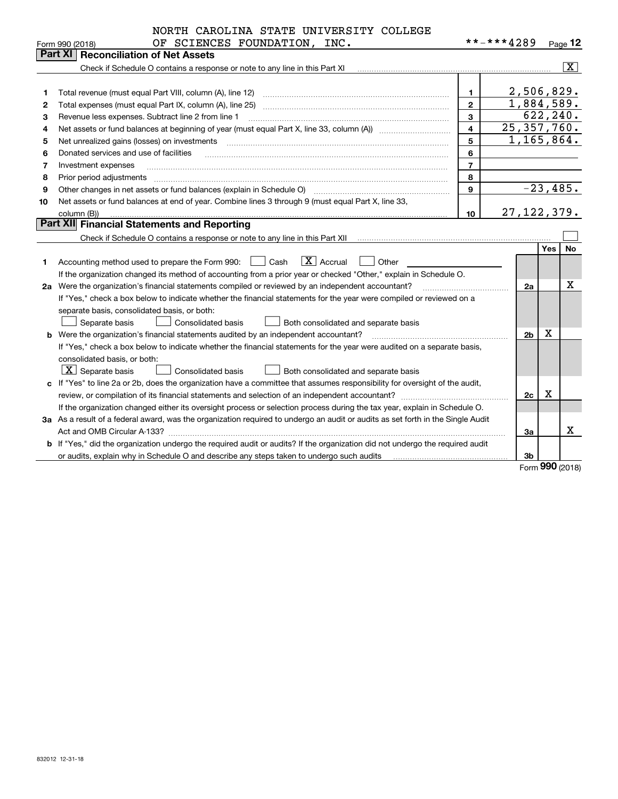|    | NORTH CAROLINA STATE UNIVERSITY COLLEGE                                                                                         |                |                          |     |                         |  |  |  |
|----|---------------------------------------------------------------------------------------------------------------------------------|----------------|--------------------------|-----|-------------------------|--|--|--|
|    | OF SCIENCES FOUNDATION, INC.<br>Form 990 (2018)                                                                                 |                | **-***4289               |     | Page $12$               |  |  |  |
|    | Part XI   Reconciliation of Net Assets                                                                                          |                |                          |     |                         |  |  |  |
|    |                                                                                                                                 |                |                          |     | $\overline{\mathbf{x}}$ |  |  |  |
|    |                                                                                                                                 |                |                          |     |                         |  |  |  |
| 1  | Total revenue (must equal Part VIII, column (A), line 12)                                                                       | $\mathbf{1}$   | 2,506,829.<br>1,884,589. |     |                         |  |  |  |
| 2  | $\overline{2}$<br>Total expenses (must equal Part IX, column (A), line 25)                                                      |                |                          |     |                         |  |  |  |
| З  | Revenue less expenses. Subtract line 2 from line 1                                                                              | 3              |                          |     | 622, 240.               |  |  |  |
| 4  |                                                                                                                                 | $\overline{4}$ | 25, 357, 760.            |     |                         |  |  |  |
| 5  | Net unrealized gains (losses) on investments                                                                                    | 5              | 1, 165, 864.             |     |                         |  |  |  |
| 6  | Donated services and use of facilities                                                                                          | 6              |                          |     |                         |  |  |  |
| 7  | Investment expenses                                                                                                             | $\overline{7}$ |                          |     |                         |  |  |  |
| 8  | Prior period adjustments                                                                                                        | 8              |                          |     |                         |  |  |  |
| 9  | Other changes in net assets or fund balances (explain in Schedule O)                                                            | $\mathbf{Q}$   |                          |     | $-23,485.$              |  |  |  |
| 10 | Net assets or fund balances at end of year. Combine lines 3 through 9 (must equal Part X, line 33,                              |                |                          |     |                         |  |  |  |
|    | column (B))                                                                                                                     | 10             | 27, 122, 379.            |     |                         |  |  |  |
|    | <b>Part XII Financial Statements and Reporting</b>                                                                              |                |                          |     |                         |  |  |  |
|    |                                                                                                                                 |                |                          |     |                         |  |  |  |
|    |                                                                                                                                 |                |                          | Yes | <b>No</b>               |  |  |  |
| 1  | $ X $ Accrual<br>Accounting method used to prepare the Form 990: <u>II</u> Cash<br>Other                                        |                |                          |     |                         |  |  |  |
|    | If the organization changed its method of accounting from a prior year or checked "Other," explain in Schedule O.               |                |                          |     |                         |  |  |  |
|    | 2a Were the organization's financial statements compiled or reviewed by an independent accountant?                              |                | 2a                       |     | х                       |  |  |  |
|    | If "Yes," check a box below to indicate whether the financial statements for the year were compiled or reviewed on a            |                |                          |     |                         |  |  |  |
|    | separate basis, consolidated basis, or both:                                                                                    |                |                          |     |                         |  |  |  |
|    | Separate basis<br><b>Consolidated basis</b><br>Both consolidated and separate basis                                             |                |                          |     |                         |  |  |  |
| b  | Were the organization's financial statements audited by an independent accountant?                                              |                | 2 <sub>b</sub>           | х   |                         |  |  |  |
|    | If "Yes," check a box below to indicate whether the financial statements for the year were audited on a separate basis,         |                |                          |     |                         |  |  |  |
|    | consolidated basis, or both:                                                                                                    |                |                          |     |                         |  |  |  |
|    | $\overline{X}$ Separate basis<br>Consolidated basis<br>Both consolidated and separate basis                                     |                |                          |     |                         |  |  |  |
|    | c If "Yes" to line 2a or 2b, does the organization have a committee that assumes responsibility for oversight of the audit,     |                |                          |     |                         |  |  |  |
|    |                                                                                                                                 |                | 2c                       | х   |                         |  |  |  |
|    | If the organization changed either its oversight process or selection process during the tax year, explain in Schedule O.       |                |                          |     |                         |  |  |  |
|    | 3a As a result of a federal award, was the organization required to undergo an audit or audits as set forth in the Single Audit |                |                          |     |                         |  |  |  |
|    |                                                                                                                                 |                | За                       |     | x                       |  |  |  |
|    | b If "Yes," did the organization undergo the required audit or audits? If the organization did not undergo the required audit   |                |                          |     |                         |  |  |  |
|    | or audits, explain why in Schedule O and describe any steps taken to undergo such audits                                        |                | 3b                       |     |                         |  |  |  |

Form (2018) **990**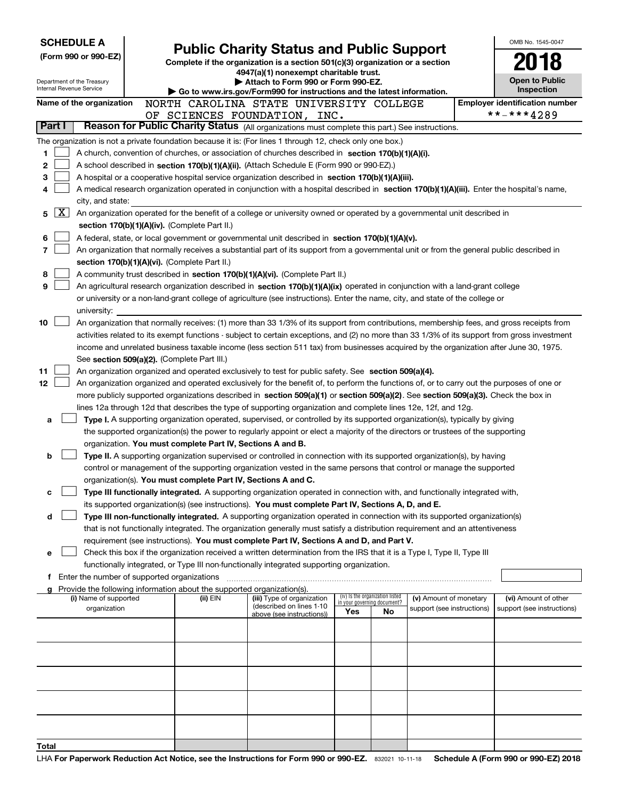| <b>SCHEDULE A</b>                                      |        |                                               |                                                                        |                                                                                                                                                                                                                                                      |                                                                |    |                                                      |  | OMB No. 1545-0047                     |
|--------------------------------------------------------|--------|-----------------------------------------------|------------------------------------------------------------------------|------------------------------------------------------------------------------------------------------------------------------------------------------------------------------------------------------------------------------------------------------|----------------------------------------------------------------|----|------------------------------------------------------|--|---------------------------------------|
|                                                        |        | (Form 990 or 990-EZ)                          |                                                                        | <b>Public Charity Status and Public Support</b><br>Complete if the organization is a section 501(c)(3) organization or a section                                                                                                                     |                                                                |    |                                                      |  |                                       |
|                                                        |        |                                               |                                                                        | 4947(a)(1) nonexempt charitable trust.                                                                                                                                                                                                               |                                                                |    |                                                      |  |                                       |
| Department of the Treasury<br>Internal Revenue Service |        |                                               |                                                                        | Attach to Form 990 or Form 990-EZ.                                                                                                                                                                                                                   |                                                                |    |                                                      |  | <b>Open to Public</b><br>Inspection   |
|                                                        |        |                                               |                                                                        | Go to www.irs.gov/Form990 for instructions and the latest information.<br>NORTH CAROLINA STATE UNIVERSITY COLLEGE                                                                                                                                    |                                                                |    |                                                      |  | <b>Employer identification number</b> |
| Name of the organization                               |        |                                               |                                                                        | OF SCIENCES FOUNDATION, INC.                                                                                                                                                                                                                         |                                                                |    |                                                      |  | **-***4289                            |
|                                                        | Part I |                                               |                                                                        | Reason for Public Charity Status (All organizations must complete this part.) See instructions.                                                                                                                                                      |                                                                |    |                                                      |  |                                       |
|                                                        |        |                                               |                                                                        | The organization is not a private foundation because it is: (For lines 1 through 12, check only one box.)                                                                                                                                            |                                                                |    |                                                      |  |                                       |
| 1                                                      |        |                                               |                                                                        | A church, convention of churches, or association of churches described in section 170(b)(1)(A)(i).                                                                                                                                                   |                                                                |    |                                                      |  |                                       |
| 2                                                      |        |                                               |                                                                        | A school described in section 170(b)(1)(A)(ii). (Attach Schedule E (Form 990 or 990-EZ).)                                                                                                                                                            |                                                                |    |                                                      |  |                                       |
| 3                                                      |        |                                               |                                                                        | A hospital or a cooperative hospital service organization described in section 170(b)(1)(A)(iii).                                                                                                                                                    |                                                                |    |                                                      |  |                                       |
| 4                                                      |        |                                               |                                                                        | A medical research organization operated in conjunction with a hospital described in section 170(b)(1)(A)(iii). Enter the hospital's name,                                                                                                           |                                                                |    |                                                      |  |                                       |
|                                                        |        | city, and state:                              |                                                                        |                                                                                                                                                                                                                                                      |                                                                |    |                                                      |  |                                       |
| 5                                                      | X      |                                               |                                                                        | An organization operated for the benefit of a college or university owned or operated by a governmental unit described in                                                                                                                            |                                                                |    |                                                      |  |                                       |
|                                                        |        |                                               | section 170(b)(1)(A)(iv). (Complete Part II.)                          |                                                                                                                                                                                                                                                      |                                                                |    |                                                      |  |                                       |
| 6<br>7                                                 |        |                                               |                                                                        | A federal, state, or local government or governmental unit described in section 170(b)(1)(A)(v).                                                                                                                                                     |                                                                |    |                                                      |  |                                       |
|                                                        |        |                                               | section 170(b)(1)(A)(vi). (Complete Part II.)                          | An organization that normally receives a substantial part of its support from a governmental unit or from the general public described in                                                                                                            |                                                                |    |                                                      |  |                                       |
| 8                                                      |        |                                               |                                                                        | A community trust described in section 170(b)(1)(A)(vi). (Complete Part II.)                                                                                                                                                                         |                                                                |    |                                                      |  |                                       |
| 9                                                      |        |                                               |                                                                        | An agricultural research organization described in section 170(b)(1)(A)(ix) operated in conjunction with a land-grant college                                                                                                                        |                                                                |    |                                                      |  |                                       |
|                                                        |        |                                               |                                                                        | or university or a non-land-grant college of agriculture (see instructions). Enter the name, city, and state of the college or                                                                                                                       |                                                                |    |                                                      |  |                                       |
|                                                        |        | university:                                   |                                                                        |                                                                                                                                                                                                                                                      |                                                                |    |                                                      |  |                                       |
| 10                                                     |        |                                               |                                                                        | An organization that normally receives: (1) more than 33 1/3% of its support from contributions, membership fees, and gross receipts from                                                                                                            |                                                                |    |                                                      |  |                                       |
|                                                        |        |                                               |                                                                        | activities related to its exempt functions - subject to certain exceptions, and (2) no more than 33 1/3% of its support from gross investment                                                                                                        |                                                                |    |                                                      |  |                                       |
|                                                        |        |                                               |                                                                        | income and unrelated business taxable income (less section 511 tax) from businesses acquired by the organization after June 30, 1975.                                                                                                                |                                                                |    |                                                      |  |                                       |
|                                                        |        |                                               | See section 509(a)(2). (Complete Part III.)                            |                                                                                                                                                                                                                                                      |                                                                |    |                                                      |  |                                       |
| 11                                                     |        |                                               |                                                                        | An organization organized and operated exclusively to test for public safety. See section 509(a)(4).                                                                                                                                                 |                                                                |    |                                                      |  |                                       |
| 12                                                     |        |                                               |                                                                        | An organization organized and operated exclusively for the benefit of, to perform the functions of, or to carry out the purposes of one or                                                                                                           |                                                                |    |                                                      |  |                                       |
|                                                        |        |                                               |                                                                        | more publicly supported organizations described in section 509(a)(1) or section 509(a)(2). See section 509(a)(3). Check the box in<br>lines 12a through 12d that describes the type of supporting organization and complete lines 12e, 12f, and 12g. |                                                                |    |                                                      |  |                                       |
| a                                                      |        |                                               |                                                                        | Type I. A supporting organization operated, supervised, or controlled by its supported organization(s), typically by giving                                                                                                                          |                                                                |    |                                                      |  |                                       |
|                                                        |        |                                               |                                                                        | the supported organization(s) the power to regularly appoint or elect a majority of the directors or trustees of the supporting                                                                                                                      |                                                                |    |                                                      |  |                                       |
|                                                        |        |                                               | organization. You must complete Part IV, Sections A and B.             |                                                                                                                                                                                                                                                      |                                                                |    |                                                      |  |                                       |
| b                                                      |        |                                               |                                                                        | Type II. A supporting organization supervised or controlled in connection with its supported organization(s), by having                                                                                                                              |                                                                |    |                                                      |  |                                       |
|                                                        |        |                                               |                                                                        | control or management of the supporting organization vested in the same persons that control or manage the supported                                                                                                                                 |                                                                |    |                                                      |  |                                       |
|                                                        |        |                                               | organization(s). You must complete Part IV, Sections A and C.          |                                                                                                                                                                                                                                                      |                                                                |    |                                                      |  |                                       |
| с                                                      |        |                                               |                                                                        | Type III functionally integrated. A supporting organization operated in connection with, and functionally integrated with,                                                                                                                           |                                                                |    |                                                      |  |                                       |
|                                                        |        |                                               |                                                                        | its supported organization(s) (see instructions). You must complete Part IV, Sections A, D, and E.                                                                                                                                                   |                                                                |    |                                                      |  |                                       |
| d                                                      |        |                                               |                                                                        | Type III non-functionally integrated. A supporting organization operated in connection with its supported organization(s)                                                                                                                            |                                                                |    |                                                      |  |                                       |
|                                                        |        |                                               |                                                                        | that is not functionally integrated. The organization generally must satisfy a distribution requirement and an attentiveness<br>requirement (see instructions). You must complete Part IV, Sections A and D, and Part V.                             |                                                                |    |                                                      |  |                                       |
| е                                                      |        |                                               |                                                                        | Check this box if the organization received a written determination from the IRS that it is a Type I, Type II, Type III                                                                                                                              |                                                                |    |                                                      |  |                                       |
|                                                        |        |                                               |                                                                        | functionally integrated, or Type III non-functionally integrated supporting organization.                                                                                                                                                            |                                                                |    |                                                      |  |                                       |
|                                                        |        | f Enter the number of supported organizations |                                                                        |                                                                                                                                                                                                                                                      |                                                                |    |                                                      |  |                                       |
|                                                        |        |                                               | Provide the following information about the supported organization(s). |                                                                                                                                                                                                                                                      |                                                                |    |                                                      |  |                                       |
|                                                        |        | (i) Name of supported                         | (ii) EIN                                                               | (iii) Type of organization<br>(described on lines 1-10                                                                                                                                                                                               | (iv) Is the organization listed<br>in your governing document? |    | (v) Amount of monetary<br>support (see instructions) |  | (vi) Amount of other                  |
|                                                        |        | organization                                  |                                                                        | above (see instructions))                                                                                                                                                                                                                            | Yes                                                            | No |                                                      |  | support (see instructions)            |
|                                                        |        |                                               |                                                                        |                                                                                                                                                                                                                                                      |                                                                |    |                                                      |  |                                       |
|                                                        |        |                                               |                                                                        |                                                                                                                                                                                                                                                      |                                                                |    |                                                      |  |                                       |
|                                                        |        |                                               |                                                                        |                                                                                                                                                                                                                                                      |                                                                |    |                                                      |  |                                       |
|                                                        |        |                                               |                                                                        |                                                                                                                                                                                                                                                      |                                                                |    |                                                      |  |                                       |
|                                                        |        |                                               |                                                                        |                                                                                                                                                                                                                                                      |                                                                |    |                                                      |  |                                       |
|                                                        |        |                                               |                                                                        |                                                                                                                                                                                                                                                      |                                                                |    |                                                      |  |                                       |
|                                                        |        |                                               |                                                                        |                                                                                                                                                                                                                                                      |                                                                |    |                                                      |  |                                       |
|                                                        |        |                                               |                                                                        |                                                                                                                                                                                                                                                      |                                                                |    |                                                      |  |                                       |
|                                                        |        |                                               |                                                                        |                                                                                                                                                                                                                                                      |                                                                |    |                                                      |  |                                       |
| Total                                                  |        |                                               |                                                                        |                                                                                                                                                                                                                                                      |                                                                |    |                                                      |  |                                       |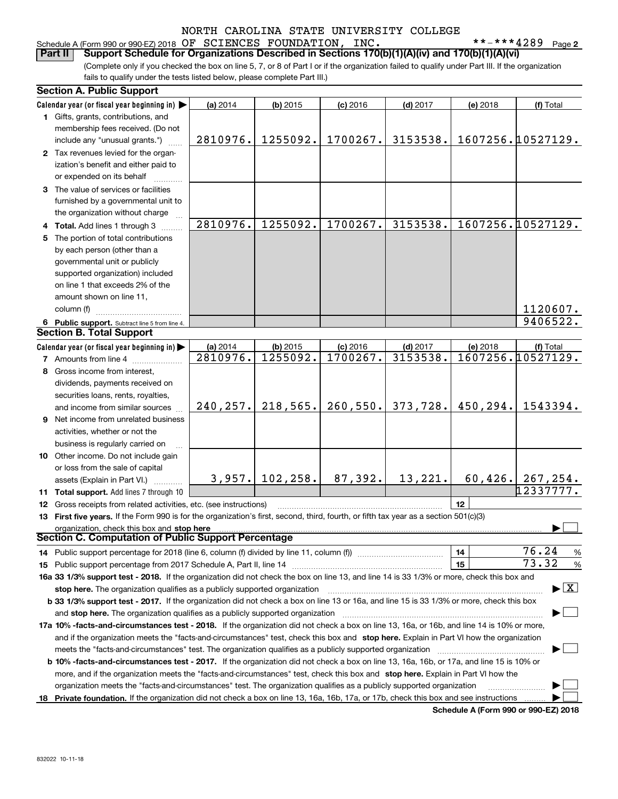# Schedule A (Form 990 or 990-EZ) 2018 Page OF SCIENCES FOUNDATION, INC. \*\*-\*\*\*4289

**2**

(Complete only if you checked the box on line 5, 7, or 8 of Part I or if the organization failed to qualify under Part III. If the organization fails to qualify under the tests listed below, please complete Part III.) **Part II Support Schedule for Organizations Described in Sections 170(b)(1)(A)(iv) and 170(b)(1)(A)(vi)**

|    | <b>Section A. Public Support</b>                                                                                                               |           |            |            |            |                                             |                                          |
|----|------------------------------------------------------------------------------------------------------------------------------------------------|-----------|------------|------------|------------|---------------------------------------------|------------------------------------------|
|    | Calendar year (or fiscal year beginning in)                                                                                                    | (a) 2014  | (b) 2015   | $(c)$ 2016 | $(d)$ 2017 | (e) 2018                                    | (f) Total                                |
|    | 1 Gifts, grants, contributions, and                                                                                                            |           |            |            |            |                                             |                                          |
|    | membership fees received. (Do not                                                                                                              |           |            |            |            |                                             |                                          |
|    | include any "unusual grants.")                                                                                                                 | 2810976.  | 1255092.   | 1700267.   | 3153538.   |                                             | 1607256.10527129.                        |
|    | 2 Tax revenues levied for the organ-                                                                                                           |           |            |            |            |                                             |                                          |
|    | ization's benefit and either paid to                                                                                                           |           |            |            |            |                                             |                                          |
|    | or expended on its behalf                                                                                                                      |           |            |            |            |                                             |                                          |
|    | 3 The value of services or facilities                                                                                                          |           |            |            |            |                                             |                                          |
|    | furnished by a governmental unit to                                                                                                            |           |            |            |            |                                             |                                          |
|    | the organization without charge                                                                                                                |           |            |            |            |                                             |                                          |
|    | 4 Total. Add lines 1 through 3                                                                                                                 | 2810976.  | 1255092.   | 1700267.   | 3153538.   |                                             | 1607256.10527129.                        |
| 5. | The portion of total contributions                                                                                                             |           |            |            |            |                                             |                                          |
|    | by each person (other than a                                                                                                                   |           |            |            |            |                                             |                                          |
|    | governmental unit or publicly                                                                                                                  |           |            |            |            |                                             |                                          |
|    | supported organization) included                                                                                                               |           |            |            |            |                                             |                                          |
|    | on line 1 that exceeds 2% of the                                                                                                               |           |            |            |            |                                             |                                          |
|    | amount shown on line 11,                                                                                                                       |           |            |            |            |                                             |                                          |
|    | column (f)                                                                                                                                     |           |            |            |            |                                             | 1120607.                                 |
|    | 6 Public support. Subtract line 5 from line 4.                                                                                                 |           |            |            |            |                                             | 9406522.                                 |
|    | <b>Section B. Total Support</b>                                                                                                                |           |            |            |            |                                             |                                          |
|    | Calendar year (or fiscal year beginning in)                                                                                                    | (a) 2014  | $(b)$ 2015 | $(c)$ 2016 | $(d)$ 2017 | (e) 2018                                    | (f) Total                                |
|    | <b>7</b> Amounts from line 4                                                                                                                   | 2810976.  | 1255092.   | 1700267.   | 3153538.   |                                             | 1607256.10527129.                        |
|    | 8 Gross income from interest,                                                                                                                  |           |            |            |            |                                             |                                          |
|    | dividends, payments received on                                                                                                                |           |            |            |            |                                             |                                          |
|    | securities loans, rents, royalties,                                                                                                            |           |            |            |            |                                             |                                          |
|    | and income from similar sources                                                                                                                | 240, 257. | 218,565.   | 260,550.   | 373,728.   | 450,294.                                    | 1543394.                                 |
|    | <b>9</b> Net income from unrelated business                                                                                                    |           |            |            |            |                                             |                                          |
|    | activities, whether or not the                                                                                                                 |           |            |            |            |                                             |                                          |
|    | business is regularly carried on                                                                                                               |           |            |            |            |                                             |                                          |
|    | 10 Other income. Do not include gain                                                                                                           |           |            |            |            |                                             |                                          |
|    | or loss from the sale of capital                                                                                                               |           |            |            |            |                                             |                                          |
|    | assets (Explain in Part VI.)                                                                                                                   | 3,957.    | 102, 258.  | 87,392.    | 13,221.    | 60,426.                                     | 267, 254.                                |
|    | 11 Total support. Add lines 7 through 10                                                                                                       |           |            |            |            |                                             | 12337777.                                |
|    | 12 Gross receipts from related activities, etc. (see instructions)                                                                             |           |            |            |            | 12                                          |                                          |
|    | 13 First five years. If the Form 990 is for the organization's first, second, third, fourth, or fifth tax year as a section 501(c)(3)          |           |            |            |            |                                             |                                          |
|    |                                                                                                                                                |           |            |            |            |                                             |                                          |
|    | organization, check this box and stop here<br><b>Section C. Computation of Public Support Percentage</b>                                       |           |            |            |            |                                             |                                          |
|    | 14 Public support percentage for 2018 (line 6, column (f) divided by line 11, column (f) <i>mummumumum</i>                                     |           |            |            |            | 14                                          | 76.24<br>%                               |
|    |                                                                                                                                                |           |            |            |            | 15                                          | 73.32<br>%                               |
|    | 16a 33 1/3% support test - 2018. If the organization did not check the box on line 13, and line 14 is 33 1/3% or more, check this box and      |           |            |            |            |                                             |                                          |
|    | stop here. The organization qualifies as a publicly supported organization                                                                     |           |            |            |            |                                             | $\blacktriangleright$ $\boxed{\text{X}}$ |
|    | b 33 1/3% support test - 2017. If the organization did not check a box on line 13 or 16a, and line 15 is 33 1/3% or more, check this box       |           |            |            |            |                                             |                                          |
|    | and stop here. The organization qualifies as a publicly supported organization                                                                 |           |            |            |            |                                             |                                          |
|    | 17a 10% -facts-and-circumstances test - 2018. If the organization did not check a box on line 13, 16a, or 16b, and line 14 is 10% or more,     |           |            |            |            |                                             |                                          |
|    |                                                                                                                                                |           |            |            |            |                                             |                                          |
|    | and if the organization meets the "facts-and-circumstances" test, check this box and stop here. Explain in Part VI how the organization        |           |            |            |            |                                             |                                          |
|    | meets the "facts-and-circumstances" test. The organization qualifies as a publicly supported organization                                      |           |            |            |            |                                             |                                          |
|    | <b>b 10% -facts-and-circumstances test - 2017.</b> If the organization did not check a box on line 13, 16a, 16b, or 17a, and line 15 is 10% or |           |            |            |            |                                             |                                          |
|    | more, and if the organization meets the "facts-and-circumstances" test, check this box and stop here. Explain in Part VI how the               |           |            |            |            |                                             |                                          |
|    | organization meets the "facts-and-circumstances" test. The organization qualifies as a publicly supported organization                         |           |            |            |            |                                             |                                          |
|    | 18 Private foundation. If the organization did not check a box on line 13, 16a, 16b, 17a, or 17b, check this box and see instructions          |           |            |            |            | <b>Cohodulo A (Form 000 or 000 E7) 2010</b> |                                          |

**Schedule A (Form 990 or 990-EZ) 2018**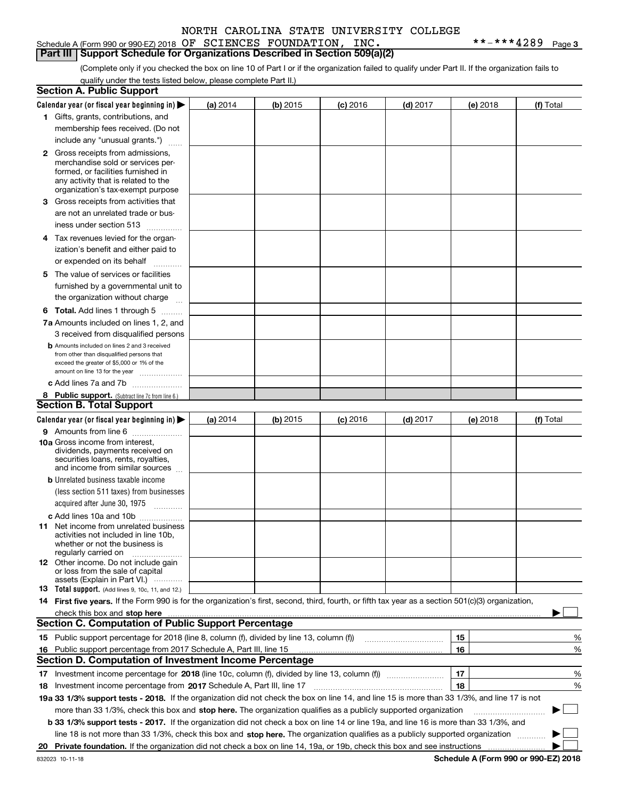### Schedule A (Form 990 or 990-EZ) 2018 Page OF SCIENCES FOUNDATION, INC. \*\*-\*\*\*4289 **Part III** | Support Schedule for Organizations Described in Section 509(a)(2)

**3**

(Complete only if you checked the box on line 10 of Part I or if the organization failed to qualify under Part II. If the organization fails to qualify under the tests listed below, please complete Part II.)

| <b>Section A. Public Support</b>                                                                                                                                                                                                                                         |          |          |            |            |          |                                             |
|--------------------------------------------------------------------------------------------------------------------------------------------------------------------------------------------------------------------------------------------------------------------------|----------|----------|------------|------------|----------|---------------------------------------------|
| Calendar year (or fiscal year beginning in) $\blacktriangleright$                                                                                                                                                                                                        | (a) 2014 | (b) 2015 | $(c)$ 2016 | $(d)$ 2017 | (e) 2018 | (f) Total                                   |
| 1 Gifts, grants, contributions, and                                                                                                                                                                                                                                      |          |          |            |            |          |                                             |
| membership fees received. (Do not                                                                                                                                                                                                                                        |          |          |            |            |          |                                             |
| include any "unusual grants.")                                                                                                                                                                                                                                           |          |          |            |            |          |                                             |
| <b>2</b> Gross receipts from admissions,<br>merchandise sold or services per-<br>formed, or facilities furnished in<br>any activity that is related to the                                                                                                               |          |          |            |            |          |                                             |
| organization's tax-exempt purpose                                                                                                                                                                                                                                        |          |          |            |            |          |                                             |
| 3 Gross receipts from activities that<br>are not an unrelated trade or bus-                                                                                                                                                                                              |          |          |            |            |          |                                             |
| iness under section 513                                                                                                                                                                                                                                                  |          |          |            |            |          |                                             |
| 4 Tax revenues levied for the organ-<br>ization's benefit and either paid to                                                                                                                                                                                             |          |          |            |            |          |                                             |
| or expended on its behalf<br>.                                                                                                                                                                                                                                           |          |          |            |            |          |                                             |
| 5 The value of services or facilities<br>furnished by a governmental unit to<br>the organization without charge                                                                                                                                                          |          |          |            |            |          |                                             |
| <b>6 Total.</b> Add lines 1 through 5                                                                                                                                                                                                                                    |          |          |            |            |          |                                             |
| 7a Amounts included on lines 1, 2, and                                                                                                                                                                                                                                   |          |          |            |            |          |                                             |
| 3 received from disqualified persons                                                                                                                                                                                                                                     |          |          |            |            |          |                                             |
| <b>b</b> Amounts included on lines 2 and 3 received<br>from other than disqualified persons that<br>exceed the greater of \$5,000 or 1% of the<br>amount on line 13 for the year                                                                                         |          |          |            |            |          |                                             |
| c Add lines 7a and 7b                                                                                                                                                                                                                                                    |          |          |            |            |          |                                             |
| 8 Public support. (Subtract line 7c from line 6.)                                                                                                                                                                                                                        |          |          |            |            |          |                                             |
| <b>Section B. Total Support</b>                                                                                                                                                                                                                                          |          |          |            |            |          |                                             |
| Calendar year (or fiscal year beginning in)                                                                                                                                                                                                                              | (a) 2014 | (b) 2015 | $(c)$ 2016 | $(d)$ 2017 | (e) 2018 | (f) Total                                   |
| 9 Amounts from line 6<br>10a Gross income from interest,<br>dividends, payments received on<br>securities loans, rents, royalties,<br>and income from similar sources                                                                                                    |          |          |            |            |          |                                             |
| <b>b</b> Unrelated business taxable income<br>(less section 511 taxes) from businesses                                                                                                                                                                                   |          |          |            |            |          |                                             |
| acquired after June 30, 1975                                                                                                                                                                                                                                             |          |          |            |            |          |                                             |
| c Add lines 10a and 10b<br>11 Net income from unrelated business<br>activities not included in line 10b,<br>whether or not the business is<br>regularly carried on                                                                                                       |          |          |            |            |          |                                             |
| <b>12</b> Other income. Do not include gain<br>or loss from the sale of capital<br>assets (Explain in Part VI.)                                                                                                                                                          |          |          |            |            |          |                                             |
| 13 Total support. (Add lines 9, 10c, 11, and 12.)                                                                                                                                                                                                                        |          |          |            |            |          |                                             |
| 14 First five years. If the Form 990 is for the organization's first, second, third, fourth, or fifth tax year as a section 501(c)(3) organization,                                                                                                                      |          |          |            |            |          |                                             |
| check this box and stop here <b>contractly contractly and stop here</b> contractly and stop here <b>contractly and stop here</b> contractly and and stop here contractly and stop here contractly and and stop here contractly and stop                                  |          |          |            |            |          |                                             |
| <b>Section C. Computation of Public Support Percentage</b>                                                                                                                                                                                                               |          |          |            |            |          |                                             |
| 15 Public support percentage for 2018 (line 8, column (f), divided by line 13, column (f))                                                                                                                                                                               |          |          |            |            | 15       | %                                           |
| 16 Public support percentage from 2017 Schedule A, Part III, line 15                                                                                                                                                                                                     |          |          |            |            | 16       | %                                           |
| <b>Section D. Computation of Investment Income Percentage</b>                                                                                                                                                                                                            |          |          |            |            |          |                                             |
| 17 Investment income percentage for 2018 (line 10c, column (f), divided by line 13, column (f))                                                                                                                                                                          |          |          |            |            | 17       | %                                           |
| <b>18</b> Investment income percentage from <b>2017</b> Schedule A, Part III, line 17                                                                                                                                                                                    |          |          |            |            | 18       | %                                           |
| 19a 33 1/3% support tests - 2018. If the organization did not check the box on line 14, and line 15 is more than 33 1/3%, and line 17 is not                                                                                                                             |          |          |            |            |          |                                             |
| more than 33 1/3%, check this box and stop here. The organization qualifies as a publicly supported organization                                                                                                                                                         |          |          |            |            |          |                                             |
| b 33 1/3% support tests - 2017. If the organization did not check a box on line 14 or line 19a, and line 16 is more than 33 1/3%, and<br>line 18 is not more than 33 1/3%, check this box and stop here. The organization qualifies as a publicly supported organization |          |          |            |            |          |                                             |
| 20 Private foundation. If the organization did not check a box on line 14, 19a, or 19b, check this box and see instructions                                                                                                                                              |          |          |            |            |          |                                             |
|                                                                                                                                                                                                                                                                          |          |          |            |            |          | <b>Cohodulo A (Form 000 or 000 EZ) 2010</b> |

**Schedule A (Form 990 or 990-EZ) 2018**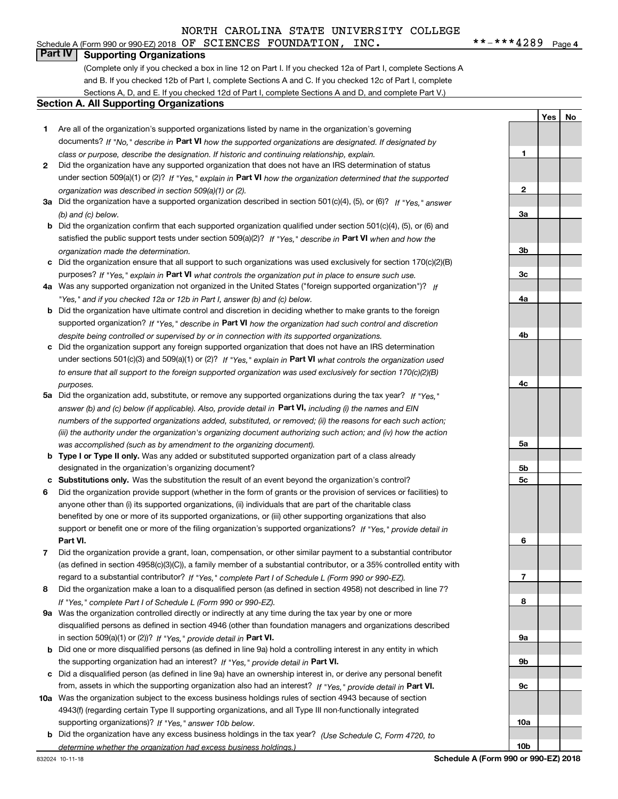# Schedule A (Form 990 or 990-EZ) 2018 Page OF SCIENCES FOUNDATION, INC. \*\*-\*\*\*4289

 $***$   $***$  4289 Page 4

**1**

**2**

**3a**

**3b**

**3c**

**4a**

**4b**

**4c**

**5a**

**5b5c**

**6**

**7**

**8**

**9a**

**9b**

**9c**

**10a**

**10b**

**Yes No**

# **Part IV Supporting Organizations**

(Complete only if you checked a box in line 12 on Part I. If you checked 12a of Part I, complete Sections A and B. If you checked 12b of Part I, complete Sections A and C. If you checked 12c of Part I, complete Sections A, D, and E. If you checked 12d of Part I, complete Sections A and D, and complete Part V.)

### **Section A. All Supporting Organizations**

- **1** Are all of the organization's supported organizations listed by name in the organization's governing documents? If "No," describe in **Part VI** how the supported organizations are designated. If designated by *class or purpose, describe the designation. If historic and continuing relationship, explain.*
- **2** Did the organization have any supported organization that does not have an IRS determination of status under section 509(a)(1) or (2)? If "Yes," explain in Part VI how the organization determined that the supported *organization was described in section 509(a)(1) or (2).*
- **3a** Did the organization have a supported organization described in section 501(c)(4), (5), or (6)? If "Yes," answer *(b) and (c) below.*
- **b** Did the organization confirm that each supported organization qualified under section 501(c)(4), (5), or (6) and satisfied the public support tests under section 509(a)(2)? If "Yes," describe in **Part VI** when and how the *organization made the determination.*
- **c**Did the organization ensure that all support to such organizations was used exclusively for section 170(c)(2)(B) purposes? If "Yes," explain in **Part VI** what controls the organization put in place to ensure such use.
- **4a***If* Was any supported organization not organized in the United States ("foreign supported organization")? *"Yes," and if you checked 12a or 12b in Part I, answer (b) and (c) below.*
- **b** Did the organization have ultimate control and discretion in deciding whether to make grants to the foreign supported organization? If "Yes," describe in **Part VI** how the organization had such control and discretion *despite being controlled or supervised by or in connection with its supported organizations.*
- **c** Did the organization support any foreign supported organization that does not have an IRS determination under sections 501(c)(3) and 509(a)(1) or (2)? If "Yes," explain in **Part VI** what controls the organization used *to ensure that all support to the foreign supported organization was used exclusively for section 170(c)(2)(B) purposes.*
- **5a***If "Yes,"* Did the organization add, substitute, or remove any supported organizations during the tax year? answer (b) and (c) below (if applicable). Also, provide detail in **Part VI,** including (i) the names and EIN *numbers of the supported organizations added, substituted, or removed; (ii) the reasons for each such action; (iii) the authority under the organization's organizing document authorizing such action; and (iv) how the action was accomplished (such as by amendment to the organizing document).*
- **b** Type I or Type II only. Was any added or substituted supported organization part of a class already designated in the organization's organizing document?
- **cSubstitutions only.**  Was the substitution the result of an event beyond the organization's control?
- **6** Did the organization provide support (whether in the form of grants or the provision of services or facilities) to **Part VI.** *If "Yes," provide detail in* support or benefit one or more of the filing organization's supported organizations? anyone other than (i) its supported organizations, (ii) individuals that are part of the charitable class benefited by one or more of its supported organizations, or (iii) other supporting organizations that also
- **7**Did the organization provide a grant, loan, compensation, or other similar payment to a substantial contributor *If "Yes," complete Part I of Schedule L (Form 990 or 990-EZ).* regard to a substantial contributor? (as defined in section 4958(c)(3)(C)), a family member of a substantial contributor, or a 35% controlled entity with
- **8** Did the organization make a loan to a disqualified person (as defined in section 4958) not described in line 7? *If "Yes," complete Part I of Schedule L (Form 990 or 990-EZ).*
- **9a** Was the organization controlled directly or indirectly at any time during the tax year by one or more in section 509(a)(1) or (2))? If "Yes," *provide detail in* <code>Part VI.</code> disqualified persons as defined in section 4946 (other than foundation managers and organizations described
- **b** Did one or more disqualified persons (as defined in line 9a) hold a controlling interest in any entity in which the supporting organization had an interest? If "Yes," provide detail in P**art VI**.
- **c**Did a disqualified person (as defined in line 9a) have an ownership interest in, or derive any personal benefit from, assets in which the supporting organization also had an interest? If "Yes," provide detail in P**art VI.**
- **10a** Was the organization subject to the excess business holdings rules of section 4943 because of section supporting organizations)? If "Yes," answer 10b below. 4943(f) (regarding certain Type II supporting organizations, and all Type III non-functionally integrated
	- **b** Did the organization have any excess business holdings in the tax year? (Use Schedule C, Form 4720, to *determine whether the organization had excess business holdings.)*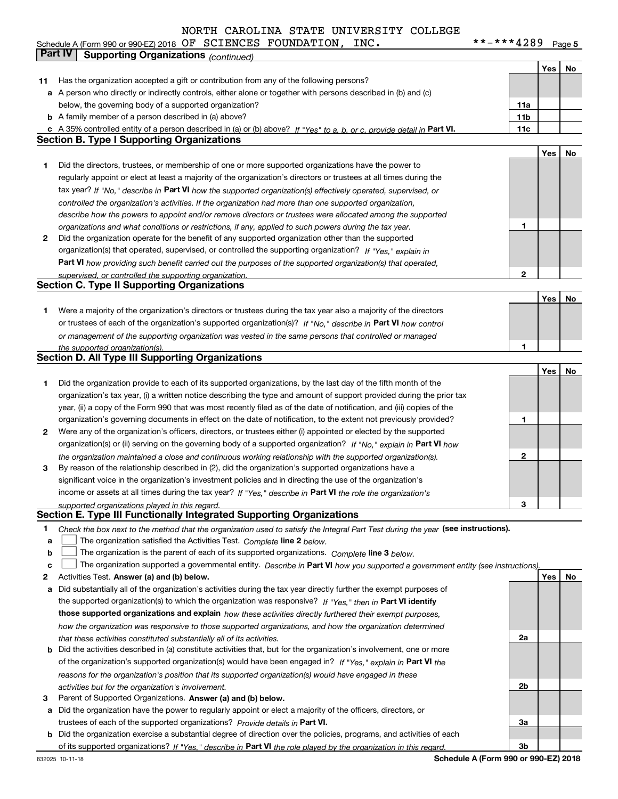#### **Yes No 11** Has the organization accepted a gift or contribution from any of the following persons? **a** A person who directly or indirectly controls, either alone or together with persons described in (b) and (c) **b** A family member of a person described in (a) above? **c** A 35% controlled entity of a person described in (a) or (b) above? If "Yes" to a, b, or c, provide detail in Part VI. **11c 11a11bYes No 1** Did the directors, trustees, or membership of one or more supported organizations have the power to **2** Did the organization operate for the benefit of any supported organization other than the supported tax year? If "No," describe in Part VI how the supported organization(s) effectively operated, supervised, or **12Part VI**  *how providing such benefit carried out the purposes of the supported organization(s) that operated,* **Yes No 1** Were a majority of the organization's directors or trustees during the tax year also a majority of the directors or trustees of each of the organization's supported organization(s)? If "No," describe in **Part VI** how control **1Yes No 12** Were any of the organization's officers, directors, or trustees either (i) appointed or elected by the supported **3123**organization(s) or (ii) serving on the governing body of a supported organization? If "No," explain in **Part VI** how income or assets at all times during the tax year? If "Yes," describe in **Part VI** the role the organization's **12**Activities Test. Check the box next to the method that the organization used to satisfy the Integral Part Test during the year (see instructions). **abclinupy** The organization satisfied the Activities Test. Complete line 2 below. The organization is the parent of each of its supported organizations. *Complete* line 3 below.<br>The state of the state of the state of the state of the state of the state of the state of the state of the state of the state The organization supported a governmental entity. *Describe in* Part **VI** how you supported a government entity (see instructions), **Activities Test. Answer (a) and (b) below.**<br>**a** Did substantially all of the organization's activities during the tax year directly further the exempt purposes of **b** Did the activities described in (a) constitute activities that, but for the organization's involvement, one or more the supported organization(s) to which the organization was responsive? If "Yes," then in **Part VI identify those supported organizations and explain**  *how these activities directly furthered their exempt purposes,* **2a** *controlled the organization's activities. If the organization had more than one supported organization, describe how the powers to appoint and/or remove directors or trustees were allocated among the supported organizations and what conditions or restrictions, if any, applied to such powers during the tax year. If "Yes," explain in* organization(s) that operated, supervised, or controlled the supporting organization? *supervised, or controlled the supporting organization. or management of the supporting organization was vested in the same persons that controlled or managed the supported organization(s). the organization maintained a close and continuous working relationship with the supported organization(s). supported organizations played in this regard. how the organization was responsive to those supported organizations, and how the organization determined that these activities constituted substantially all of its activities.* Schedule A (Form 990 or 990-EZ) 2018 Page OF SCIENCES FOUNDATION, INC. \*\*-\*\*\*4289 below, the governing body of a supported organization? regularly appoint or elect at least a majority of the organization's directors or trustees at all times during the Did the organization provide to each of its supported organizations, by the last day of the fifth month of the organization's tax year, (i) a written notice describing the type and amount of support provided during the prior tax year, (ii) a copy of the Form 990 that was most recently filed as of the date of notification, and (iii) copies of the organization's governing documents in effect on the date of notification, to the extent not previously provided? By reason of the relationship described in (2), did the organization's supported organizations have a significant voice in the organization's investment policies and in directing the use of the organization's **Part IV Supporting Organizations** *(continued)* **Section B. Type I Supporting Organizations Section C. Type II Supporting Organizations Section D. All Type III Supporting Organizations Section E. Type III Functionally Integrated Supporting Organizations**  $\mathcal{L}^{\text{max}}$  $\mathcal{L}^{\text{max}}$

- **3** Parent of Supported Organizations. Answer (a) and (b) below. *activities but for the organization's involvement.*
- **a** Did the organization have the power to regularly appoint or elect a majority of the officers, directors, or trustees of each of the supported organizations? *Provide details in* Part VI.

*reasons for the organization's position that its supported organization(s) would have engaged in these*

**b** Did the organization exercise a substantial degree of direction over the policies, programs, and activities of each **Part VI**  *If "Yes," describe in the role played by the organization in this regard.* of its supported organizations?

of the organization's supported organization(s) would have been engaged in? If "Yes," explain in **Part VI** the

**Schedule A (Form 990 or 990-EZ) 2018**

**2b**

**3a**

**3b**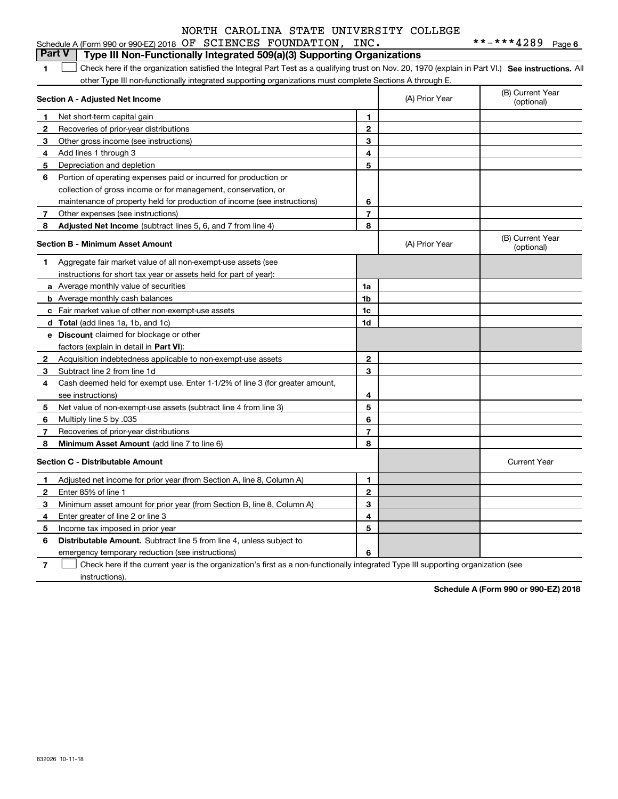|              | Schedule A (Form 990 or 990-EZ) 2018 OF SCIENCES FOUNDATION,                                                                                      | INC.           |                | **-***4289<br>Page 6           |
|--------------|---------------------------------------------------------------------------------------------------------------------------------------------------|----------------|----------------|--------------------------------|
|              | <b>Part V</b><br>Type III Non-Functionally Integrated 509(a)(3) Supporting Organizations                                                          |                |                |                                |
| 1            | Check here if the organization satisfied the Integral Part Test as a qualifying trust on Nov. 20, 1970 (explain in Part VI.) See instructions. Al |                |                |                                |
|              | other Type III non-functionally integrated supporting organizations must complete Sections A through E.                                           |                |                |                                |
|              | Section A - Adjusted Net Income                                                                                                                   |                | (A) Prior Year | (B) Current Year<br>(optional) |
| $\mathbf 1$  | Net short-term capital gain                                                                                                                       | 1              |                |                                |
| 2            | Recoveries of prior-year distributions                                                                                                            | $\overline{2}$ |                |                                |
| 3            | Other gross income (see instructions)                                                                                                             | 3              |                |                                |
| 4            | Add lines 1 through 3                                                                                                                             | 4              |                |                                |
| 5.           | Depreciation and depletion                                                                                                                        | 5              |                |                                |
| 6            | Portion of operating expenses paid or incurred for production or                                                                                  |                |                |                                |
|              | collection of gross income or for management, conservation, or                                                                                    |                |                |                                |
|              | maintenance of property held for production of income (see instructions)                                                                          | 6              |                |                                |
| 7            | Other expenses (see instructions)                                                                                                                 | $\overline{7}$ |                |                                |
| 8            | Adjusted Net Income (subtract lines 5, 6, and 7 from line 4)                                                                                      | 8              |                |                                |
|              | <b>Section B - Minimum Asset Amount</b>                                                                                                           |                | (A) Prior Year | (B) Current Year<br>(optional) |
| 1.           | Aggregate fair market value of all non-exempt-use assets (see                                                                                     |                |                |                                |
|              | instructions for short tax year or assets held for part of year):                                                                                 |                |                |                                |
|              | a Average monthly value of securities                                                                                                             | 1a             |                |                                |
|              | <b>b</b> Average monthly cash balances                                                                                                            | 1 <sub>b</sub> |                |                                |
|              | c Fair market value of other non-exempt-use assets                                                                                                | 1c             |                |                                |
|              | d Total (add lines 1a, 1b, and 1c)                                                                                                                | 1d             |                |                                |
|              | e Discount claimed for blockage or other                                                                                                          |                |                |                                |
|              | factors (explain in detail in Part VI):                                                                                                           |                |                |                                |
| $\mathbf{2}$ | Acquisition indebtedness applicable to non-exempt-use assets                                                                                      | $\mathbf{2}$   |                |                                |
| 3            | Subtract line 2 from line 1d                                                                                                                      | 3              |                |                                |
| 4            | Cash deemed held for exempt use. Enter 1-1/2% of line 3 (for greater amount,                                                                      |                |                |                                |
|              | see instructions)                                                                                                                                 | 4              |                |                                |
| 5            | Net value of non-exempt-use assets (subtract line 4 from line 3)                                                                                  | 5              |                |                                |
| 6            | Multiply line 5 by .035                                                                                                                           | 6              |                |                                |
| 7            | Recoveries of prior-year distributions                                                                                                            | $\overline{7}$ |                |                                |
| 8            | Minimum Asset Amount (add line 7 to line 6)                                                                                                       | 8              |                |                                |
|              | <b>Section C - Distributable Amount</b>                                                                                                           |                |                | <b>Current Year</b>            |
| 1            | Adjusted net income for prior year (from Section A, line 8, Column A)                                                                             | 1              |                |                                |
| 2            | Enter 85% of line 1                                                                                                                               | $\overline{2}$ |                |                                |
| 3            | Minimum asset amount for prior year (from Section B, line 8, Column A)                                                                            | 3              |                |                                |
| 4            | Enter greater of line 2 or line 3                                                                                                                 | 4              |                |                                |
| 5            | Income tax imposed in prior year                                                                                                                  | 5              |                |                                |
| 6            | <b>Distributable Amount.</b> Subtract line 5 from line 4, unless subject to                                                                       |                |                |                                |

emergency temporary reduction (see instructions)

**7**Check here if the current year is the organization's first as a non-functionally integrated Type III supporting organization (see instructions).

**6**

**Schedule A (Form 990 or 990-EZ) 2018**

832026 10-11-18

**6**

|  | $_{\rm br}$ 990-EZ)2018 OF SCIENCES FOUNDATION, INC. |  |
|--|------------------------------------------------------|--|
|  |                                                      |  |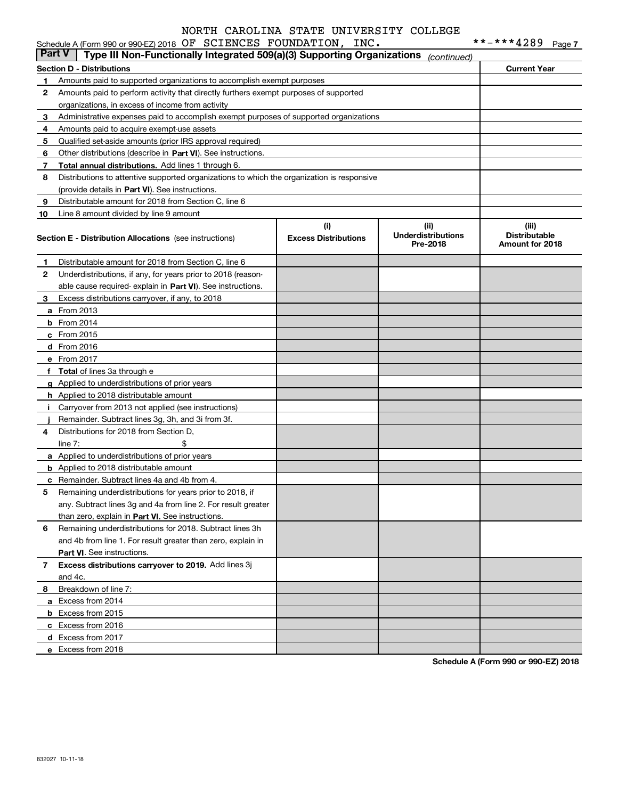#### **Section D - Distributions Current Year 1**Amounts paid to supported organizations to accomplish exempt purposes **2345** Qualified set-aside amounts (prior IRS approval required) **678910**Other distributions (describe in Part VI). See instructions. **Total annual distributions.** Add lines 1 through 6. (provide details in Part VI). See instructions. **(i)Excess Distributions (ii) UnderdistributionsPre-2018(iii) Distributable Amount for 2018 Section E - Distribution Allocations**  (see instructions) **12**Underdistributions, if any, for years prior to 2018 (reason-**3**Excess distributions carryover, if any, to 2018 **4**Distributions for 2018 from Section D, **5** Remaining underdistributions for years prior to 2018, if **6** Remaining underdistributions for 2018. Subtract lines 3h **7Excess distributions carryover to 2019.**  Add lines 3j **8**Breakdown of line 7: able cause required- explain in Part VI). See instructions. **a** From 2013 **b** From 2014 **c**From 2015 **d** From 2016 **e**From 2017 **fTotal**  of lines 3a through e **g**Applied to underdistributions of prior years **h** Applied to 2018 distributable amount **ij** Remainder. Subtract lines 3g, 3h, and 3i from 3f. **a** Applied to underdistributions of prior years **b** Applied to 2018 distributable amount **c** Remainder. Subtract lines 4a and 4b from 4. than zero, explain in Part VI. See instructions. **Part VI** . See instructions. **a** Excess from 2014 **b** Excess from 2015 **c**Excess from 2016 **d**Excess from 2017 **e** Excess from 2018 Schedule A (Form 990 or 990-EZ) 2018 Page OF SCIENCES FOUNDATION, INC. \*\*-\*\*\*4289 Amounts paid to perform activity that directly furthers exempt purposes of supported organizations, in excess of income from activity Administrative expenses paid to accomplish exempt purposes of supported organizations Amounts paid to acquire exempt-use assets Distributions to attentive supported organizations to which the organization is responsive Distributable amount for 2018 from Section C, line 6 Line 8 amount divided by line 9 amount Distributable amount for 2018 from Section C, line 6 Carryover from 2013 not applied (see instructions)  $line 7:$   $\frac{1}{2}$ any. Subtract lines 3g and 4a from line 2. For result greater and 4b from line 1. For result greater than zero, explain in and 4c. **Part V Type III Non-Functionally Integrated 509(a)(3) Supporting Organizations** *(continued)*

**Schedule A (Form 990 or 990-EZ) 2018**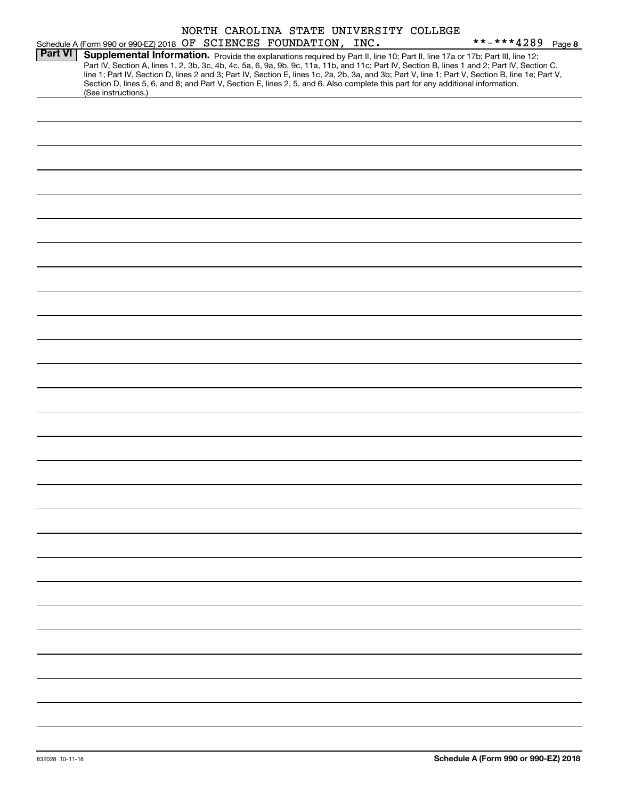|  |                              |  | NORTH CAROLINA STATE UNIVERSITY COLLEGE |  |
|--|------------------------------|--|-----------------------------------------|--|
|  | OF SCIENCES FOUNDATION. INC. |  |                                         |  |

|                | Schedule A (Form 990 or 990-EZ) 2018 OF SCIENCES FOUNDATION, INC.                                                                                                                                                                                                                                                                                                                                                                                                                                                                                                    |  | **-***4289 Page 8 |  |
|----------------|----------------------------------------------------------------------------------------------------------------------------------------------------------------------------------------------------------------------------------------------------------------------------------------------------------------------------------------------------------------------------------------------------------------------------------------------------------------------------------------------------------------------------------------------------------------------|--|-------------------|--|
| <b>Part VI</b> | Supplemental Information. Provide the explanations required by Part II, line 10; Part II, line 17a or 17b; Part III, line 12;<br>Part IV, Section A, lines 1, 2, 3b, 3c, 4b, 4c, 5a, 6, 9a, 9b, 9c, 11a, 11b, and 11c; Part IV, Section B, lines 1 and 2; Part IV, Section C,<br>line 1; Part IV, Section D, lines 2 and 3; Part IV, Section E, lines 1c, 2a, 2b, 3a, and 3b; Part V, line 1; Part V, Section B, line 1e; Part V,<br>Section D, lines 5, 6, and 8; and Part V, Section E, lines 2, 5, and 6. Also complete this part for any additional information. |  |                   |  |
|                | (See instructions.)                                                                                                                                                                                                                                                                                                                                                                                                                                                                                                                                                  |  |                   |  |
|                |                                                                                                                                                                                                                                                                                                                                                                                                                                                                                                                                                                      |  |                   |  |
|                |                                                                                                                                                                                                                                                                                                                                                                                                                                                                                                                                                                      |  |                   |  |
|                |                                                                                                                                                                                                                                                                                                                                                                                                                                                                                                                                                                      |  |                   |  |
|                |                                                                                                                                                                                                                                                                                                                                                                                                                                                                                                                                                                      |  |                   |  |
|                |                                                                                                                                                                                                                                                                                                                                                                                                                                                                                                                                                                      |  |                   |  |
|                |                                                                                                                                                                                                                                                                                                                                                                                                                                                                                                                                                                      |  |                   |  |
|                |                                                                                                                                                                                                                                                                                                                                                                                                                                                                                                                                                                      |  |                   |  |
|                |                                                                                                                                                                                                                                                                                                                                                                                                                                                                                                                                                                      |  |                   |  |
|                |                                                                                                                                                                                                                                                                                                                                                                                                                                                                                                                                                                      |  |                   |  |
|                |                                                                                                                                                                                                                                                                                                                                                                                                                                                                                                                                                                      |  |                   |  |
|                |                                                                                                                                                                                                                                                                                                                                                                                                                                                                                                                                                                      |  |                   |  |
|                |                                                                                                                                                                                                                                                                                                                                                                                                                                                                                                                                                                      |  |                   |  |
|                |                                                                                                                                                                                                                                                                                                                                                                                                                                                                                                                                                                      |  |                   |  |
|                |                                                                                                                                                                                                                                                                                                                                                                                                                                                                                                                                                                      |  |                   |  |
|                |                                                                                                                                                                                                                                                                                                                                                                                                                                                                                                                                                                      |  |                   |  |
|                |                                                                                                                                                                                                                                                                                                                                                                                                                                                                                                                                                                      |  |                   |  |
|                |                                                                                                                                                                                                                                                                                                                                                                                                                                                                                                                                                                      |  |                   |  |
|                |                                                                                                                                                                                                                                                                                                                                                                                                                                                                                                                                                                      |  |                   |  |
|                |                                                                                                                                                                                                                                                                                                                                                                                                                                                                                                                                                                      |  |                   |  |
|                |                                                                                                                                                                                                                                                                                                                                                                                                                                                                                                                                                                      |  |                   |  |
|                |                                                                                                                                                                                                                                                                                                                                                                                                                                                                                                                                                                      |  |                   |  |
|                |                                                                                                                                                                                                                                                                                                                                                                                                                                                                                                                                                                      |  |                   |  |
|                |                                                                                                                                                                                                                                                                                                                                                                                                                                                                                                                                                                      |  |                   |  |
|                |                                                                                                                                                                                                                                                                                                                                                                                                                                                                                                                                                                      |  |                   |  |
|                |                                                                                                                                                                                                                                                                                                                                                                                                                                                                                                                                                                      |  |                   |  |
|                |                                                                                                                                                                                                                                                                                                                                                                                                                                                                                                                                                                      |  |                   |  |
|                |                                                                                                                                                                                                                                                                                                                                                                                                                                                                                                                                                                      |  |                   |  |
|                |                                                                                                                                                                                                                                                                                                                                                                                                                                                                                                                                                                      |  |                   |  |
|                |                                                                                                                                                                                                                                                                                                                                                                                                                                                                                                                                                                      |  |                   |  |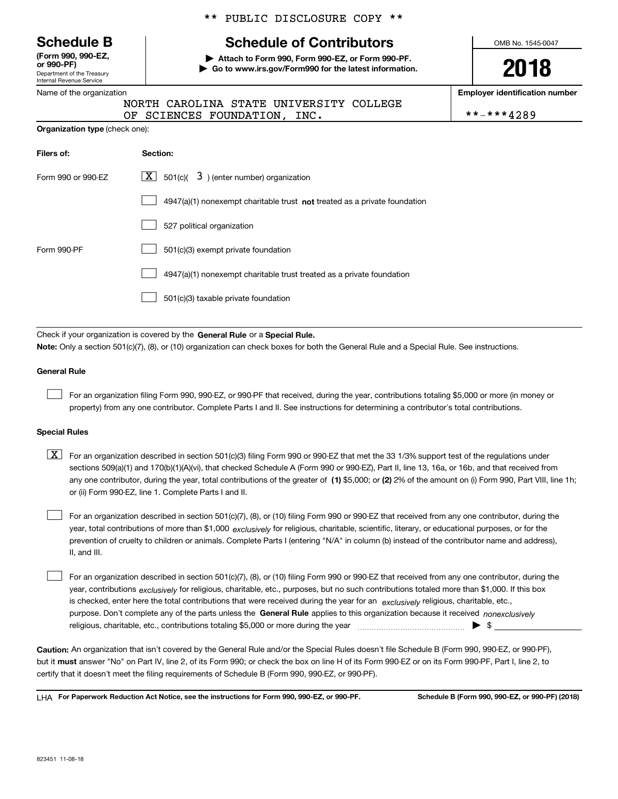Department of the Treasury Internal Revenue Service **(Form 990, 990-EZ, or 990-PF)**

#### Name of the organization

**Organization type** (check one):

# \*\* PUBLIC DISCLOSURE COPY \*\*

# **Schedule B Schedule of Contributors**

**| Attach to Form 990, Form 990-EZ, or Form 990-PF. | Go to www.irs.gov/Form990 for the latest information.** OMB No. 1545-0047

**2018**

**Employer identification number**

|  |                              | NORTH CAROLINA STATE UNIVERSITY COLLEGE |            |
|--|------------------------------|-----------------------------------------|------------|
|  | OF SCIENCES FOUNDATION, INC. |                                         | **-***4289 |

| Filers of:         | Section:                                                                  |
|--------------------|---------------------------------------------------------------------------|
| Form 990 or 990-EZ | $\lfloor \mathbf{X} \rfloor$ 501(c)( 3) (enter number) organization       |
|                    | 4947(a)(1) nonexempt charitable trust not treated as a private foundation |
|                    | 527 political organization                                                |
| Form 990-PF        | 501(c)(3) exempt private foundation                                       |
|                    | 4947(a)(1) nonexempt charitable trust treated as a private foundation     |
|                    | 501(c)(3) taxable private foundation                                      |

Check if your organization is covered by the **General Rule** or a **Special Rule.**<br>Nota: Only a section 501(c)(7), (8), or (10) erganization can chock boxes for be **Note:**  Only a section 501(c)(7), (8), or (10) organization can check boxes for both the General Rule and a Special Rule. See instructions.

#### **General Rule**

 $\mathcal{L}^{\text{max}}$ 

For an organization filing Form 990, 990-EZ, or 990-PF that received, during the year, contributions totaling \$5,000 or more (in money or property) from any one contributor. Complete Parts I and II. See instructions for determining a contributor's total contributions.

#### **Special Rules**

any one contributor, during the year, total contributions of the greater of  $\,$  (1) \$5,000; or **(2)** 2% of the amount on (i) Form 990, Part VIII, line 1h;  $\boxed{\textbf{X}}$  For an organization described in section 501(c)(3) filing Form 990 or 990-EZ that met the 33 1/3% support test of the regulations under sections 509(a)(1) and 170(b)(1)(A)(vi), that checked Schedule A (Form 990 or 990-EZ), Part II, line 13, 16a, or 16b, and that received from or (ii) Form 990-EZ, line 1. Complete Parts I and II.

year, total contributions of more than \$1,000 *exclusively* for religious, charitable, scientific, literary, or educational purposes, or for the For an organization described in section 501(c)(7), (8), or (10) filing Form 990 or 990-EZ that received from any one contributor, during the prevention of cruelty to children or animals. Complete Parts I (entering "N/A" in column (b) instead of the contributor name and address), II, and III.  $\mathcal{L}^{\text{max}}$ 

purpose. Don't complete any of the parts unless the **General Rule** applies to this organization because it received *nonexclusively* year, contributions <sub>exclusively</sub> for religious, charitable, etc., purposes, but no such contributions totaled more than \$1,000. If this box is checked, enter here the total contributions that were received during the year for an  $\;$ exclusively religious, charitable, etc., For an organization described in section 501(c)(7), (8), or (10) filing Form 990 or 990-EZ that received from any one contributor, during the religious, charitable, etc., contributions totaling \$5,000 or more during the year  $\Box$ — $\Box$   $\Box$  $\mathcal{L}^{\text{max}}$ 

**Caution:**  An organization that isn't covered by the General Rule and/or the Special Rules doesn't file Schedule B (Form 990, 990-EZ, or 990-PF), but it **must** answer "No" on Part IV, line 2, of its Form 990; or check the box on line H of its Form 990-EZ or on its Form 990-PF, Part I, line 2, to<br>cortify that it doesn't meet the filipe requirements of Schodule B (Fer certify that it doesn't meet the filing requirements of Schedule B (Form 990, 990-EZ, or 990-PF).

**For Paperwork Reduction Act Notice, see the instructions for Form 990, 990-EZ, or 990-PF. Schedule B (Form 990, 990-EZ, or 990-PF) (2018)** LHA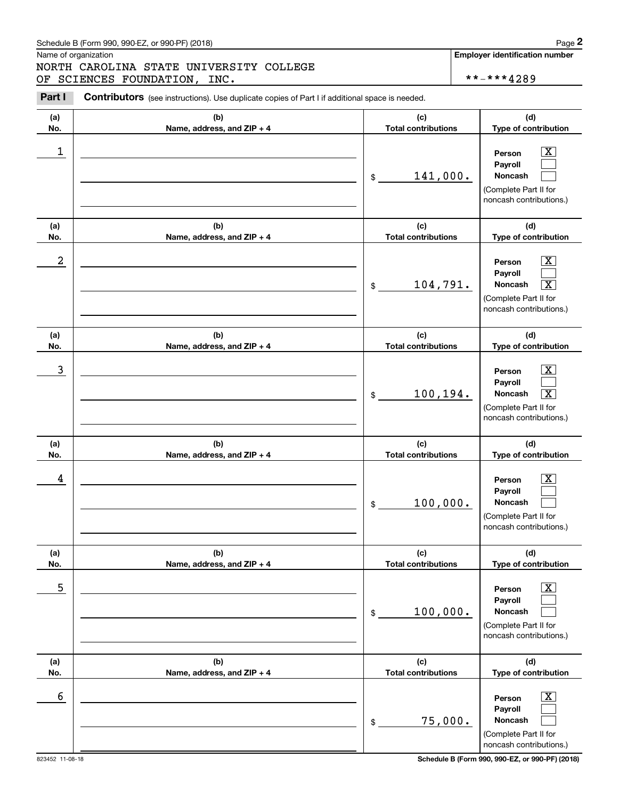# Schedule B (Form 990, 990-EZ, or 990-PF) (2018) Page 2

|            | Schedule B (Form 990, 990-EZ, or 990-PF) (2018)                                                       |                                   | Page 2                                                                                                                               |
|------------|-------------------------------------------------------------------------------------------------------|-----------------------------------|--------------------------------------------------------------------------------------------------------------------------------------|
|            | Name of organization<br>NORTH CAROLINA STATE UNIVERSITY COLLEGE<br>OF SCIENCES FOUNDATION, INC.       |                                   | <b>Employer identification number</b><br>**-***4289                                                                                  |
| Part I     | <b>Contributors</b> (see instructions). Use duplicate copies of Part I if additional space is needed. |                                   |                                                                                                                                      |
| (a)<br>No. | (b)<br>Name, address, and ZIP + 4                                                                     | (c)<br><b>Total contributions</b> | (d)<br>Type of contribution                                                                                                          |
| 1          |                                                                                                       | 141,000.<br>\$                    | $\overline{\text{X}}$<br>Person<br>Payroll<br>Noncash<br>(Complete Part II for<br>noncash contributions.)                            |
| (a)<br>No. | (b)<br>Name, address, and ZIP + 4                                                                     | (c)<br><b>Total contributions</b> | (d)<br>Type of contribution                                                                                                          |
| 2          |                                                                                                       | 104,791.<br>\$                    | $\mathbf{X}$<br>Person<br>Payroll<br>Noncash<br>$\overline{\mathbf{x}}$<br>(Complete Part II for<br>noncash contributions.)          |
| (a)<br>No. | (b)<br>Name, address, and ZIP + 4                                                                     | (c)<br><b>Total contributions</b> | (d)<br>Type of contribution                                                                                                          |
| 3          |                                                                                                       | 100,194.<br>\$                    | $\overline{\text{X}}$<br>Person<br>Payroll<br>$\overline{\mathbf{X}}$<br>Noncash<br>(Complete Part II for<br>noncash contributions.) |
| (a)<br>No. | (b)<br>Name, address, and ZIP + 4                                                                     | (c)<br><b>Total contributions</b> | (d)<br>Type of contribution                                                                                                          |
| 4          |                                                                                                       | 100,000.<br>\$                    | $\mathbf{X}$<br>Person<br>Payroll<br>Noncash<br>(Complete Part II for<br>noncash contributions.)                                     |
| (a)<br>No. | (b)<br>Name, address, and ZIP + 4                                                                     | (c)<br><b>Total contributions</b> | (d)<br>Type of contribution                                                                                                          |
| 5          |                                                                                                       | 100,000.<br>\$                    | $\overline{\text{X}}$<br>Person<br>Payroll<br>Noncash<br>(Complete Part II for<br>noncash contributions.)                            |
| (a)<br>No. | (b)<br>Name, address, and ZIP + 4                                                                     | (c)<br><b>Total contributions</b> | (d)<br>Type of contribution                                                                                                          |
| 6          |                                                                                                       | 75,000.<br>\$                     | $\overline{\text{X}}$<br>Person<br>Payroll<br>Noncash<br>(Complete Part II for<br>noncash contributions.)                            |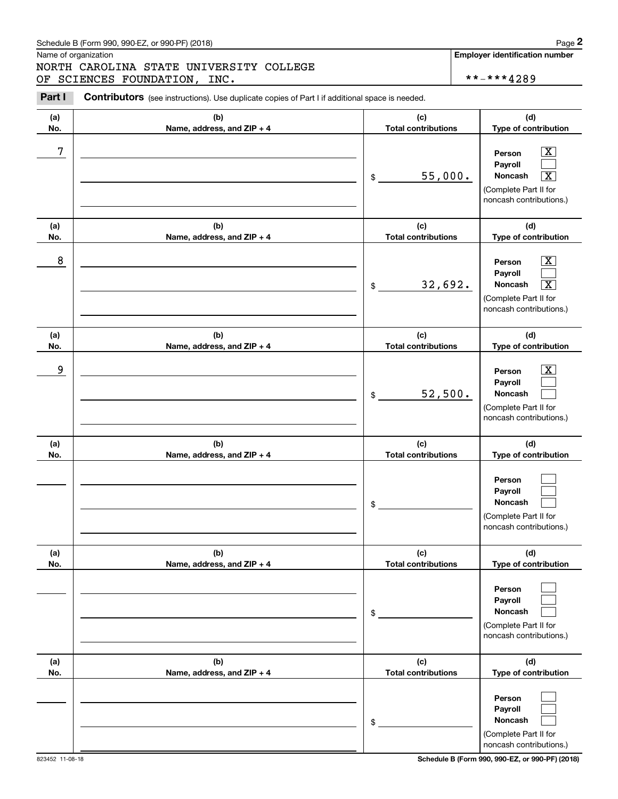# Schedule B (Form 990, 990-EZ, or 990-PF) (2018) **Page 2**

# NORTH CAROLINA STATE UNIVERSITY COLLEGE OF SCIENCES FOUNDATION, INC. \*\*-\*\*\*4289

823452 11-08-18 **Schedule B (Form 990, 990-EZ, or 990-PF) (2018)**

noncash contributions.)

|            | Schedule B (Form 990, 990-EZ, or 990-PF) (2018)                                                 |                                   | Page 2                                                                                                                               |
|------------|-------------------------------------------------------------------------------------------------|-----------------------------------|--------------------------------------------------------------------------------------------------------------------------------------|
|            | Name of organization<br>NORTH CAROLINA STATE UNIVERSITY COLLEGE<br>OF SCIENCES FOUNDATION, INC. |                                   | <b>Employer identification number</b><br>**-***4289                                                                                  |
| Part I     | Contributors (see instructions). Use duplicate copies of Part I if additional space is needed.  |                                   |                                                                                                                                      |
| (a)<br>No. | (b)<br>Name, address, and ZIP + 4                                                               | (c)<br><b>Total contributions</b> | (d)<br>Type of contribution                                                                                                          |
| 7          |                                                                                                 | 55,000.<br>\$                     | $\overline{\text{X}}$<br>Person<br>Payroll<br>Noncash<br>$\overline{\texttt{X}}$<br>(Complete Part II for<br>noncash contributions.) |
| (a)<br>No. | (b)<br>Name, address, and ZIP + 4                                                               | (c)<br><b>Total contributions</b> | (d)<br>Type of contribution                                                                                                          |
| 8          |                                                                                                 | 32,692.<br>\$                     | $\overline{\text{X}}$<br>Person<br>Payroll<br>Noncash<br>$\overline{\text{X}}$<br>(Complete Part II for<br>noncash contributions.)   |
| (a)<br>No. | (b)<br>Name, address, and ZIP + 4                                                               | (c)<br><b>Total contributions</b> | (d)<br>Type of contribution                                                                                                          |
| 9          |                                                                                                 | 52,500.<br>\$                     | $\overline{\text{X}}$<br>Person<br>Payroll<br>Noncash<br>(Complete Part II for<br>noncash contributions.)                            |
| (a)<br>No. | (b)<br>Name, address, and ZIP + 4                                                               | (c)<br><b>Total contributions</b> | (d)<br>Type of contribution                                                                                                          |
|            |                                                                                                 | \$                                | Person<br>Payroll<br>Noncash<br>(Complete Part II for<br>noncash contributions.)                                                     |
| (a)<br>No. | (b)<br>Name, address, and ZIP + 4                                                               | (c)<br><b>Total contributions</b> | (d)<br>Type of contribution                                                                                                          |
|            |                                                                                                 | \$                                | Person<br>Payroll<br>Noncash<br>(Complete Part II for<br>noncash contributions.)                                                     |
| (a)<br>No. | (b)<br>Name, address, and ZIP + 4                                                               | (c)<br><b>Total contributions</b> | (d)<br>Type of contribution                                                                                                          |
|            |                                                                                                 | \$                                | Person<br>Payroll<br>Noncash<br>(Complete Part II for                                                                                |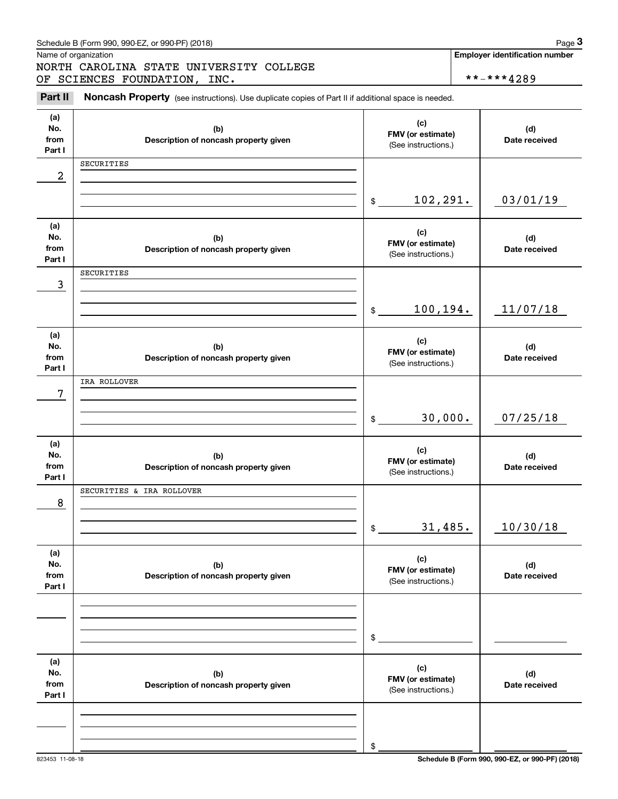|                         | Schedule B (Form 990, 990-EZ, or 990-PF) (2018)                                                     |                            | Page 3                                |
|-------------------------|-----------------------------------------------------------------------------------------------------|----------------------------|---------------------------------------|
|                         | Name of organization                                                                                |                            | <b>Employer identification number</b> |
|                         | NORTH CAROLINA STATE UNIVERSITY COLLEGE                                                             |                            |                                       |
|                         | OF SCIENCES FOUNDATION, INC.                                                                        |                            | **-***4289                            |
| Part II                 | Noncash Property (see instructions). Use duplicate copies of Part II if additional space is needed. |                            |                                       |
| (a)                     |                                                                                                     |                            |                                       |
| No.                     | (b)                                                                                                 | (c)<br>FMV (or estimate)   | (d)                                   |
| from                    | Description of noncash property given                                                               | (See instructions.)        | Date received                         |
| Part I                  |                                                                                                     |                            |                                       |
|                         | SECURITIES                                                                                          |                            |                                       |
| $\overline{\mathbf{c}}$ |                                                                                                     |                            |                                       |
|                         |                                                                                                     |                            |                                       |
|                         |                                                                                                     | 102,291.<br>\$             | 03/01/19                              |
| (a)                     |                                                                                                     |                            |                                       |
| No.                     | (b)                                                                                                 | (c)                        | (d)                                   |
| from                    | Description of noncash property given                                                               | FMV (or estimate)          | Date received                         |
| Part I                  |                                                                                                     | (See instructions.)        |                                       |
|                         | SECURITIES                                                                                          |                            |                                       |
| 3                       |                                                                                                     |                            |                                       |
|                         |                                                                                                     |                            |                                       |
|                         |                                                                                                     | 100,194.<br>$$\mathbb{S}$$ | 11/07/18                              |
|                         |                                                                                                     |                            |                                       |
| (a)<br>No.              | (b)                                                                                                 | (c)                        | (d)                                   |
| from                    | Description of noncash property given                                                               | FMV (or estimate)          | Date received                         |
| Part I                  |                                                                                                     | (See instructions.)        |                                       |
|                         | IRA ROLLOVER                                                                                        |                            |                                       |
| 7                       |                                                                                                     |                            |                                       |
|                         |                                                                                                     |                            |                                       |
|                         |                                                                                                     | 30,000.<br>\$              | 07/25/18                              |
|                         |                                                                                                     |                            |                                       |
| (a)<br>No.              | (b)                                                                                                 | (c)                        | (d)                                   |
| from                    | Description of noncash property given                                                               | FMV (or estimate)          | Date received                         |
| Part I                  |                                                                                                     | (See instructions.)        |                                       |
|                         | SECURITIES & IRA ROLLOVER                                                                           |                            |                                       |
| 8                       |                                                                                                     |                            |                                       |
|                         |                                                                                                     |                            |                                       |
|                         |                                                                                                     | 31,485.<br>\$              | 10/30/18                              |
|                         |                                                                                                     |                            |                                       |
| (a)<br>No.              | (b)                                                                                                 | (c)                        | (d)                                   |
| from                    | Description of noncash property given                                                               | FMV (or estimate)          | Date received                         |
| Part I                  |                                                                                                     | (See instructions.)        |                                       |
|                         |                                                                                                     |                            |                                       |
|                         |                                                                                                     |                            |                                       |
|                         |                                                                                                     |                            |                                       |
|                         |                                                                                                     | \$                         |                                       |
|                         |                                                                                                     |                            |                                       |
| (a)                     |                                                                                                     | (c)                        |                                       |
| No.<br>from             | (b)                                                                                                 | FMV (or estimate)          | (d)                                   |
| Part I                  | Description of noncash property given                                                               | (See instructions.)        | Date received                         |
|                         |                                                                                                     |                            |                                       |
|                         |                                                                                                     |                            |                                       |
|                         |                                                                                                     |                            |                                       |
|                         |                                                                                                     | \$                         |                                       |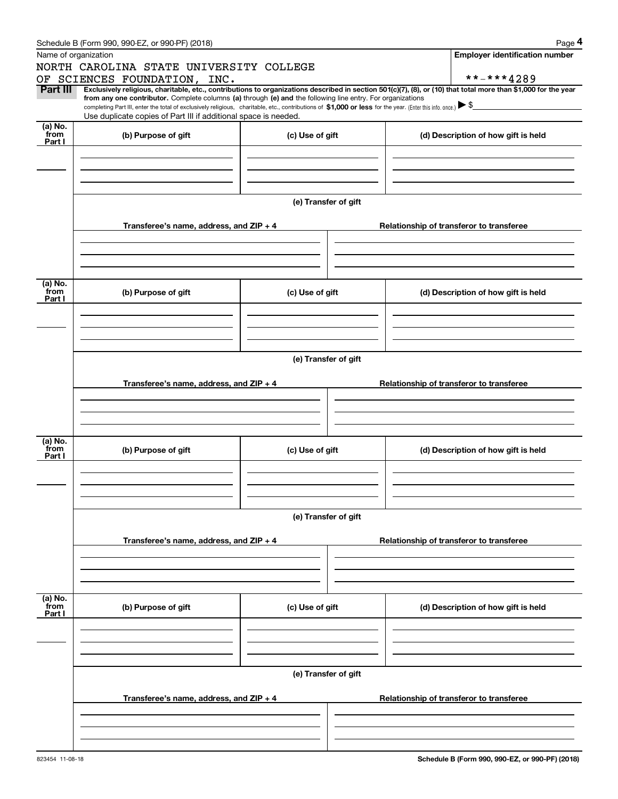|                 | Schedule B (Form 990, 990-EZ, or 990-PF) (2018)                                                                                                                                                                                                                                                 |                      |                                          | Page 4                                |  |  |  |  |  |
|-----------------|-------------------------------------------------------------------------------------------------------------------------------------------------------------------------------------------------------------------------------------------------------------------------------------------------|----------------------|------------------------------------------|---------------------------------------|--|--|--|--|--|
|                 | Name of organization                                                                                                                                                                                                                                                                            |                      |                                          | <b>Employer identification number</b> |  |  |  |  |  |
|                 | NORTH CAROLINA STATE UNIVERSITY COLLEGE                                                                                                                                                                                                                                                         |                      |                                          |                                       |  |  |  |  |  |
|                 | OF SCIENCES FOUNDATION, INC.                                                                                                                                                                                                                                                                    |                      | **-***4289                               |                                       |  |  |  |  |  |
| Part III        | Exclusively religious, charitable, etc., contributions to organizations described in section 501(c)(7), (8), or (10) that total more than \$1,000 for the year                                                                                                                                  |                      |                                          |                                       |  |  |  |  |  |
|                 | from any one contributor. Complete columns (a) through (e) and the following line entry. For organizations<br>completing Part III, enter the total of exclusively religious, charitable, etc., contributions of \$1,000 or less for the year. (Enter this info. once.) $\blacktriangleright$ \$ |                      |                                          |                                       |  |  |  |  |  |
|                 | Use duplicate copies of Part III if additional space is needed.                                                                                                                                                                                                                                 |                      |                                          |                                       |  |  |  |  |  |
| (a) No.         |                                                                                                                                                                                                                                                                                                 |                      |                                          |                                       |  |  |  |  |  |
| from<br>Part I  | (b) Purpose of gift                                                                                                                                                                                                                                                                             | (c) Use of gift      | (d) Description of how gift is held      |                                       |  |  |  |  |  |
|                 |                                                                                                                                                                                                                                                                                                 |                      |                                          |                                       |  |  |  |  |  |
|                 |                                                                                                                                                                                                                                                                                                 |                      |                                          |                                       |  |  |  |  |  |
|                 |                                                                                                                                                                                                                                                                                                 |                      |                                          |                                       |  |  |  |  |  |
|                 |                                                                                                                                                                                                                                                                                                 |                      |                                          |                                       |  |  |  |  |  |
|                 |                                                                                                                                                                                                                                                                                                 | (e) Transfer of gift |                                          |                                       |  |  |  |  |  |
|                 |                                                                                                                                                                                                                                                                                                 |                      |                                          |                                       |  |  |  |  |  |
|                 | Transferee's name, address, and ZIP + 4                                                                                                                                                                                                                                                         |                      | Relationship of transferor to transferee |                                       |  |  |  |  |  |
|                 |                                                                                                                                                                                                                                                                                                 |                      |                                          |                                       |  |  |  |  |  |
|                 |                                                                                                                                                                                                                                                                                                 |                      |                                          |                                       |  |  |  |  |  |
|                 |                                                                                                                                                                                                                                                                                                 |                      |                                          |                                       |  |  |  |  |  |
|                 |                                                                                                                                                                                                                                                                                                 |                      |                                          |                                       |  |  |  |  |  |
| (a) No.         |                                                                                                                                                                                                                                                                                                 |                      |                                          |                                       |  |  |  |  |  |
| from<br>Part I  | (b) Purpose of gift                                                                                                                                                                                                                                                                             | (c) Use of gift      | (d) Description of how gift is held      |                                       |  |  |  |  |  |
|                 |                                                                                                                                                                                                                                                                                                 |                      |                                          |                                       |  |  |  |  |  |
|                 |                                                                                                                                                                                                                                                                                                 |                      |                                          |                                       |  |  |  |  |  |
|                 |                                                                                                                                                                                                                                                                                                 |                      |                                          |                                       |  |  |  |  |  |
|                 |                                                                                                                                                                                                                                                                                                 |                      |                                          |                                       |  |  |  |  |  |
|                 | (e) Transfer of gift                                                                                                                                                                                                                                                                            |                      |                                          |                                       |  |  |  |  |  |
|                 |                                                                                                                                                                                                                                                                                                 |                      |                                          |                                       |  |  |  |  |  |
|                 | Transferee's name, address, and ZIP + 4                                                                                                                                                                                                                                                         |                      | Relationship of transferor to transferee |                                       |  |  |  |  |  |
|                 |                                                                                                                                                                                                                                                                                                 |                      |                                          |                                       |  |  |  |  |  |
|                 |                                                                                                                                                                                                                                                                                                 |                      |                                          |                                       |  |  |  |  |  |
|                 |                                                                                                                                                                                                                                                                                                 |                      |                                          |                                       |  |  |  |  |  |
|                 |                                                                                                                                                                                                                                                                                                 |                      |                                          |                                       |  |  |  |  |  |
| (a) No.<br>from | (b) Purpose of gift                                                                                                                                                                                                                                                                             | (c) Use of gift      | (d) Description of how gift is held      |                                       |  |  |  |  |  |
| Part I          |                                                                                                                                                                                                                                                                                                 |                      |                                          |                                       |  |  |  |  |  |
|                 |                                                                                                                                                                                                                                                                                                 |                      |                                          |                                       |  |  |  |  |  |
|                 |                                                                                                                                                                                                                                                                                                 |                      |                                          |                                       |  |  |  |  |  |
|                 |                                                                                                                                                                                                                                                                                                 |                      |                                          |                                       |  |  |  |  |  |
|                 |                                                                                                                                                                                                                                                                                                 |                      |                                          |                                       |  |  |  |  |  |
|                 |                                                                                                                                                                                                                                                                                                 | (e) Transfer of gift |                                          |                                       |  |  |  |  |  |
|                 |                                                                                                                                                                                                                                                                                                 |                      |                                          |                                       |  |  |  |  |  |
|                 | Transferee's name, address, and ZIP + 4                                                                                                                                                                                                                                                         |                      | Relationship of transferor to transferee |                                       |  |  |  |  |  |
|                 |                                                                                                                                                                                                                                                                                                 |                      |                                          |                                       |  |  |  |  |  |
|                 |                                                                                                                                                                                                                                                                                                 |                      |                                          |                                       |  |  |  |  |  |
|                 |                                                                                                                                                                                                                                                                                                 |                      |                                          |                                       |  |  |  |  |  |
|                 |                                                                                                                                                                                                                                                                                                 |                      |                                          |                                       |  |  |  |  |  |
| (a) No.<br>from | (b) Purpose of gift                                                                                                                                                                                                                                                                             | (c) Use of gift      | (d) Description of how gift is held      |                                       |  |  |  |  |  |
| Part I          |                                                                                                                                                                                                                                                                                                 |                      |                                          |                                       |  |  |  |  |  |
|                 |                                                                                                                                                                                                                                                                                                 |                      |                                          |                                       |  |  |  |  |  |
|                 |                                                                                                                                                                                                                                                                                                 |                      |                                          |                                       |  |  |  |  |  |
|                 |                                                                                                                                                                                                                                                                                                 |                      |                                          |                                       |  |  |  |  |  |
|                 |                                                                                                                                                                                                                                                                                                 |                      |                                          |                                       |  |  |  |  |  |
|                 |                                                                                                                                                                                                                                                                                                 | (e) Transfer of gift |                                          |                                       |  |  |  |  |  |
|                 |                                                                                                                                                                                                                                                                                                 |                      |                                          |                                       |  |  |  |  |  |
|                 | Transferee's name, address, and ZIP + 4                                                                                                                                                                                                                                                         |                      | Relationship of transferor to transferee |                                       |  |  |  |  |  |
|                 |                                                                                                                                                                                                                                                                                                 |                      |                                          |                                       |  |  |  |  |  |
|                 |                                                                                                                                                                                                                                                                                                 |                      |                                          |                                       |  |  |  |  |  |
|                 |                                                                                                                                                                                                                                                                                                 |                      |                                          |                                       |  |  |  |  |  |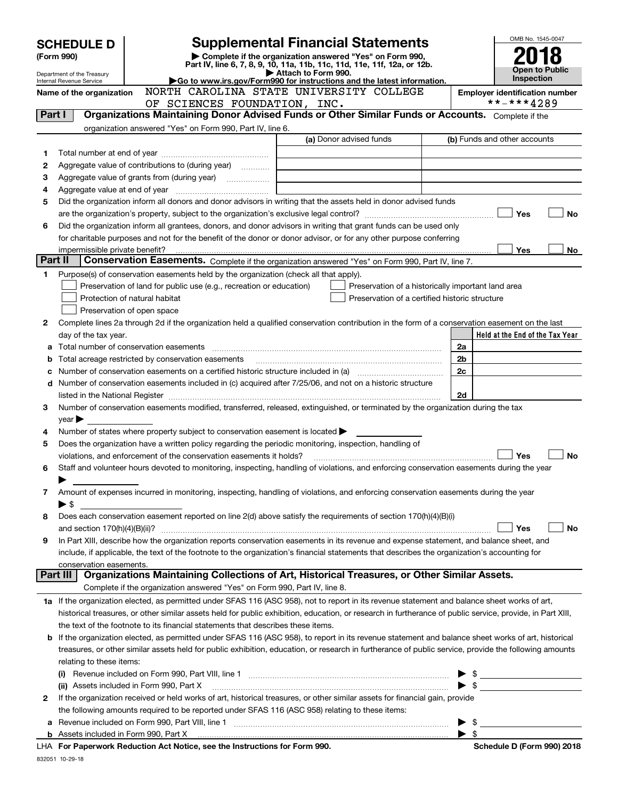|         | <b>Supplemental Financial Statements</b><br><b>SCHEDULE D</b><br>Complete if the organization answered "Yes" on Form 990,<br>(Form 990)<br>Part IV, line 6, 7, 8, 9, 10, 11a, 11b, 11c, 11d, 11e, 11f, 12a, or 12b. |                                                                                                        |                                                                                                                                                            |  |                          | OMB No. 1545-0047                                   |
|---------|---------------------------------------------------------------------------------------------------------------------------------------------------------------------------------------------------------------------|--------------------------------------------------------------------------------------------------------|------------------------------------------------------------------------------------------------------------------------------------------------------------|--|--------------------------|-----------------------------------------------------|
|         | Department of the Treasury                                                                                                                                                                                          |                                                                                                        | Attach to Form 990.                                                                                                                                        |  |                          | <b>Open to Public</b><br><b>Inspection</b>          |
|         | Internal Revenue Service                                                                                                                                                                                            |                                                                                                        | Go to www.irs.gov/Form990 for instructions and the latest information.<br>NORTH CAROLINA STATE UNIVERSITY COLLEGE                                          |  |                          |                                                     |
|         | Name of the organization                                                                                                                                                                                            | SCIENCES FOUNDATION, INC.<br>OF                                                                        |                                                                                                                                                            |  |                          | <b>Employer identification number</b><br>**-***4289 |
| Part I  |                                                                                                                                                                                                                     |                                                                                                        | Organizations Maintaining Donor Advised Funds or Other Similar Funds or Accounts. Complete if the                                                          |  |                          |                                                     |
|         |                                                                                                                                                                                                                     | organization answered "Yes" on Form 990, Part IV, line 6.                                              |                                                                                                                                                            |  |                          |                                                     |
|         |                                                                                                                                                                                                                     |                                                                                                        | (a) Donor advised funds                                                                                                                                    |  |                          | (b) Funds and other accounts                        |
|         |                                                                                                                                                                                                                     |                                                                                                        |                                                                                                                                                            |  |                          |                                                     |
| 1       |                                                                                                                                                                                                                     |                                                                                                        |                                                                                                                                                            |  |                          |                                                     |
| 2       |                                                                                                                                                                                                                     | Aggregate value of contributions to (during year)                                                      |                                                                                                                                                            |  |                          |                                                     |
| з       |                                                                                                                                                                                                                     |                                                                                                        |                                                                                                                                                            |  |                          |                                                     |
| 4       |                                                                                                                                                                                                                     |                                                                                                        |                                                                                                                                                            |  |                          |                                                     |
| 5       |                                                                                                                                                                                                                     |                                                                                                        | Did the organization inform all donors and donor advisors in writing that the assets held in donor advised funds                                           |  |                          | Yes<br>No                                           |
| 6       |                                                                                                                                                                                                                     |                                                                                                        | Did the organization inform all grantees, donors, and donor advisors in writing that grant funds can be used only                                          |  |                          |                                                     |
|         |                                                                                                                                                                                                                     |                                                                                                        |                                                                                                                                                            |  |                          |                                                     |
|         |                                                                                                                                                                                                                     |                                                                                                        | for charitable purposes and not for the benefit of the donor or donor advisor, or for any other purpose conferring                                         |  |                          | Yes                                                 |
| Part II |                                                                                                                                                                                                                     |                                                                                                        | Conservation Easements. Complete if the organization answered "Yes" on Form 990, Part IV, line 7.                                                          |  |                          | No                                                  |
|         |                                                                                                                                                                                                                     |                                                                                                        |                                                                                                                                                            |  |                          |                                                     |
| 1       |                                                                                                                                                                                                                     | Purpose(s) of conservation easements held by the organization (check all that apply).                  |                                                                                                                                                            |  |                          |                                                     |
|         |                                                                                                                                                                                                                     | Preservation of land for public use (e.g., recreation or education)                                    | Preservation of a historically important land area                                                                                                         |  |                          |                                                     |
|         |                                                                                                                                                                                                                     | Protection of natural habitat                                                                          | Preservation of a certified historic structure                                                                                                             |  |                          |                                                     |
|         |                                                                                                                                                                                                                     | Preservation of open space                                                                             |                                                                                                                                                            |  |                          |                                                     |
| 2       |                                                                                                                                                                                                                     |                                                                                                        | Complete lines 2a through 2d if the organization held a qualified conservation contribution in the form of a conservation easement on the last             |  |                          |                                                     |
|         | day of the tax year.                                                                                                                                                                                                |                                                                                                        |                                                                                                                                                            |  |                          | Held at the End of the Tax Year                     |
| a       |                                                                                                                                                                                                                     |                                                                                                        |                                                                                                                                                            |  | 2a                       |                                                     |
| b       |                                                                                                                                                                                                                     | Total acreage restricted by conservation easements                                                     |                                                                                                                                                            |  | 2b                       |                                                     |
| c       |                                                                                                                                                                                                                     |                                                                                                        |                                                                                                                                                            |  | 2c                       |                                                     |
| d       |                                                                                                                                                                                                                     |                                                                                                        | Number of conservation easements included in (c) acquired after 7/25/06, and not on a historic structure                                                   |  |                          |                                                     |
|         |                                                                                                                                                                                                                     |                                                                                                        |                                                                                                                                                            |  | 2d                       |                                                     |
| 3       |                                                                                                                                                                                                                     |                                                                                                        | Number of conservation easements modified, transferred, released, extinguished, or terminated by the organization during the tax                           |  |                          |                                                     |
|         | $\gamma$ ear                                                                                                                                                                                                        |                                                                                                        |                                                                                                                                                            |  |                          |                                                     |
| 4       |                                                                                                                                                                                                                     | Number of states where property subject to conservation easement is located $\blacktriangleright$      |                                                                                                                                                            |  |                          |                                                     |
| 5       |                                                                                                                                                                                                                     | Does the organization have a written policy regarding the periodic monitoring, inspection, handling of |                                                                                                                                                            |  |                          |                                                     |
|         |                                                                                                                                                                                                                     | violations, and enforcement of the conservation easements it holds?                                    |                                                                                                                                                            |  |                          | Yes<br>No                                           |
| 6       |                                                                                                                                                                                                                     |                                                                                                        | Staff and volunteer hours devoted to monitoring, inspecting, handling of violations, and enforcing conservation easements during the year                  |  |                          |                                                     |
|         |                                                                                                                                                                                                                     |                                                                                                        |                                                                                                                                                            |  |                          |                                                     |
| 7       |                                                                                                                                                                                                                     |                                                                                                        | Amount of expenses incurred in monitoring, inspecting, handling of violations, and enforcing conservation easements during the year                        |  |                          |                                                     |
|         | ▶ \$                                                                                                                                                                                                                |                                                                                                        | Does each conservation easement reported on line 2(d) above satisfy the requirements of section 170(h)(4)(B)(i)                                            |  |                          |                                                     |
| 8       |                                                                                                                                                                                                                     |                                                                                                        |                                                                                                                                                            |  |                          |                                                     |
| 9       | and section $170(h)(4)(B)(ii)?$                                                                                                                                                                                     |                                                                                                        | In Part XIII, describe how the organization reports conservation easements in its revenue and expense statement, and balance sheet, and                    |  |                          | Yes<br>No                                           |
|         |                                                                                                                                                                                                                     |                                                                                                        |                                                                                                                                                            |  |                          |                                                     |
|         |                                                                                                                                                                                                                     |                                                                                                        | include, if applicable, the text of the footnote to the organization's financial statements that describes the organization's accounting for               |  |                          |                                                     |
|         | conservation easements.<br>Part III                                                                                                                                                                                 |                                                                                                        | Organizations Maintaining Collections of Art, Historical Treasures, or Other Similar Assets.                                                               |  |                          |                                                     |
|         |                                                                                                                                                                                                                     | Complete if the organization answered "Yes" on Form 990, Part IV, line 8.                              |                                                                                                                                                            |  |                          |                                                     |
|         |                                                                                                                                                                                                                     |                                                                                                        | 1a If the organization elected, as permitted under SFAS 116 (ASC 958), not to report in its revenue statement and balance sheet works of art,              |  |                          |                                                     |
|         |                                                                                                                                                                                                                     |                                                                                                        |                                                                                                                                                            |  |                          |                                                     |
|         |                                                                                                                                                                                                                     |                                                                                                        | historical treasures, or other similar assets held for public exhibition, education, or research in furtherance of public service, provide, in Part XIII,  |  |                          |                                                     |
|         |                                                                                                                                                                                                                     | the text of the footnote to its financial statements that describes these items.                       |                                                                                                                                                            |  |                          |                                                     |
|         |                                                                                                                                                                                                                     |                                                                                                        | <b>b</b> If the organization elected, as permitted under SFAS 116 (ASC 958), to report in its revenue statement and balance sheet works of art, historical |  |                          |                                                     |
|         |                                                                                                                                                                                                                     |                                                                                                        | treasures, or other similar assets held for public exhibition, education, or research in furtherance of public service, provide the following amounts      |  |                          |                                                     |
|         | relating to these items:                                                                                                                                                                                            |                                                                                                        |                                                                                                                                                            |  |                          |                                                     |
|         |                                                                                                                                                                                                                     |                                                                                                        |                                                                                                                                                            |  |                          |                                                     |
|         |                                                                                                                                                                                                                     | (ii) Assets included in Form 990, Part X                                                               |                                                                                                                                                            |  | $\blacktriangleright$ \$ |                                                     |
| 2       |                                                                                                                                                                                                                     |                                                                                                        | If the organization received or held works of art, historical treasures, or other similar assets for financial gain, provide                               |  |                          |                                                     |
|         |                                                                                                                                                                                                                     | the following amounts required to be reported under SFAS 116 (ASC 958) relating to these items:        |                                                                                                                                                            |  |                          |                                                     |
| а       |                                                                                                                                                                                                                     |                                                                                                        |                                                                                                                                                            |  | $\blacktriangleright$ \$ |                                                     |
|         |                                                                                                                                                                                                                     | <b>LUA For Departually Reduction Act Notice, see the Instructions for Form 000</b>                     |                                                                                                                                                            |  | $\blacktriangleright$ \$ | Cohodulo D (Form 000) 2010                          |

**For Paperwork Reduction Act Notice, see the Instructions for Form 990. Schedule D (Form 990) 2018** LHA

832051 10-29-18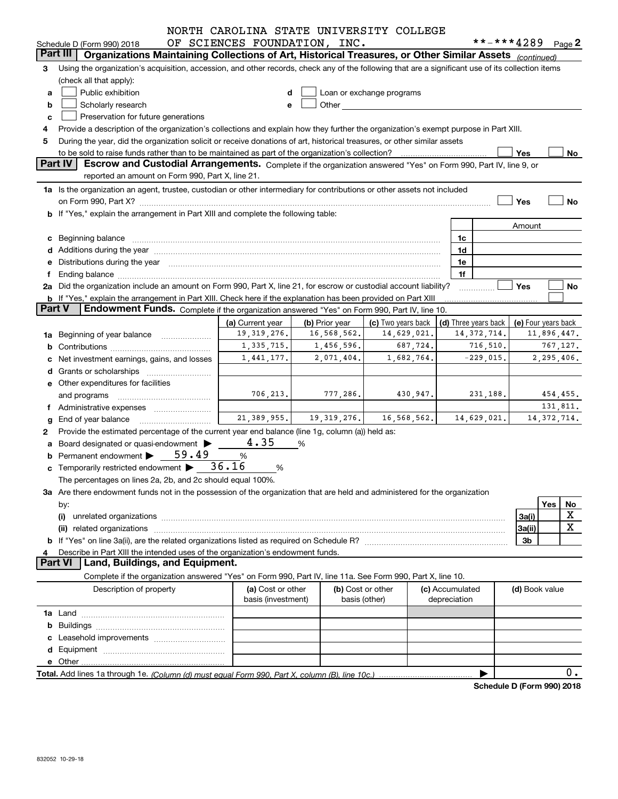|               |                                                                                                                                                                                                                                     | NORTH CAROLINA STATE UNIVERSITY COLLEGE |                |                                                                                                                                                                                                                               |                                 |               |                                            |                            |
|---------------|-------------------------------------------------------------------------------------------------------------------------------------------------------------------------------------------------------------------------------------|-----------------------------------------|----------------|-------------------------------------------------------------------------------------------------------------------------------------------------------------------------------------------------------------------------------|---------------------------------|---------------|--------------------------------------------|----------------------------|
|               | Schedule D (Form 990) 2018                                                                                                                                                                                                          | OF SCIENCES FOUNDATION, INC.            |                |                                                                                                                                                                                                                               |                                 |               | **-***4289 Page 2                          |                            |
|               | Organizations Maintaining Collections of Art, Historical Treasures, or Other Similar Assets (continued)<br>Part III                                                                                                                 |                                         |                |                                                                                                                                                                                                                               |                                 |               |                                            |                            |
| 3             | Using the organization's acquisition, accession, and other records, check any of the following that are a significant use of its collection items                                                                                   |                                         |                |                                                                                                                                                                                                                               |                                 |               |                                            |                            |
|               | (check all that apply):                                                                                                                                                                                                             |                                         |                |                                                                                                                                                                                                                               |                                 |               |                                            |                            |
| a             | Public exhibition                                                                                                                                                                                                                   | d                                       |                | Loan or exchange programs                                                                                                                                                                                                     |                                 |               |                                            |                            |
| b             | Scholarly research                                                                                                                                                                                                                  | е                                       |                | Other and the contract of the contract of the contract of the contract of the contract of the contract of the contract of the contract of the contract of the contract of the contract of the contract of the contract of the |                                 |               |                                            |                            |
| c             | Preservation for future generations                                                                                                                                                                                                 |                                         |                |                                                                                                                                                                                                                               |                                 |               |                                            |                            |
|               | Provide a description of the organization's collections and explain how they further the organization's exempt purpose in Part XIII.                                                                                                |                                         |                |                                                                                                                                                                                                                               |                                 |               |                                            |                            |
| 5             | During the year, did the organization solicit or receive donations of art, historical treasures, or other similar assets                                                                                                            |                                         |                |                                                                                                                                                                                                                               |                                 |               |                                            |                            |
|               | to be sold to raise funds rather than to be maintained as part of the organization's collection?                                                                                                                                    |                                         |                |                                                                                                                                                                                                                               |                                 |               | Yes                                        | No                         |
|               | Part IV<br>Escrow and Custodial Arrangements. Complete if the organization answered "Yes" on Form 990, Part IV, line 9, or                                                                                                          |                                         |                |                                                                                                                                                                                                                               |                                 |               |                                            |                            |
|               | reported an amount on Form 990, Part X, line 21.                                                                                                                                                                                    |                                         |                |                                                                                                                                                                                                                               |                                 |               |                                            |                            |
|               | 1a Is the organization an agent, trustee, custodian or other intermediary for contributions or other assets not included                                                                                                            |                                         |                |                                                                                                                                                                                                                               |                                 |               |                                            |                            |
|               | on Form 990, Part X? <b>William Construct Construct Construct Construct Construct Construct Construct Construct Const</b>                                                                                                           |                                         |                |                                                                                                                                                                                                                               |                                 |               | Yes                                        | No                         |
|               | b If "Yes," explain the arrangement in Part XIII and complete the following table:                                                                                                                                                  |                                         |                |                                                                                                                                                                                                                               |                                 |               |                                            |                            |
|               |                                                                                                                                                                                                                                     |                                         |                |                                                                                                                                                                                                                               |                                 |               | Amount                                     |                            |
|               | c Beginning balance <b>communications</b> and a construction of the construction of the construction of the construction of the construction of the construction of the construction of the construction of the construction of the |                                         |                |                                                                                                                                                                                                                               | 1c                              |               |                                            |                            |
|               |                                                                                                                                                                                                                                     |                                         |                |                                                                                                                                                                                                                               | 1d                              |               |                                            |                            |
|               | Distributions during the year manufactured and an account of the state of the state of the state of the state o                                                                                                                     |                                         |                |                                                                                                                                                                                                                               | 1e<br>1f                        |               |                                            |                            |
|               | 2a Did the organization include an amount on Form 990, Part X, line 21, for escrow or custodial account liability?                                                                                                                  |                                         |                |                                                                                                                                                                                                                               |                                 |               | Yes                                        | No                         |
|               | <b>b</b> If "Yes," explain the arrangement in Part XIII. Check here if the explanation has been provided on Part XIII                                                                                                               |                                         |                |                                                                                                                                                                                                                               |                                 |               |                                            |                            |
| <b>Part V</b> | Endowment Funds. Complete if the organization answered "Yes" on Form 990, Part IV, line 10.                                                                                                                                         |                                         |                |                                                                                                                                                                                                                               |                                 |               |                                            |                            |
|               |                                                                                                                                                                                                                                     | (a) Current year                        | (b) Prior year | (c) Two years back                                                                                                                                                                                                            |                                 |               | (d) Three years back   (e) Four years back |                            |
|               | 1a Beginning of year balance                                                                                                                                                                                                        | 19, 319, 276.                           | 16,568,562.    | 14,629,021.                                                                                                                                                                                                                   |                                 | 14, 372, 714. |                                            | 11,896,447.                |
|               |                                                                                                                                                                                                                                     | 1,335,715.                              | 1,456,596.     | 687,724.                                                                                                                                                                                                                      |                                 | 716, 510.     |                                            | 767,127.                   |
|               | Net investment earnings, gains, and losses                                                                                                                                                                                          | 1,441,177.                              | 2,071,404.     | 1,682,764.                                                                                                                                                                                                                    |                                 | $-229,015.$   |                                            | 2,295,406.                 |
|               |                                                                                                                                                                                                                                     |                                         |                |                                                                                                                                                                                                                               |                                 |               |                                            |                            |
|               | e Other expenditures for facilities                                                                                                                                                                                                 |                                         |                |                                                                                                                                                                                                                               |                                 |               |                                            |                            |
|               |                                                                                                                                                                                                                                     | 706, 213.                               | 777,286.       | 430,947.                                                                                                                                                                                                                      |                                 | 231,188.      |                                            | 454,455.                   |
|               | Administrative expenses                                                                                                                                                                                                             |                                         |                |                                                                                                                                                                                                                               |                                 |               |                                            | 131,811.                   |
|               | End of year balance                                                                                                                                                                                                                 |                                         |                | $21,389,955.$ $19,319,276.$ $16,568,562.$                                                                                                                                                                                     |                                 | 14,629,021.   |                                            | 14, 372, 714.              |
| 2             | Provide the estimated percentage of the current year end balance (line 1g, column (a)) held as:                                                                                                                                     |                                         |                |                                                                                                                                                                                                                               |                                 |               |                                            |                            |
|               | Board designated or quasi-endowment >                                                                                                                                                                                               | 4.35                                    | %              |                                                                                                                                                                                                                               |                                 |               |                                            |                            |
|               | Permanent endowment $\triangleright$ 59.49                                                                                                                                                                                          | %                                       |                |                                                                                                                                                                                                                               |                                 |               |                                            |                            |
|               | c Temporarily restricted endowment $\blacktriangleright$ 36.16                                                                                                                                                                      | %                                       |                |                                                                                                                                                                                                                               |                                 |               |                                            |                            |
|               | The percentages on lines 2a, 2b, and 2c should equal 100%.                                                                                                                                                                          |                                         |                |                                                                                                                                                                                                                               |                                 |               |                                            |                            |
|               | 3a Are there endowment funds not in the possession of the organization that are held and administered for the organization                                                                                                          |                                         |                |                                                                                                                                                                                                                               |                                 |               |                                            |                            |
|               | by:                                                                                                                                                                                                                                 |                                         |                |                                                                                                                                                                                                                               |                                 |               |                                            | Yes<br>No                  |
|               | (i)                                                                                                                                                                                                                                 |                                         |                |                                                                                                                                                                                                                               |                                 |               | 3a(i)                                      | X                          |
|               |                                                                                                                                                                                                                                     |                                         |                |                                                                                                                                                                                                                               |                                 |               | 3a(ii)                                     | $\mathbf X$                |
|               |                                                                                                                                                                                                                                     |                                         |                |                                                                                                                                                                                                                               |                                 |               | 3b                                         |                            |
|               | Describe in Part XIII the intended uses of the organization's endowment funds.                                                                                                                                                      |                                         |                |                                                                                                                                                                                                                               |                                 |               |                                            |                            |
|               | Land, Buildings, and Equipment.<br><b>Part VI</b>                                                                                                                                                                                   |                                         |                |                                                                                                                                                                                                                               |                                 |               |                                            |                            |
|               | Complete if the organization answered "Yes" on Form 990, Part IV, line 11a. See Form 990, Part X, line 10.                                                                                                                          |                                         |                |                                                                                                                                                                                                                               |                                 |               |                                            |                            |
|               | Description of property                                                                                                                                                                                                             | (a) Cost or other<br>basis (investment) |                | (b) Cost or other<br>basis (other)                                                                                                                                                                                            | (c) Accumulated<br>depreciation |               | (d) Book value                             |                            |
|               |                                                                                                                                                                                                                                     |                                         |                |                                                                                                                                                                                                                               |                                 |               |                                            |                            |
| b             |                                                                                                                                                                                                                                     |                                         |                |                                                                                                                                                                                                                               |                                 |               |                                            |                            |
|               |                                                                                                                                                                                                                                     |                                         |                |                                                                                                                                                                                                                               |                                 |               |                                            |                            |
|               |                                                                                                                                                                                                                                     |                                         |                |                                                                                                                                                                                                                               |                                 |               |                                            |                            |
|               |                                                                                                                                                                                                                                     |                                         |                |                                                                                                                                                                                                                               |                                 |               |                                            |                            |
|               |                                                                                                                                                                                                                                     |                                         |                |                                                                                                                                                                                                                               |                                 |               |                                            | 0.                         |
|               |                                                                                                                                                                                                                                     |                                         |                |                                                                                                                                                                                                                               |                                 |               |                                            | Cahadula D (Faum 000) 0040 |

**Schedule D (Form 990) 2018**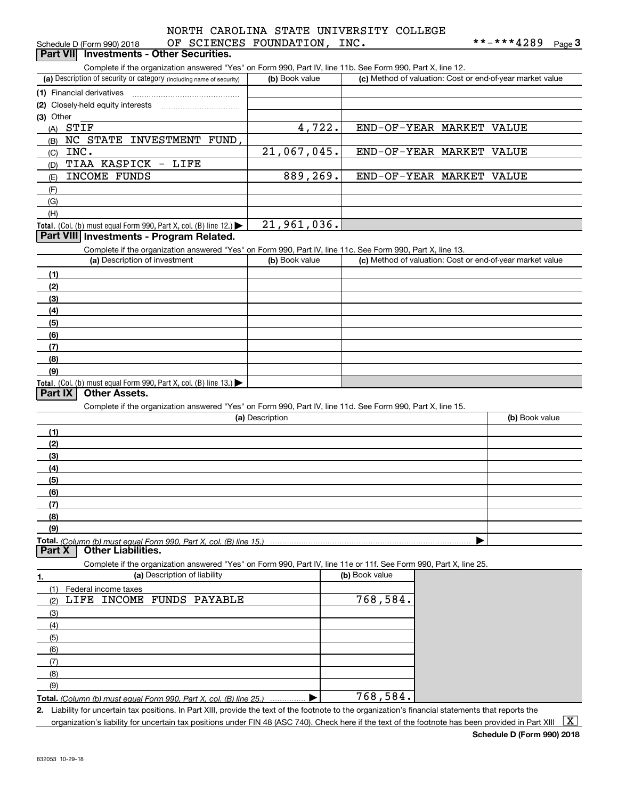# OF SCIENCES FOUNDATION, INC. NORTH CAROLINA STATE UNIVERSITY COLLEGE

| Schedule D (Form 990) 2018                                                                                        | OF SCIENCES FOUNDATION, INC. |                |                                                           | **-***4289     | Page $3$ |
|-------------------------------------------------------------------------------------------------------------------|------------------------------|----------------|-----------------------------------------------------------|----------------|----------|
| <b>Investments - Other Securities.</b><br><b>Part VIII</b>                                                        |                              |                |                                                           |                |          |
| Complete if the organization answered "Yes" on Form 990, Part IV, line 11b. See Form 990, Part X, line 12.        |                              |                |                                                           |                |          |
| (a) Description of security or category (including name of security)                                              | (b) Book value               |                | (c) Method of valuation: Cost or end-of-year market value |                |          |
| (1) Financial derivatives                                                                                         |                              |                |                                                           |                |          |
| (2) Closely-held equity interests                                                                                 |                              |                |                                                           |                |          |
| (3) Other                                                                                                         |                              |                |                                                           |                |          |
| $(A)$ STIF                                                                                                        | 4,722.                       |                | END-OF-YEAR MARKET VALUE                                  |                |          |
| NC STATE INVESTMENT FUND,<br>(B)                                                                                  |                              |                |                                                           |                |          |
| INC.<br>(C)                                                                                                       | 21,067,045.                  |                | END-OF-YEAR MARKET VALUE                                  |                |          |
| TIAA KASPICK - LIFE<br>(D)                                                                                        |                              |                |                                                           |                |          |
| <b>INCOME FUNDS</b><br>(E)                                                                                        | 889,269.                     |                | END-OF-YEAR MARKET VALUE                                  |                |          |
| (F)                                                                                                               |                              |                |                                                           |                |          |
| (G)                                                                                                               |                              |                |                                                           |                |          |
| (H)                                                                                                               |                              |                |                                                           |                |          |
| Total. (Col. (b) must equal Form 990, Part X, col. (B) line 12.) $\blacktriangleright$                            | 21,961,036.                  |                |                                                           |                |          |
| Part VIII Investments - Program Related.                                                                          |                              |                |                                                           |                |          |
| Complete if the organization answered "Yes" on Form 990, Part IV, line 11c. See Form 990, Part X, line 13.        |                              |                |                                                           |                |          |
| (a) Description of investment                                                                                     | (b) Book value               |                | (c) Method of valuation: Cost or end-of-year market value |                |          |
| (1)                                                                                                               |                              |                |                                                           |                |          |
| (2)                                                                                                               |                              |                |                                                           |                |          |
| (3)                                                                                                               |                              |                |                                                           |                |          |
| (4)                                                                                                               |                              |                |                                                           |                |          |
| (5)                                                                                                               |                              |                |                                                           |                |          |
| (6)                                                                                                               |                              |                |                                                           |                |          |
| (7)                                                                                                               |                              |                |                                                           |                |          |
| (8)<br>(9)                                                                                                        |                              |                |                                                           |                |          |
| Total. (Col. (b) must equal Form 990, Part X, col. (B) line 13.) $\blacktriangleright$                            |                              |                |                                                           |                |          |
| <b>Other Assets.</b><br>Part IX                                                                                   |                              |                |                                                           |                |          |
| Complete if the organization answered "Yes" on Form 990, Part IV, line 11d. See Form 990, Part X, line 15.        |                              |                |                                                           |                |          |
|                                                                                                                   | (a) Description              |                |                                                           | (b) Book value |          |
| (1)                                                                                                               |                              |                |                                                           |                |          |
| (2)                                                                                                               |                              |                |                                                           |                |          |
| (3)                                                                                                               |                              |                |                                                           |                |          |
| (4)                                                                                                               |                              |                |                                                           |                |          |
| (5)                                                                                                               |                              |                |                                                           |                |          |
| (6)                                                                                                               |                              |                |                                                           |                |          |
| (7)                                                                                                               |                              |                |                                                           |                |          |
| (8)                                                                                                               |                              |                |                                                           |                |          |
| (9)                                                                                                               |                              |                |                                                           |                |          |
| Total. (Column (b) must equal Form 990. Part X. col. (B) line 15.)                                                |                              |                |                                                           |                |          |
| <b>Other Liabilities.</b><br>Part X                                                                               |                              |                |                                                           |                |          |
| Complete if the organization answered "Yes" on Form 990, Part IV, line 11e or 11f. See Form 990, Part X, line 25. |                              |                |                                                           |                |          |
| (a) Description of liability<br>1.                                                                                |                              | (b) Book value |                                                           |                |          |
| (1)<br>Federal income taxes                                                                                       |                              |                |                                                           |                |          |
| LIFE INCOME FUNDS PAYABLE<br>(2)                                                                                  |                              | 768,584.       |                                                           |                |          |
| (3)                                                                                                               |                              |                |                                                           |                |          |
| (4)                                                                                                               |                              |                |                                                           |                |          |
| (5)                                                                                                               |                              |                |                                                           |                |          |
| (6)                                                                                                               |                              |                |                                                           |                |          |
| (7)                                                                                                               |                              |                |                                                           |                |          |
| (8)                                                                                                               |                              |                |                                                           |                |          |
| (9)                                                                                                               |                              |                |                                                           |                |          |

**Total.**  *(Column (b) must equal Form 990, Part X, col. (B) line 25.)* | 768,584.

**2.** Liability for uncertain tax positions. In Part XIII, provide the text of the footnote to the organization's financial statements that reports the organization's liability for uncertain tax positions under FIN 48 (ASC 740). Check here if the text of the footnote has been provided in Part XIII  $~\boxed{\rm X}$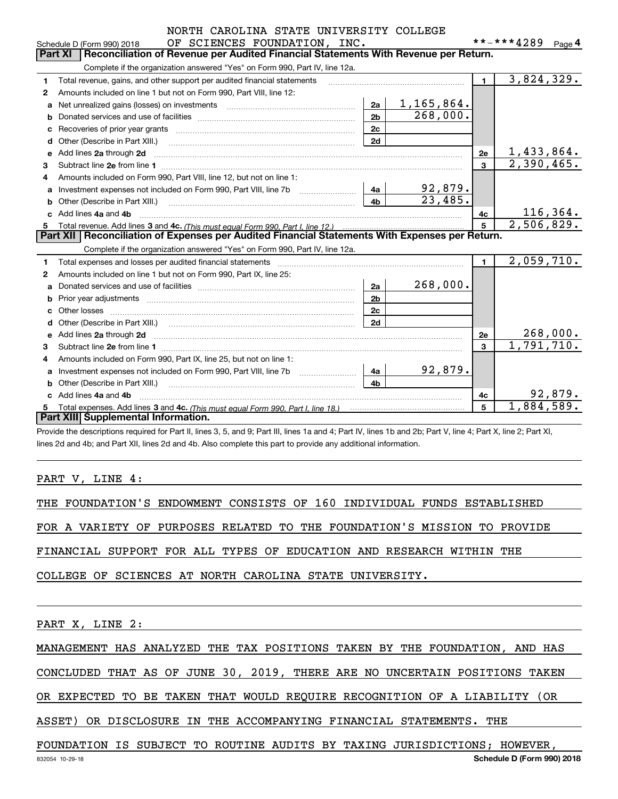|  |  |                        |  | NORTH CAROLINA STATE UNIVERSITY COLLEGE |
|--|--|------------------------|--|-----------------------------------------|
|  |  | OF COTFNOTC FOUNDATION |  |                                         |

|              | OF SCIENCES FOUNDATION, INC.<br>Schedule D (Form 990) 2018                                                                                                     |                | **-***4289 | Page 4    |
|--------------|----------------------------------------------------------------------------------------------------------------------------------------------------------------|----------------|------------|-----------|
|              | <b>Part XI</b><br>Reconciliation of Revenue per Audited Financial Statements With Revenue per Return.                                                          |                |            |           |
|              | Complete if the organization answered "Yes" on Form 990, Part IV, line 12a.                                                                                    |                |            |           |
| 1.           | Total revenue, gains, and other support per audited financial statements                                                                                       | $\mathbf{1}$   | 3,824,329. |           |
| $\mathbf{2}$ | Amounts included on line 1 but not on Form 990, Part VIII, line 12:                                                                                            |                |            |           |
| a            | 1,165,864.<br>2a<br>Net unrealized gains (losses) on investments [11] matter contracts and the unrealized gains (losses) on investments                        |                |            |           |
| b            | 268,000.<br>2 <sub>b</sub>                                                                                                                                     |                |            |           |
| C            | 2c                                                                                                                                                             |                |            |           |
| d            | 2d<br>Other (Describe in Part XIII.)                                                                                                                           |                |            |           |
| e            | Add lines 2a through 2d                                                                                                                                        | 2e             | 1,433,864. |           |
| 3            | Subtract line 2e from line 1                                                                                                                                   | 3              | 2,390,465. |           |
| 4            | Amounts included on Form 990, Part VIII, line 12, but not on line 1:                                                                                           |                |            |           |
| а            | 92,879.<br>4a                                                                                                                                                  |                |            |           |
| b            | 23,485.<br>4 <sub>b</sub>                                                                                                                                      |                |            |           |
|              | Add lines 4a and 4b                                                                                                                                            | 4с             |            | 116, 364. |
| 5.           |                                                                                                                                                                | 5              | 2,506,829. |           |
|              | Part XII   Reconciliation of Expenses per Audited Financial Statements With Expenses per Return.                                                               |                |            |           |
|              | Complete if the organization answered "Yes" on Form 990, Part IV, line 12a.                                                                                    |                |            |           |
| 1            | Total expenses and losses per audited financial statements                                                                                                     | $\blacksquare$ | 2,059,710. |           |
| $\mathbf{2}$ | Amounts included on line 1 but not on Form 990, Part IX, line 25:                                                                                              |                |            |           |
| a            | 268,000.<br>2a                                                                                                                                                 |                |            |           |
| b            | 2 <sub>b</sub>                                                                                                                                                 |                |            |           |
|              | 2c<br>Other losses                                                                                                                                             |                |            |           |
| d            | 2d                                                                                                                                                             |                |            |           |
| e            | Add lines 2a through 2d                                                                                                                                        | 2e             |            | 268,000.  |
| 3            | Subtract line 2e from line 1                                                                                                                                   | 3              | 1,791,710. |           |
| 4            | Amounts included on Form 990, Part IX, line 25, but not on line 1:                                                                                             |                |            |           |
| a            | 92,879.<br>4a                                                                                                                                                  |                |            |           |
| b            | 4 <sub>h</sub>                                                                                                                                                 |                |            |           |
|              | Add lines 4a and 4b                                                                                                                                            | 4с             |            | 92,879.   |
| 5.           |                                                                                                                                                                | 5              | 1,884,589. |           |
|              | Part XIII Supplemental Information.                                                                                                                            |                |            |           |
|              | Provide the descriptions required for Part II, lines 3, 5, and 9; Part III, lines 1a and 4; Part IV, lines 1b and 2b; Part V, line 4; Part X, line 2; Part XI, |                |            |           |

lines 2d and 4b; and Part XII, lines 2d and 4b. Also complete this part to provide any additional information.

#### PART V, LINE 4:

THE FOUNDATION'S ENDOWMENT CONSISTS OF 160 INDIVIDUAL FUNDS ESTABLISHED

FOR A VARIETY OF PURPOSES RELATED TO THE FOUNDATION'S MISSION TO PROVIDE

FINANCIAL SUPPORT FOR ALL TYPES OF EDUCATION AND RESEARCH WITHIN THE

COLLEGE OF SCIENCES AT NORTH CAROLINA STATE UNIVERSITY.

PART X, LINE 2:

MANAGEMENT HAS ANALYZED THE TAX POSITIONS TAKEN BY THE FOUNDATION, AND HAS

CONCLUDED THAT AS OF JUNE 30, 2019, THERE ARE NO UNCERTAIN POSITIONS TAKEN

OR EXPECTED TO BE TAKEN THAT WOULD REQUIRE RECOGNITION OF A LIABILITY (OR

ASSET) OR DISCLOSURE IN THE ACCOMPANYING FINANCIAL STATEMENTS. THE

FOUNDATION IS SUBJECT TO ROUTINE AUDITS BY TAXING JURISDICTIONS; HOWEVER,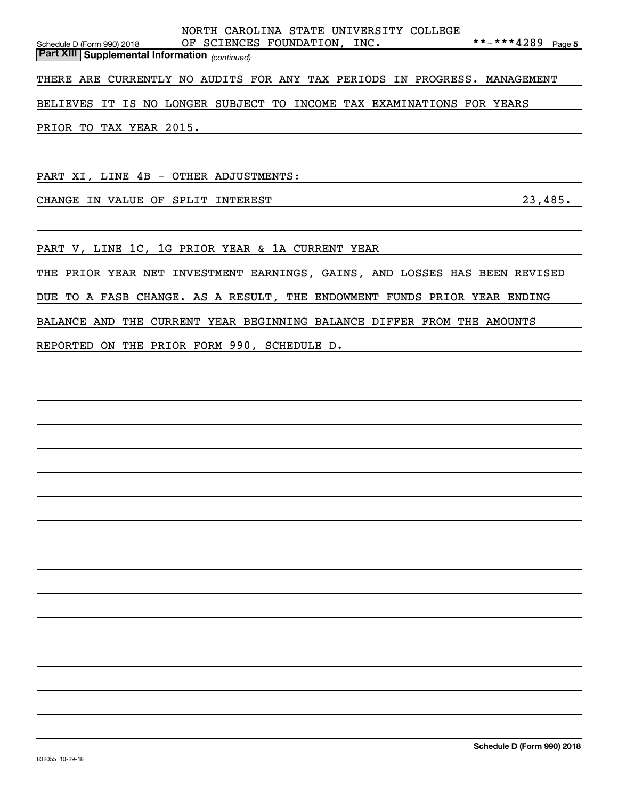| NORTH CAROLINA STATE UNIVERSITY COLLEGE                                                    |                      |
|--------------------------------------------------------------------------------------------|----------------------|
| OF SCIENCES FOUNDATION, INC.<br>Schedule D (Form 990) 2018                                 | **-***4289<br>Page 5 |
| <b>Part XIII Supplemental Information</b> (continued)                                      |                      |
| THERE ARE CURRENTLY NO AUDITS FOR ANY TAX PERIODS IN PROGRESS.                             | MANAGEMENT           |
| NO LONGER SUBJECT TO<br>INCOME TAX EXAMINATIONS FOR YEARS<br>IS.<br><b>BELIEVES</b><br>IT. |                      |
| PRIOR TO TAX YEAR 2015.                                                                    |                      |
| PART XI, LINE 4B - OTHER ADJUSTMENTS:                                                      |                      |
| SPLIT<br><b>CHANGE</b><br>IN VALUE OF<br>INTEREST                                          | 23,485.              |
|                                                                                            |                      |

PART V, LINE 1C, 1G PRIOR YEAR & 1A CURRENT YEAR

THE PRIOR YEAR NET INVESTMENT EARNINGS, GAINS, AND LOSSES HAS BEEN REVISED

DUE TO A FASB CHANGE. AS A RESULT, THE ENDOWMENT FUNDS PRIOR YEAR ENDING

BALANCE AND THE CURRENT YEAR BEGINNING BALANCE DIFFER FROM THE AMOUNTS

REPORTED ON THE PRIOR FORM 990, SCHEDULE D.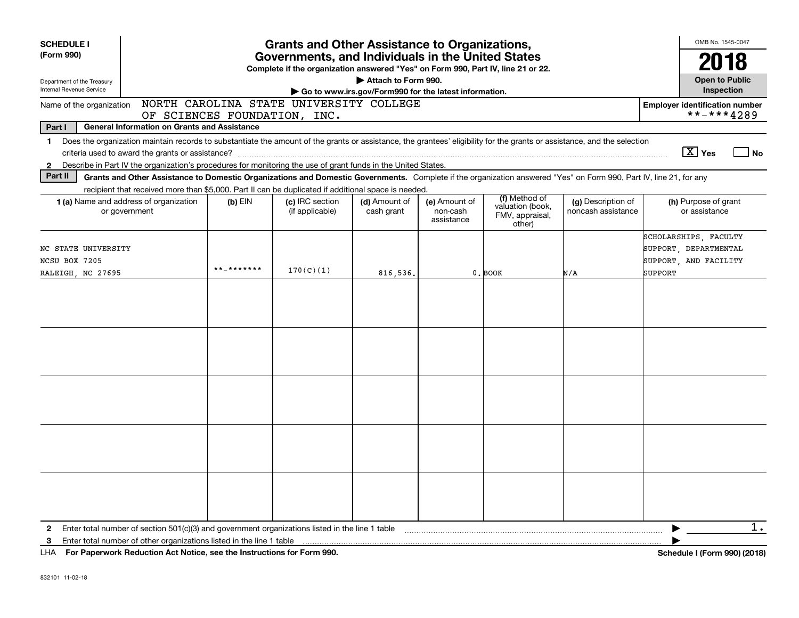| <b>SCHEDULE I</b><br>(Form 990)<br>Department of the Treasury<br>Internal Revenue Service                    | <b>Grants and Other Assistance to Organizations,</b><br>Governments, and Individuals in the United States<br>Complete if the organization answered "Yes" on Form 990, Part IV, line 21 or 22.<br>Attach to Form 990.<br>Go to www.irs.gov/Form990 for the latest information. |            |                                    |                             |                                         |                                                                |                                          |                                                                                    |  |  |
|--------------------------------------------------------------------------------------------------------------|-------------------------------------------------------------------------------------------------------------------------------------------------------------------------------------------------------------------------------------------------------------------------------|------------|------------------------------------|-----------------------------|-----------------------------------------|----------------------------------------------------------------|------------------------------------------|------------------------------------------------------------------------------------|--|--|
| NORTH CAROLINA STATE UNIVERSITY COLLEGE<br>Name of the organization<br><b>Employer identification number</b> |                                                                                                                                                                                                                                                                               |            |                                    |                             |                                         |                                                                |                                          |                                                                                    |  |  |
| Part I                                                                                                       | <b>General Information on Grants and Assistance</b>                                                                                                                                                                                                                           |            | OF SCIENCES FOUNDATION, INC.       |                             |                                         |                                                                |                                          | **-***4289                                                                         |  |  |
| $\mathbf 1$                                                                                                  | Does the organization maintain records to substantiate the amount of the grants or assistance, the grantees' eligibility for the grants or assistance, and the selection                                                                                                      |            |                                    |                             |                                         |                                                                |                                          |                                                                                    |  |  |
|                                                                                                              |                                                                                                                                                                                                                                                                               |            |                                    |                             |                                         |                                                                |                                          | $\boxed{\text{X}}$ Yes<br><b>No</b>                                                |  |  |
| $\mathbf{2}$                                                                                                 | Describe in Part IV the organization's procedures for monitoring the use of grant funds in the United States.                                                                                                                                                                 |            |                                    |                             |                                         |                                                                |                                          |                                                                                    |  |  |
| Part II                                                                                                      | Grants and Other Assistance to Domestic Organizations and Domestic Governments. Complete if the organization answered "Yes" on Form 990, Part IV, line 21, for any                                                                                                            |            |                                    |                             |                                         |                                                                |                                          |                                                                                    |  |  |
|                                                                                                              | recipient that received more than \$5,000. Part II can be duplicated if additional space is needed<br><b>1 (a)</b> Name and address of organization<br>or government                                                                                                          | $(b)$ EIN  | (c) IRC section<br>(if applicable) | (d) Amount of<br>cash grant | (e) Amount of<br>non-cash<br>assistance | (f) Method of<br>valuation (book,<br>FMV, appraisal,<br>other) | (g) Description of<br>noncash assistance | (h) Purpose of grant<br>or assistance                                              |  |  |
| NC STATE UNIVERSITY<br>NCSU BOX 7205<br>RALEIGH, NC 27695                                                    |                                                                                                                                                                                                                                                                               | **_******* | 170(C)(1)                          | 816,536.                    |                                         | 0. BOOK                                                        | N/A                                      | SCHOLARSHIPS, FACULTY<br>SUPPORT, DEPARTMENTAL<br>SUPPORT, AND FACILITY<br>SUPPORT |  |  |
|                                                                                                              |                                                                                                                                                                                                                                                                               |            |                                    |                             |                                         |                                                                |                                          |                                                                                    |  |  |
|                                                                                                              |                                                                                                                                                                                                                                                                               |            |                                    |                             |                                         |                                                                |                                          |                                                                                    |  |  |
|                                                                                                              |                                                                                                                                                                                                                                                                               |            |                                    |                             |                                         |                                                                |                                          |                                                                                    |  |  |
|                                                                                                              |                                                                                                                                                                                                                                                                               |            |                                    |                             |                                         |                                                                |                                          |                                                                                    |  |  |
|                                                                                                              |                                                                                                                                                                                                                                                                               |            |                                    |                             |                                         |                                                                |                                          |                                                                                    |  |  |
| $\mathbf{2}$                                                                                                 | Enter total number of section $501(c)(3)$ and government organizations listed in the line 1 table                                                                                                                                                                             |            |                                    |                             |                                         |                                                                |                                          | $1$ .                                                                              |  |  |
| 3                                                                                                            | Enter total number of other organizations listed in the line 1 table                                                                                                                                                                                                          |            |                                    |                             |                                         |                                                                |                                          |                                                                                    |  |  |
|                                                                                                              | LHA For Paperwork Reduction Act Notice, see the Instructions for Form 990.                                                                                                                                                                                                    |            |                                    |                             |                                         |                                                                |                                          | Schedule I (Form 990) (2018)                                                       |  |  |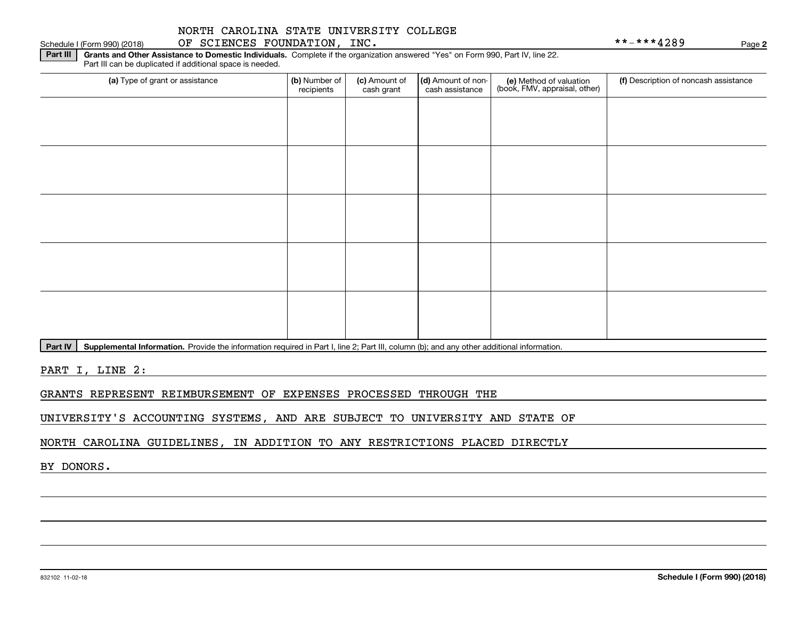# Schedule I (Form 990) (2018) OF SCIENCES FOUNDATION, INC. Page

**2**

**Part III** | Grants and Other Assistance to Domestic Individuals. Complete if the organization answered "Yes" on Form 990, Part IV, line 22. Part III can be duplicated if additional space is needed.

| (a) Type of grant or assistance | (b) Number of<br>recipients | (c) Amount of<br>cash grant | (d) Amount of non-<br>cash assistance | (e) Method of valuation<br>(book, FMV, appraisal, other) | (f) Description of noncash assistance |
|---------------------------------|-----------------------------|-----------------------------|---------------------------------------|----------------------------------------------------------|---------------------------------------|
|                                 |                             |                             |                                       |                                                          |                                       |
|                                 |                             |                             |                                       |                                                          |                                       |
|                                 |                             |                             |                                       |                                                          |                                       |
|                                 |                             |                             |                                       |                                                          |                                       |
|                                 |                             |                             |                                       |                                                          |                                       |
|                                 |                             |                             |                                       |                                                          |                                       |
|                                 |                             |                             |                                       |                                                          |                                       |
|                                 |                             |                             |                                       |                                                          |                                       |
|                                 |                             |                             |                                       |                                                          |                                       |
|                                 |                             |                             |                                       |                                                          |                                       |

**Part IV** | Supplemental Information. Provide the information required in Part I, line 2; Part III, column (b); and any other additional information.<br>

PART I, LINE 2:

GRANTS REPRESENT REIMBURSEMENT OF EXPENSES PROCESSED THROUGH THE

UNIVERSITY'S ACCOUNTING SYSTEMS, AND ARE SUBJECT TO UNIVERSITY AND STATE OF

NORTH CAROLINA GUIDELINES, IN ADDITION TO ANY RESTRICTIONS PLACED DIRECTLY

BY DONORS.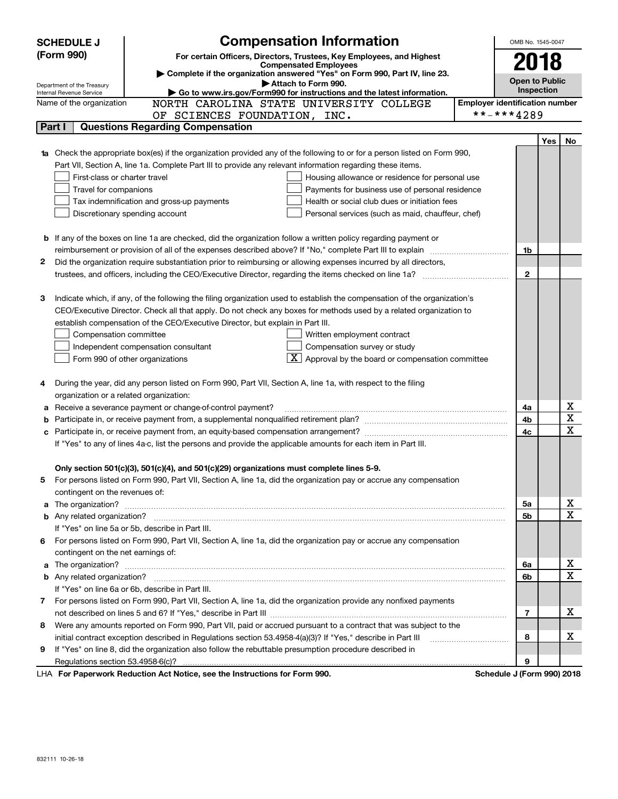|   | <b>SCHEDULE J</b>                                                                   | <b>Compensation Information</b>                                                                                                                                                                               |                                       | OMB No. 1545-0047     |            |        |  |
|---|-------------------------------------------------------------------------------------|---------------------------------------------------------------------------------------------------------------------------------------------------------------------------------------------------------------|---------------------------------------|-----------------------|------------|--------|--|
|   | (Form 990)<br>For certain Officers, Directors, Trustees, Key Employees, and Highest |                                                                                                                                                                                                               |                                       |                       | 2018       |        |  |
|   |                                                                                     |                                                                                                                                                                                                               |                                       |                       |            |        |  |
|   |                                                                                     | Complete if the organization answered "Yes" on Form 990, Part IV, line 23.<br>Attach to Form 990.                                                                                                             |                                       | <b>Open to Public</b> |            |        |  |
|   | Department of the Treasury<br>Internal Revenue Service                              | Go to www.irs.gov/Form990 for instructions and the latest information.                                                                                                                                        |                                       |                       | Inspection |        |  |
|   | Name of the organization                                                            | NORTH CAROLINA STATE UNIVERSITY COLLEGE                                                                                                                                                                       | <b>Employer identification number</b> |                       |            |        |  |
|   |                                                                                     | OF SCIENCES FOUNDATION, INC.                                                                                                                                                                                  | **-***4289                            |                       |            |        |  |
|   | Part I                                                                              | <b>Questions Regarding Compensation</b>                                                                                                                                                                       |                                       |                       |            |        |  |
|   |                                                                                     |                                                                                                                                                                                                               |                                       |                       | Yes        | No     |  |
|   |                                                                                     | Check the appropriate box(es) if the organization provided any of the following to or for a person listed on Form 990,                                                                                        |                                       |                       |            |        |  |
|   |                                                                                     | Part VII, Section A, line 1a. Complete Part III to provide any relevant information regarding these items.                                                                                                    |                                       |                       |            |        |  |
|   | First-class or charter travel                                                       | Housing allowance or residence for personal use                                                                                                                                                               |                                       |                       |            |        |  |
|   | Travel for companions                                                               | Payments for business use of personal residence                                                                                                                                                               |                                       |                       |            |        |  |
|   |                                                                                     | Tax indemnification and gross-up payments<br>Health or social club dues or initiation fees                                                                                                                    |                                       |                       |            |        |  |
|   |                                                                                     | Discretionary spending account<br>Personal services (such as maid, chauffeur, chef)                                                                                                                           |                                       |                       |            |        |  |
|   |                                                                                     |                                                                                                                                                                                                               |                                       |                       |            |        |  |
| b |                                                                                     | If any of the boxes on line 1a are checked, did the organization follow a written policy regarding payment or                                                                                                 |                                       |                       |            |        |  |
|   |                                                                                     | reimbursement or provision of all of the expenses described above? If "No," complete Part III to explain                                                                                                      |                                       | 1b                    |            |        |  |
| 2 |                                                                                     | Did the organization require substantiation prior to reimbursing or allowing expenses incurred by all directors,                                                                                              |                                       |                       |            |        |  |
|   |                                                                                     |                                                                                                                                                                                                               |                                       | $\mathbf{2}$          |            |        |  |
|   |                                                                                     |                                                                                                                                                                                                               |                                       |                       |            |        |  |
| з |                                                                                     | Indicate which, if any, of the following the filing organization used to establish the compensation of the organization's                                                                                     |                                       |                       |            |        |  |
|   |                                                                                     | CEO/Executive Director. Check all that apply. Do not check any boxes for methods used by a related organization to                                                                                            |                                       |                       |            |        |  |
|   |                                                                                     | establish compensation of the CEO/Executive Director, but explain in Part III.                                                                                                                                |                                       |                       |            |        |  |
|   | Compensation committee                                                              | Written employment contract                                                                                                                                                                                   |                                       |                       |            |        |  |
|   |                                                                                     | Compensation survey or study<br>Independent compensation consultant                                                                                                                                           |                                       |                       |            |        |  |
|   |                                                                                     | $\overline{X}$ Approval by the board or compensation committee<br>Form 990 of other organizations                                                                                                             |                                       |                       |            |        |  |
|   |                                                                                     |                                                                                                                                                                                                               |                                       |                       |            |        |  |
| 4 |                                                                                     | During the year, did any person listed on Form 990, Part VII, Section A, line 1a, with respect to the filing                                                                                                  |                                       |                       |            |        |  |
|   | organization or a related organization:                                             |                                                                                                                                                                                                               |                                       |                       |            |        |  |
| а |                                                                                     | Receive a severance payment or change-of-control payment?                                                                                                                                                     |                                       | 4a                    |            | х<br>х |  |
|   |                                                                                     |                                                                                                                                                                                                               |                                       | 4b                    |            | X      |  |
| с |                                                                                     |                                                                                                                                                                                                               |                                       | 4c                    |            |        |  |
|   |                                                                                     | If "Yes" to any of lines 4a-c, list the persons and provide the applicable amounts for each item in Part III.                                                                                                 |                                       |                       |            |        |  |
|   |                                                                                     |                                                                                                                                                                                                               |                                       |                       |            |        |  |
|   |                                                                                     | Only section 501(c)(3), 501(c)(4), and 501(c)(29) organizations must complete lines 5-9.<br>For persons listed on Form 990, Part VII, Section A, line 1a, did the organization pay or accrue any compensation |                                       |                       |            |        |  |
| 5 |                                                                                     |                                                                                                                                                                                                               |                                       |                       |            |        |  |
| a | contingent on the revenues of:                                                      |                                                                                                                                                                                                               |                                       | 5a                    |            | х      |  |
|   |                                                                                     |                                                                                                                                                                                                               |                                       | 5b                    |            | X      |  |
|   |                                                                                     | If "Yes" on line 5a or 5b, describe in Part III.                                                                                                                                                              |                                       |                       |            |        |  |
|   |                                                                                     | 6 For persons listed on Form 990, Part VII, Section A, line 1a, did the organization pay or accrue any compensation                                                                                           |                                       |                       |            |        |  |
|   | contingent on the net earnings of:                                                  |                                                                                                                                                                                                               |                                       |                       |            |        |  |
| a |                                                                                     |                                                                                                                                                                                                               |                                       | 6a                    |            | x      |  |
|   |                                                                                     |                                                                                                                                                                                                               |                                       | 6b                    |            | X      |  |
|   |                                                                                     | If "Yes" on line 6a or 6b, describe in Part III.                                                                                                                                                              |                                       |                       |            |        |  |
|   |                                                                                     | 7 For persons listed on Form 990, Part VII, Section A, line 1a, did the organization provide any nonfixed payments                                                                                            |                                       |                       |            |        |  |
|   |                                                                                     |                                                                                                                                                                                                               |                                       | 7                     |            | x.     |  |
| 8 |                                                                                     | Were any amounts reported on Form 990, Part VII, paid or accrued pursuant to a contract that was subject to the                                                                                               |                                       |                       |            |        |  |
|   |                                                                                     | initial contract exception described in Regulations section 53.4958-4(a)(3)? If "Yes," describe in Part III                                                                                                   |                                       | 8                     |            | x.     |  |
| 9 |                                                                                     | If "Yes" on line 8, did the organization also follow the rebuttable presumption procedure described in                                                                                                        |                                       |                       |            |        |  |
|   | Regulations section 53.4958-6(c)?                                                   |                                                                                                                                                                                                               |                                       | 9                     |            |        |  |
|   |                                                                                     | LHA For Paperwork Reduction Act Notice, see the Instructions for Form 990.                                                                                                                                    | Schedule J (Form 990) 2018            |                       |            |        |  |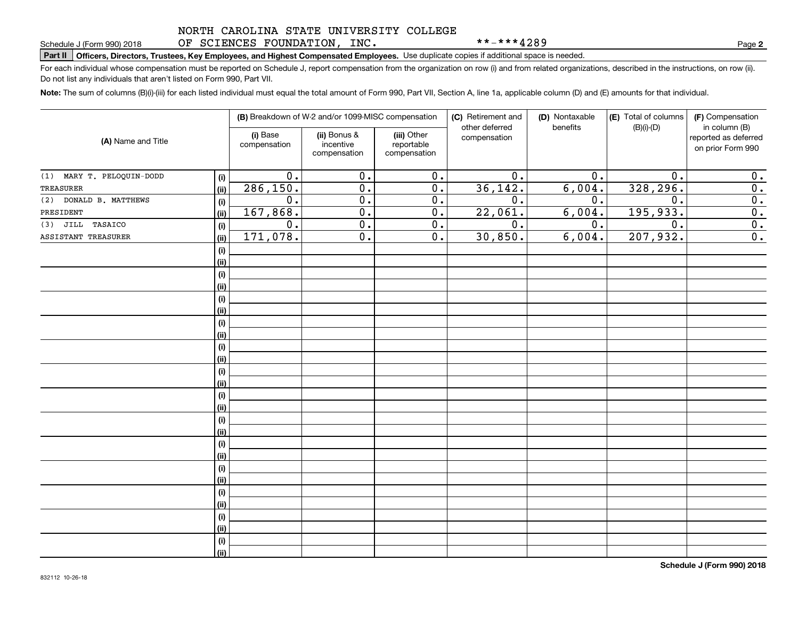### NORTH CAROLINA STATE UNIVERSITY COLLEGE OF SCIENCES FOUNDATION, INC.

\*\*-\*\*\*4289

**2**

# **Part II Officers, Directors, Trustees, Key Employees, and Highest Compensated Employees.**  Schedule J (Form 990) 2018 Page Use duplicate copies if additional space is needed.

For each individual whose compensation must be reported on Schedule J, report compensation from the organization on row (i) and from related organizations, described in the instructions, on row (ii). Do not list any individuals that aren't listed on Form 990, Part VII.

**Note:**  The sum of columns (B)(i)-(iii) for each listed individual must equal the total amount of Form 990, Part VII, Section A, line 1a, applicable column (D) and (E) amounts for that individual.

| (A) Name and Title           |      |                          | (B) Breakdown of W-2 and/or 1099-MISC compensation |                                           | (C) Retirement and<br>other deferred | (D) Nontaxable<br>benefits | (E) Total of columns<br>$(B)(i)-(D)$ | (F) Compensation<br>in column (B)         |
|------------------------------|------|--------------------------|----------------------------------------------------|-------------------------------------------|--------------------------------------|----------------------------|--------------------------------------|-------------------------------------------|
|                              |      | (i) Base<br>compensation | (ii) Bonus &<br>incentive<br>compensation          | (iii) Other<br>reportable<br>compensation | compensation                         |                            |                                      | reported as deferred<br>on prior Form 990 |
| MARY T. PELOQUIN-DODD<br>(1) | (i)  | $\overline{0}$ .         | $\overline{0}$ .                                   | $\overline{0}$ .                          | $\overline{0}$ .                     | 0.                         | 0.                                   | 0.                                        |
| TREASURER                    | (ii) | 286, 150.                | $\overline{0}$ .                                   | $\overline{0}$ .                          | 36, 142.                             | 6,004.                     | 328, 296.                            | $\overline{0}$ .                          |
| DONALD B. MATTHEWS<br>(2)    | (i)  | 0.                       | $\overline{0}$ .                                   | $\overline{0}$ .                          | $\overline{0}$ .                     | 0.                         | 0.                                   | $\overline{\mathbf{0}}$ .                 |
| PRESIDENT                    | (ii) | 167,868.                 | $\overline{0}$ .                                   | $\overline{0}$ .                          | 22,061.                              | 6,004.                     | 195,933.                             | $\overline{0}$ .                          |
| TASAICO<br>JILL<br>(3)       | (i)  | 0.                       | $\overline{0}$ .                                   | 0.                                        | $\overline{0}$ .                     | 0.                         | 0.                                   | 0.                                        |
| ASSISTANT TREASURER          | (ii) | 171,078.                 | $\overline{0}$ .                                   | 0.                                        | 30,850.                              | 6,004.                     | 207,932.                             | $\overline{0}$ .                          |
|                              | (i)  |                          |                                                    |                                           |                                      |                            |                                      |                                           |
|                              | (ii) |                          |                                                    |                                           |                                      |                            |                                      |                                           |
|                              | (i)  |                          |                                                    |                                           |                                      |                            |                                      |                                           |
|                              | (ii) |                          |                                                    |                                           |                                      |                            |                                      |                                           |
|                              | (i)  |                          |                                                    |                                           |                                      |                            |                                      |                                           |
|                              | (ii) |                          |                                                    |                                           |                                      |                            |                                      |                                           |
|                              | (i)  |                          |                                                    |                                           |                                      |                            |                                      |                                           |
|                              | (ii) |                          |                                                    |                                           |                                      |                            |                                      |                                           |
|                              | (i)  |                          |                                                    |                                           |                                      |                            |                                      |                                           |
|                              | (ii) |                          |                                                    |                                           |                                      |                            |                                      |                                           |
|                              | (i)  |                          |                                                    |                                           |                                      |                            |                                      |                                           |
|                              | (ii) |                          |                                                    |                                           |                                      |                            |                                      |                                           |
|                              | (i)  |                          |                                                    |                                           |                                      |                            |                                      |                                           |
|                              | (ii) |                          |                                                    |                                           |                                      |                            |                                      |                                           |
|                              | (i)  |                          |                                                    |                                           |                                      |                            |                                      |                                           |
|                              | (ii) |                          |                                                    |                                           |                                      |                            |                                      |                                           |
|                              | (i)  |                          |                                                    |                                           |                                      |                            |                                      |                                           |
|                              | (ii) |                          |                                                    |                                           |                                      |                            |                                      |                                           |
|                              | (i)  |                          |                                                    |                                           |                                      |                            |                                      |                                           |
|                              | (ii) |                          |                                                    |                                           |                                      |                            |                                      |                                           |
|                              | (i)  |                          |                                                    |                                           |                                      |                            |                                      |                                           |
|                              | (ii) |                          |                                                    |                                           |                                      |                            |                                      |                                           |
|                              | (i)  |                          |                                                    |                                           |                                      |                            |                                      |                                           |
|                              | (ii) |                          |                                                    |                                           |                                      |                            |                                      |                                           |
|                              | (i)  |                          |                                                    |                                           |                                      |                            |                                      |                                           |
|                              | (ii) |                          |                                                    |                                           |                                      |                            |                                      |                                           |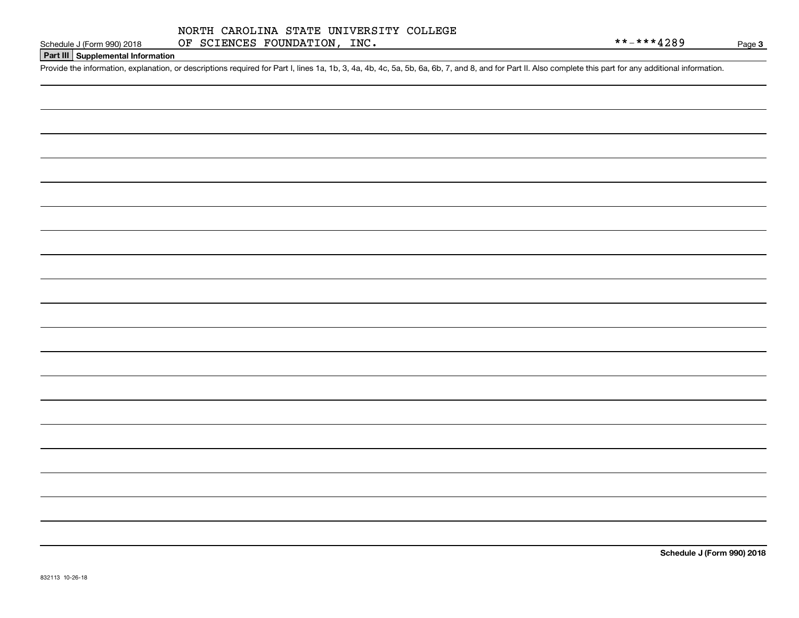Page 3

## **Part III Supplemental Information**

Schedule J (Form 990) 2018 OF SCIENCES FOUNDATION, INC.<br>Part III Supplemental Information<br>Provide the information, explanation, or descriptions required for Part I, lines 1a, 1b, 3, 4a, 4b, 4c, 5a, 5b, 6a, 6b, 7, and 8, an

**Schedule J (Form 990) 2018**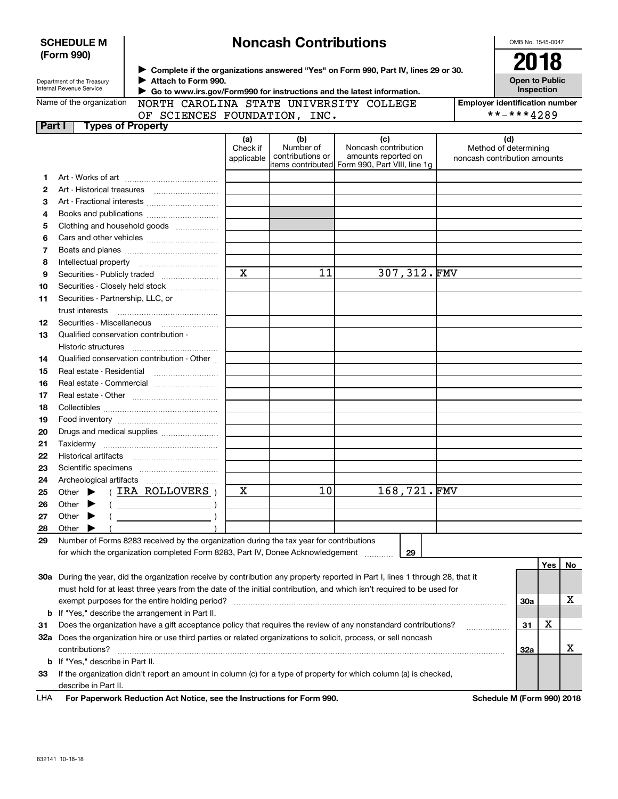|        | <b>SCHEDULE M</b>                                                                                                                                                                      |                                                                                                                                |                         | <b>Noncash Contributions</b>  |                                                |  |  | OMB No. 1545-0047                                     |            |                       |
|--------|----------------------------------------------------------------------------------------------------------------------------------------------------------------------------------------|--------------------------------------------------------------------------------------------------------------------------------|-------------------------|-------------------------------|------------------------------------------------|--|--|-------------------------------------------------------|------------|-----------------------|
|        | (Form 990)                                                                                                                                                                             |                                                                                                                                |                         |                               |                                                |  |  | 2018                                                  |            |                       |
|        | > Complete if the organizations answered "Yes" on Form 990, Part IV, lines 29 or 30.                                                                                                   |                                                                                                                                |                         |                               |                                                |  |  |                                                       |            |                       |
|        | Attach to Form 990.<br>Department of the Treasury<br><b>Internal Revenue Service</b>                                                                                                   |                                                                                                                                |                         |                               |                                                |  |  |                                                       |            | <b>Open to Public</b> |
|        | Go to www.irs.gov/Form990 for instructions and the latest information.<br>Name of the organization<br>NORTH CAROLINA STATE UNIVERSITY COLLEGE<br><b>Employer identification number</b> |                                                                                                                                |                         |                               |                                                |  |  |                                                       | Inspection |                       |
|        |                                                                                                                                                                                        | OF SCIENCES FOUNDATION, INC.                                                                                                   |                         |                               |                                                |  |  | **-***4289                                            |            |                       |
| Part I |                                                                                                                                                                                        | <b>Types of Property</b>                                                                                                       |                         |                               |                                                |  |  |                                                       |            |                       |
|        |                                                                                                                                                                                        |                                                                                                                                | (a)                     | (b)                           | (c)                                            |  |  | (d)                                                   |            |                       |
|        |                                                                                                                                                                                        |                                                                                                                                | Check if<br>applicable  | Number of<br>contributions or | Noncash contribution<br>amounts reported on    |  |  | Method of determining<br>noncash contribution amounts |            |                       |
|        |                                                                                                                                                                                        |                                                                                                                                |                         |                               | items contributed Form 990, Part VIII, line 1g |  |  |                                                       |            |                       |
| 1.     |                                                                                                                                                                                        |                                                                                                                                |                         |                               |                                                |  |  |                                                       |            |                       |
| 2      | Art - Historical treasures                                                                                                                                                             |                                                                                                                                |                         |                               |                                                |  |  |                                                       |            |                       |
| з      |                                                                                                                                                                                        | Art - Fractional interests                                                                                                     |                         |                               |                                                |  |  |                                                       |            |                       |
| 4      |                                                                                                                                                                                        |                                                                                                                                |                         |                               |                                                |  |  |                                                       |            |                       |
| 5      |                                                                                                                                                                                        | Clothing and household goods                                                                                                   |                         |                               |                                                |  |  |                                                       |            |                       |
| 6      |                                                                                                                                                                                        |                                                                                                                                |                         |                               |                                                |  |  |                                                       |            |                       |
| 7      |                                                                                                                                                                                        |                                                                                                                                |                         |                               |                                                |  |  |                                                       |            |                       |
| 8      | Intellectual property                                                                                                                                                                  |                                                                                                                                | $\overline{\mathbf{x}}$ |                               | 307,312.FMV                                    |  |  |                                                       |            |                       |
| 9      |                                                                                                                                                                                        | Securities - Publicly traded                                                                                                   |                         | 11                            |                                                |  |  |                                                       |            |                       |
| 10     |                                                                                                                                                                                        | Securities - Closely held stock                                                                                                |                         |                               |                                                |  |  |                                                       |            |                       |
| 11     | Securities - Partnership, LLC, or<br>trust interests                                                                                                                                   |                                                                                                                                |                         |                               |                                                |  |  |                                                       |            |                       |
| 12     | Securities - Miscellaneous                                                                                                                                                             |                                                                                                                                |                         |                               |                                                |  |  |                                                       |            |                       |
| 13     | Qualified conservation contribution -                                                                                                                                                  |                                                                                                                                |                         |                               |                                                |  |  |                                                       |            |                       |
|        | Historic structures                                                                                                                                                                    |                                                                                                                                |                         |                               |                                                |  |  |                                                       |            |                       |
| 14     |                                                                                                                                                                                        | Qualified conservation contribution - Other                                                                                    |                         |                               |                                                |  |  |                                                       |            |                       |
| 15     |                                                                                                                                                                                        |                                                                                                                                |                         |                               |                                                |  |  |                                                       |            |                       |
| 16     |                                                                                                                                                                                        |                                                                                                                                |                         |                               |                                                |  |  |                                                       |            |                       |
| 17     |                                                                                                                                                                                        |                                                                                                                                |                         |                               |                                                |  |  |                                                       |            |                       |
| 18     |                                                                                                                                                                                        |                                                                                                                                |                         |                               |                                                |  |  |                                                       |            |                       |
| 19     |                                                                                                                                                                                        |                                                                                                                                |                         |                               |                                                |  |  |                                                       |            |                       |
| 20     |                                                                                                                                                                                        | Drugs and medical supplies                                                                                                     |                         |                               |                                                |  |  |                                                       |            |                       |
| 21     |                                                                                                                                                                                        |                                                                                                                                |                         |                               |                                                |  |  |                                                       |            |                       |
| 22     |                                                                                                                                                                                        |                                                                                                                                |                         |                               |                                                |  |  |                                                       |            |                       |
| 23     |                                                                                                                                                                                        |                                                                                                                                |                         |                               |                                                |  |  |                                                       |            |                       |
| 24     |                                                                                                                                                                                        |                                                                                                                                |                         |                               |                                                |  |  |                                                       |            |                       |
| 25     | Other                                                                                                                                                                                  | IRA ROLLOVERS                                                                                                                  | х                       | 10                            | 168,721.FMV                                    |  |  |                                                       |            |                       |
| 26     | Other                                                                                                                                                                                  | <u> 1980 - Johann Barbara, martxa a</u>                                                                                        |                         |                               |                                                |  |  |                                                       |            |                       |
| 27     | Other                                                                                                                                                                                  |                                                                                                                                |                         |                               |                                                |  |  |                                                       |            |                       |
| 28     | Other                                                                                                                                                                                  |                                                                                                                                |                         |                               |                                                |  |  |                                                       |            |                       |
| 29     |                                                                                                                                                                                        | Number of Forms 8283 received by the organization during the tax year for contributions                                        |                         |                               |                                                |  |  |                                                       |            |                       |
|        |                                                                                                                                                                                        | for which the organization completed Form 8283, Part IV, Donee Acknowledgement                                                 |                         |                               | 29                                             |  |  |                                                       |            |                       |
|        |                                                                                                                                                                                        |                                                                                                                                |                         |                               |                                                |  |  |                                                       | Yes        | No                    |
|        |                                                                                                                                                                                        | 30a During the year, did the organization receive by contribution any property reported in Part I, lines 1 through 28, that it |                         |                               |                                                |  |  |                                                       |            |                       |
|        | must hold for at least three years from the date of the initial contribution, and which isn't required to be used for                                                                  |                                                                                                                                |                         |                               |                                                |  |  |                                                       |            |                       |
|        |                                                                                                                                                                                        | exempt purposes for the entire holding period?                                                                                 |                         |                               |                                                |  |  | 30a                                                   |            | х                     |
|        |                                                                                                                                                                                        | <b>b</b> If "Yes," describe the arrangement in Part II.                                                                        |                         |                               |                                                |  |  |                                                       | x          |                       |
| 31     |                                                                                                                                                                                        | Does the organization have a gift acceptance policy that requires the review of any nonstandard contributions?                 |                         |                               |                                                |  |  | 31                                                    |            |                       |
|        |                                                                                                                                                                                        | 32a Does the organization hire or use third parties or related organizations to solicit, process, or sell noncash              |                         |                               |                                                |  |  |                                                       |            | x                     |
|        | contributions?                                                                                                                                                                         |                                                                                                                                |                         |                               |                                                |  |  | <b>32a</b>                                            |            |                       |
|        | <b>b</b> If "Yes," describe in Part II.                                                                                                                                                | If the organization didn't report an amount in column (c) for a type of property for which column (a) is checked,              |                         |                               |                                                |  |  |                                                       |            |                       |
| 33     | describe in Part II.                                                                                                                                                                   |                                                                                                                                |                         |                               |                                                |  |  |                                                       |            |                       |
|        |                                                                                                                                                                                        |                                                                                                                                |                         |                               |                                                |  |  |                                                       |            |                       |

| LHA For Paperwork Reduction Act Notice, see the Instructions for Form 990. | Schedule M (Form 990) 2018 |
|----------------------------------------------------------------------------|----------------------------|
|                                                                            |                            |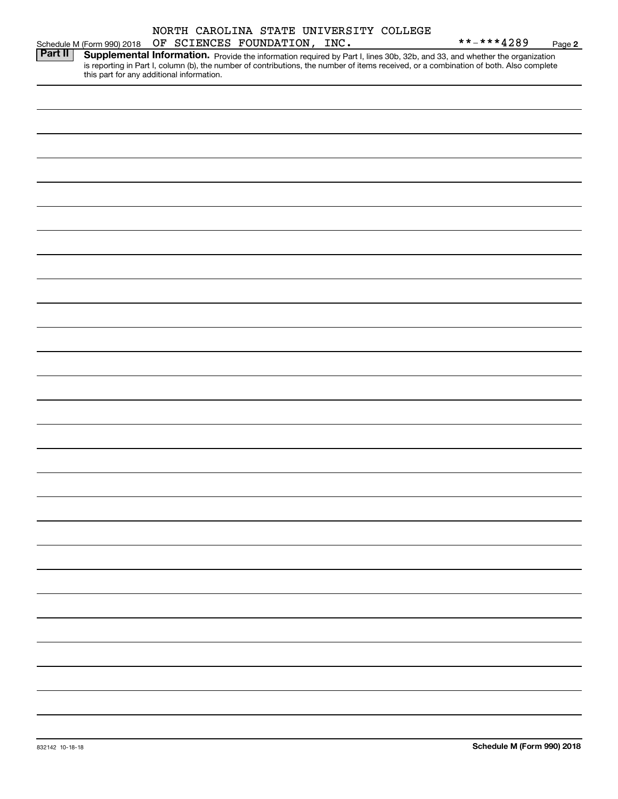|                |                                           |                              |  |  | NORTH CAROLINA STATE UNIVERSITY COLLEGE |                                                                                                                                                                                                                                     |        |
|----------------|-------------------------------------------|------------------------------|--|--|-----------------------------------------|-------------------------------------------------------------------------------------------------------------------------------------------------------------------------------------------------------------------------------------|--------|
|                | Schedule M (Form 990) 2018                | OF SCIENCES FOUNDATION, INC. |  |  |                                         | **-***4289                                                                                                                                                                                                                          | Page 2 |
| <b>Part II</b> | this part for any additional information. |                              |  |  |                                         | <b>Supplemental Information.</b> Provide the information required by Part I, lines 30b, 32b, and 33, and whether the organization is reporting in Part I, column (b), the number of contributions, the number of items received, or |        |
|                |                                           |                              |  |  |                                         |                                                                                                                                                                                                                                     |        |
|                |                                           |                              |  |  |                                         |                                                                                                                                                                                                                                     |        |
|                |                                           |                              |  |  |                                         |                                                                                                                                                                                                                                     |        |
|                |                                           |                              |  |  |                                         |                                                                                                                                                                                                                                     |        |
|                |                                           |                              |  |  |                                         |                                                                                                                                                                                                                                     |        |
|                |                                           |                              |  |  |                                         |                                                                                                                                                                                                                                     |        |
|                |                                           |                              |  |  |                                         |                                                                                                                                                                                                                                     |        |
|                |                                           |                              |  |  |                                         |                                                                                                                                                                                                                                     |        |
|                |                                           |                              |  |  |                                         |                                                                                                                                                                                                                                     |        |
|                |                                           |                              |  |  |                                         |                                                                                                                                                                                                                                     |        |
|                |                                           |                              |  |  |                                         |                                                                                                                                                                                                                                     |        |
|                |                                           |                              |  |  |                                         |                                                                                                                                                                                                                                     |        |
|                |                                           |                              |  |  |                                         |                                                                                                                                                                                                                                     |        |
|                |                                           |                              |  |  |                                         |                                                                                                                                                                                                                                     |        |
|                |                                           |                              |  |  |                                         |                                                                                                                                                                                                                                     |        |
|                |                                           |                              |  |  |                                         |                                                                                                                                                                                                                                     |        |
|                |                                           |                              |  |  |                                         |                                                                                                                                                                                                                                     |        |
|                |                                           |                              |  |  |                                         |                                                                                                                                                                                                                                     |        |
|                |                                           |                              |  |  |                                         |                                                                                                                                                                                                                                     |        |
|                |                                           |                              |  |  |                                         |                                                                                                                                                                                                                                     |        |
|                |                                           |                              |  |  |                                         |                                                                                                                                                                                                                                     |        |
|                |                                           |                              |  |  |                                         |                                                                                                                                                                                                                                     |        |
|                |                                           |                              |  |  |                                         |                                                                                                                                                                                                                                     |        |
|                |                                           |                              |  |  |                                         |                                                                                                                                                                                                                                     |        |
|                |                                           |                              |  |  |                                         |                                                                                                                                                                                                                                     |        |
|                |                                           |                              |  |  |                                         |                                                                                                                                                                                                                                     |        |
|                |                                           |                              |  |  |                                         |                                                                                                                                                                                                                                     |        |
|                |                                           |                              |  |  |                                         |                                                                                                                                                                                                                                     |        |
|                |                                           |                              |  |  |                                         |                                                                                                                                                                                                                                     |        |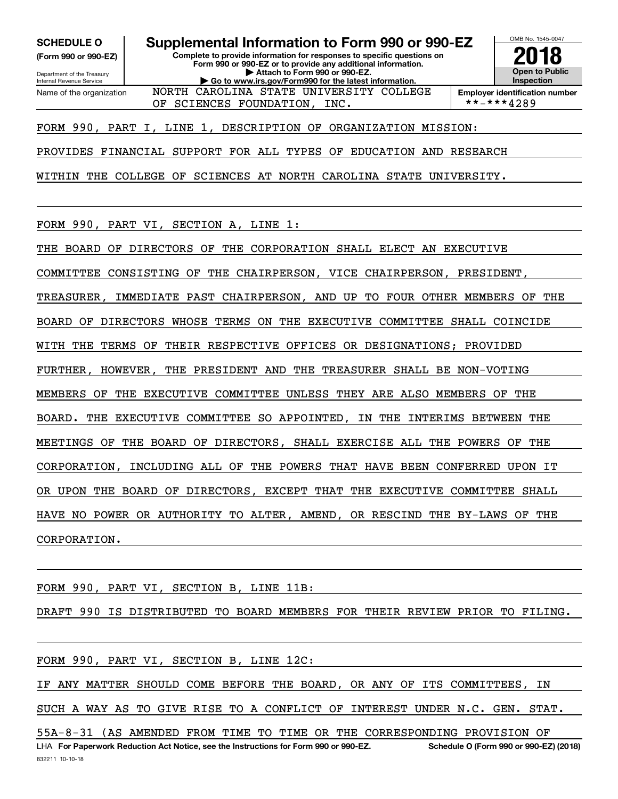**(Form 990 or 990-EZ)**

Department of the Treasury Internal Revenue Service Name of the organization

**SCHEDULE O Supplemental Information to Form 990 or 990-EZ**

**Complete to provide information for responses to specific questions on Form 990 or 990-EZ or to provide any additional information. | Attach to Form 990 or 990-EZ. | Go to www.irs.gov/Form990 for the latest information.** NORTH CAROLINA STATE UNIVERSITY COLLEGE



**Employer identification number**<br>\*\*-\*\*\*4289

FORM 990, PART I, LINE 1, DESCRIPTION OF ORGANIZATION MISSION:

OF SCIENCES FOUNDATION, INC.

PROVIDES FINANCIAL SUPPORT FOR ALL TYPES OF EDUCATION AND RESEARCH

WITHIN THE COLLEGE OF SCIENCES AT NORTH CAROLINA STATE UNIVERSITY.

FORM 990, PART VI, SECTION A, LINE 1:

THE BOARD OF DIRECTORS OF THE CORPORATION SHALL ELECT AN EXECUTIVE

COMMITTEE CONSISTING OF THE CHAIRPERSON, VICE CHAIRPERSON, PRESIDENT,

TREASURER, IMMEDIATE PAST CHAIRPERSON, AND UP TO FOUR OTHER MEMBERS OF THE

BOARD OF DIRECTORS WHOSE TERMS ON THE EXECUTIVE COMMITTEE SHALL COINCIDE

WITH THE TERMS OF THEIR RESPECTIVE OFFICES OR DESIGNATIONS; PROVIDED

FURTHER, HOWEVER, THE PRESIDENT AND THE TREASURER SHALL BE NON-VOTING

MEMBERS OF THE EXECUTIVE COMMITTEE UNLESS THEY ARE ALSO MEMBERS OF THE

BOARD. THE EXECUTIVE COMMITTEE SO APPOINTED, IN THE INTERIMS BETWEEN THE

MEETINGS OF THE BOARD OF DIRECTORS, SHALL EXERCISE ALL THE POWERS OF THE

CORPORATION, INCLUDING ALL OF THE POWERS THAT HAVE BEEN CONFERRED UPON IT

OR UPON THE BOARD OF DIRECTORS, EXCEPT THAT THE EXECUTIVE COMMITTEE SHALL

HAVE NO POWER OR AUTHORITY TO ALTER, AMEND, OR RESCIND THE BY-LAWS OF THE

CORPORATION.

FORM 990, PART VI, SECTION B, LINE 11B:

DRAFT 990 IS DISTRIBUTED TO BOARD MEMBERS FOR THEIR REVIEW PRIOR TO FILING.

FORM 990, PART VI, SECTION B, LINE 12C:

IF ANY MATTER SHOULD COME BEFORE THE BOARD, OR ANY OF ITS COMMITTEES, IN SUCH A WAY AS TO GIVE RISE TO A CONFLICT OF INTEREST UNDER N.C. GEN. STAT.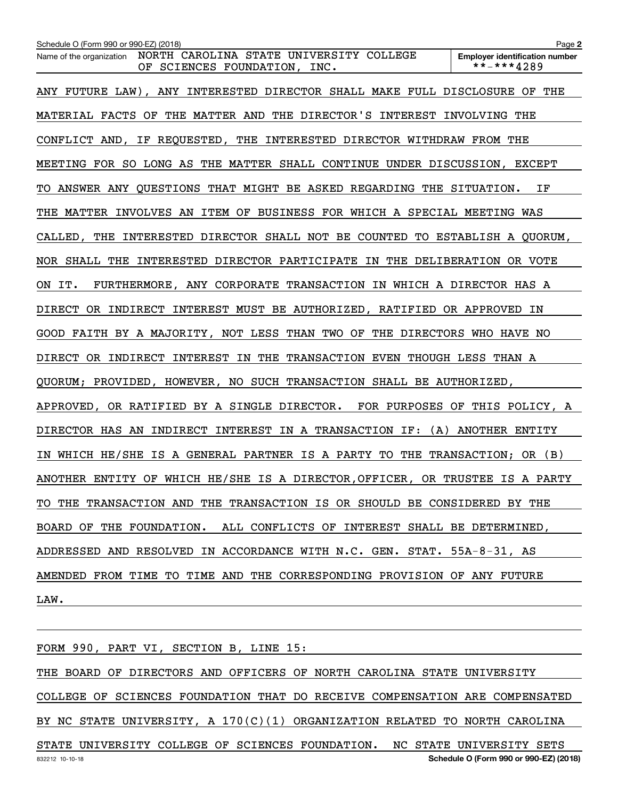| Schedule O (Form 990 or 990-EZ) (2018)                                                              | Page 2                                              |
|-----------------------------------------------------------------------------------------------------|-----------------------------------------------------|
| NORTH CAROLINA STATE UNIVERSITY COLLEGE<br>Name of the organization<br>OF SCIENCES FOUNDATION, INC. | <b>Employer identification number</b><br>**-***4289 |
| ANY FUTURE LAW), ANY INTERESTED DIRECTOR SHALL MAKE FULL DISCLOSURE OF THE                          |                                                     |
| MATERIAL FACTS OF THE MATTER AND THE DIRECTOR'S INTEREST INVOLVING THE                              |                                                     |
| CONFLICT AND, IF REQUESTED, THE INTERESTED DIRECTOR WITHDRAW FROM THE                               |                                                     |
| MEETING FOR SO LONG AS THE MATTER SHALL CONTINUE UNDER DISCUSSION, EXCEPT                           |                                                     |
| TO ANSWER ANY QUESTIONS THAT MIGHT BE ASKED REGARDING THE SITUATION.                                | ΙF                                                  |
| THE MATTER INVOLVES AN ITEM OF BUSINESS FOR WHICH A SPECIAL MEETING WAS                             |                                                     |
| CALLED, THE INTERESTED DIRECTOR SHALL NOT BE COUNTED TO ESTABLISH A QUORUM,                         |                                                     |
| NOR SHALL THE INTERESTED DIRECTOR PARTICIPATE IN THE DELIBERATION OR VOTE                           |                                                     |
| FURTHERMORE, ANY CORPORATE TRANSACTION IN WHICH A DIRECTOR HAS A<br>ON IT.                          |                                                     |
| DIRECT OR INDIRECT INTEREST MUST BE AUTHORIZED, RATIFIED OR APPROVED IN                             |                                                     |
| GOOD FAITH BY A MAJORITY, NOT LESS THAN TWO OF THE DIRECTORS WHO HAVE NO                            |                                                     |
| DIRECT OR INDIRECT INTEREST IN THE TRANSACTION EVEN THOUGH LESS THAN A                              |                                                     |
| QUORUM; PROVIDED, HOWEVER, NO SUCH TRANSACTION SHALL BE AUTHORIZED,                                 |                                                     |
| APPROVED, OR RATIFIED BY A SINGLE DIRECTOR. FOR PURPOSES OF THIS POLICY, A                          |                                                     |
| DIRECTOR HAS AN INDIRECT INTEREST IN A TRANSACTION IF: (A) ANOTHER ENTITY                           |                                                     |
| WHICH HE/SHE IS A GENERAL PARTNER IS A PARTY TO THE TRANSACTION; OR (B)                             |                                                     |
| ANOTHER ENTITY OF WHICH HE/SHE IS A DIRECTOR, OFFICER, OR TRUSTEE IS A PARTY                        |                                                     |
| TO THE TRANSACTION AND THE TRANSACTION IS OR SHOULD BE CONSIDERED BY THE                            |                                                     |
| BOARD OF THE FOUNDATION. ALL CONFLICTS OF INTEREST SHALL BE DETERMINED,                             |                                                     |
| ADDRESSED AND RESOLVED IN ACCORDANCE WITH N.C. GEN. STAT. 55A-8-31, AS                              |                                                     |
| AMENDED FROM TIME TO TIME AND THE CORRESPONDING PROVISION OF ANY FUTURE                             |                                                     |
| LAW.                                                                                                |                                                     |

832212 10-10-18 **Schedule O (Form 990 or 990-EZ) (2018)** FORM 990, PART VI, SECTION B, LINE 15: THE BOARD OF DIRECTORS AND OFFICERS OF NORTH CAROLINA STATE UNIVERSITY COLLEGE OF SCIENCES FOUNDATION THAT DO RECEIVE COMPENSATION ARE COMPENSATED BY NC STATE UNIVERSITY, A 170(C)(1) ORGANIZATION RELATED TO NORTH CAROLINA STATE UNIVERSITY COLLEGE OF SCIENCES FOUNDATION. NC STATE UNIVERSITY SETS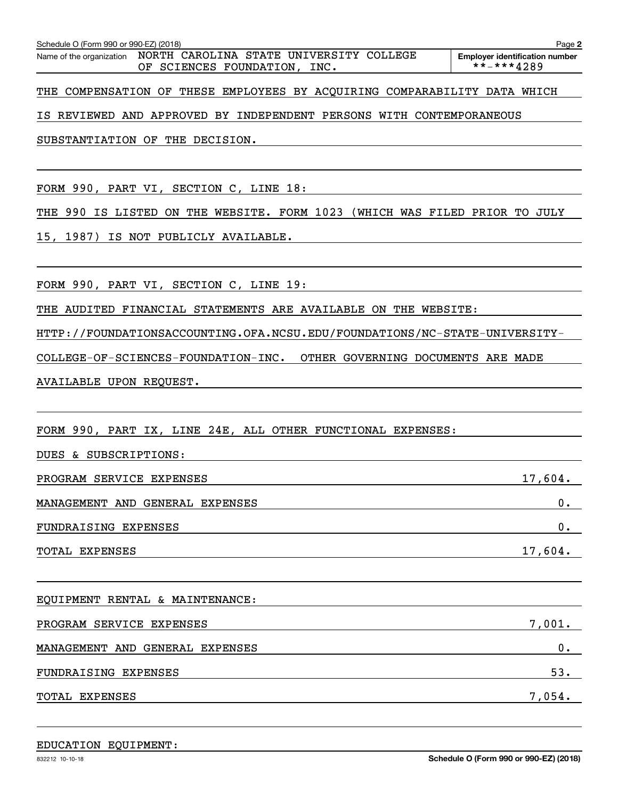Schedule O (Form 990 or 990-EZ) (2018)<br>Name of the organization NORTH \_CAROLINA \_STATE \_UNIVERSITY \_COLLEGE Employer identification\_number OF SCIENCES FOUNDATION, INC.  $****4289$ 

**2**

THE COMPENSATION OF THESE EMPLOYEES BY ACQUIRING COMPARABILITY DATA WHICH

IS REVIEWED AND APPROVED BY INDEPENDENT PERSONS WITH CONTEMPORANEOUS

SUBSTANTIATION OF THE DECISION.

FORM 990, PART VI, SECTION C, LINE 18:

THE 990 IS LISTED ON THE WEBSITE. FORM 1023 (WHICH WAS FILED PRIOR TO JULY

15, 1987) IS NOT PUBLICLY AVAILABLE.

FORM 990, PART VI, SECTION C, LINE 19:

THE AUDITED FINANCIAL STATEMENTS ARE AVAILABLE ON THE WEBSITE:

HTTP://FOUNDATIONSACCOUNTING.OFA.NCSU.EDU/FOUNDATIONS/NC-STATE-UNIVERSITY-

COLLEGE-OF-SCIENCES-FOUNDATION-INC. OTHER GOVERNING DOCUMENTS ARE MADE

AVAILABLE UPON REQUEST.

FORM 990, PART IX, LINE 24E, ALL OTHER FUNCTIONAL EXPENSES:

| DUES & SUBSCRIPTIONS:           |         |
|---------------------------------|---------|
| PROGRAM SERVICE EXPENSES        | 17,604. |
| MANAGEMENT AND GENERAL EXPENSES | 0.      |
| FUNDRAISING EXPENSES            | 0.      |
| TOTAL EXPENSES                  | 17,604. |
|                                 |         |

EQUIPMENT RENTAL & MAINTENANCE: PROGRAM SERVICE EXPENSES 7,001. MANAGEMENT AND GENERAL EXPENSES 0. FUNDRAISING EXPENSES 53. TOTAL EXPENSES 7,054.

### EDUCATION EQUIPMENT: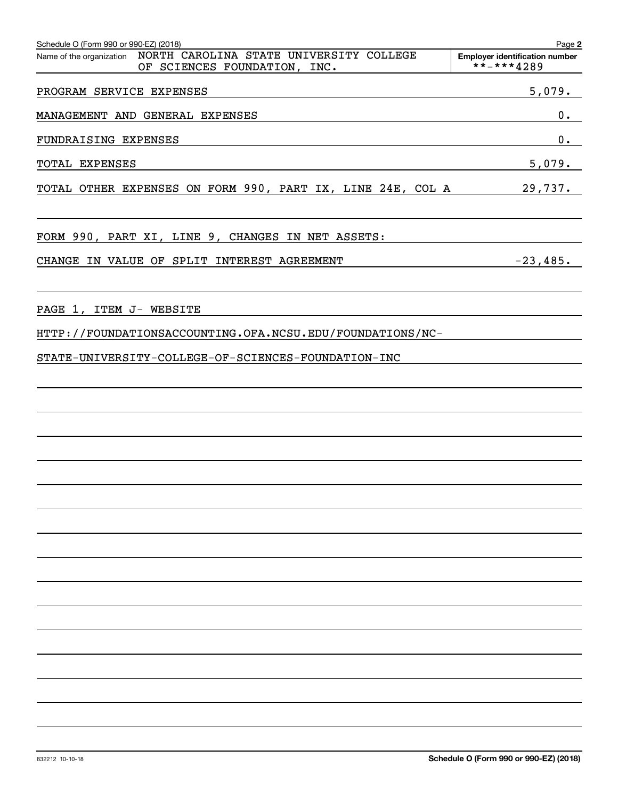| Schedule O (Form 990 or 990-EZ) (2018)<br>Name of the organization  NORTH  CAROLINA  STATE  UNIVERSITY  COLLEGE<br>OF SCIENCES FOUNDATION, INC.  | Page 2<br><b>Employer identification number</b><br>$***$ + * * 4289 |
|--------------------------------------------------------------------------------------------------------------------------------------------------|---------------------------------------------------------------------|
| PROGRAM SERVICE EXPENSES<br><u> 1989 - Johann John Stone, markin film yn y brenin y brenin y brenin y brenin y brenin y brenin y brenin y br</u> | 5,079.                                                              |
| MANAGEMENT AND GENERAL EXPENSES                                                                                                                  | $0 \cdot$                                                           |
| FUNDRAISING EXPENSES                                                                                                                             | 0.                                                                  |
| TOTAL EXPENSES                                                                                                                                   | 5,079.                                                              |
| TOTAL OTHER EXPENSES ON FORM 990, PART IX, LINE 24E, COL A 29,737.                                                                               |                                                                     |
|                                                                                                                                                  |                                                                     |
| FORM 990, PART XI, LINE 9, CHANGES IN NET ASSETS:                                                                                                |                                                                     |
| CHANGE IN VALUE OF SPLIT INTEREST AGREEMENT                                                                                                      | $-23,485.$                                                          |
|                                                                                                                                                  |                                                                     |
| PAGE 1, ITEM J- WEBSITE                                                                                                                          |                                                                     |
| HTTP://FOUNDATIONSACCOUNTING.OFA.NCSU.EDU/FOUNDATIONS/NC-                                                                                        |                                                                     |
| STATE-UNIVERSITY-COLLEGE-OF-SCIENCES-FOUNDATION-INC                                                                                              |                                                                     |
|                                                                                                                                                  |                                                                     |
|                                                                                                                                                  |                                                                     |
|                                                                                                                                                  |                                                                     |
|                                                                                                                                                  |                                                                     |
|                                                                                                                                                  |                                                                     |
|                                                                                                                                                  |                                                                     |
|                                                                                                                                                  |                                                                     |
|                                                                                                                                                  |                                                                     |
|                                                                                                                                                  |                                                                     |
|                                                                                                                                                  |                                                                     |
|                                                                                                                                                  |                                                                     |
|                                                                                                                                                  |                                                                     |
|                                                                                                                                                  |                                                                     |
|                                                                                                                                                  |                                                                     |
|                                                                                                                                                  |                                                                     |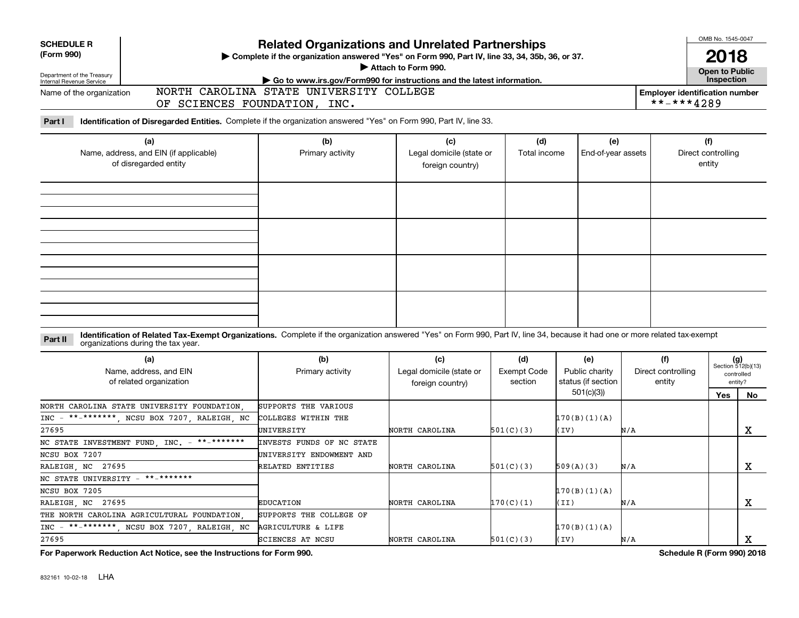| <b>SCHEDULE R</b><br>(Form 990)                                        |                                                                                                                                                                                                                    | <b>Related Organizations and Unrelated Partnerships</b><br>Complete if the organization answered "Yes" on Form 990, Part IV, line 33, 34, 35b, 36, or 37.<br>Attach to Form 990. |                                                                                                                   | OMB No. 1545-0047<br>2018            |                                             |     |                                     |                                     |                                                      |  |
|------------------------------------------------------------------------|--------------------------------------------------------------------------------------------------------------------------------------------------------------------------------------------------------------------|----------------------------------------------------------------------------------------------------------------------------------------------------------------------------------|-------------------------------------------------------------------------------------------------------------------|--------------------------------------|---------------------------------------------|-----|-------------------------------------|-------------------------------------|------------------------------------------------------|--|
| Department of the Treasury                                             |                                                                                                                                                                                                                    |                                                                                                                                                                                  |                                                                                                                   |                                      | <b>Open to Public</b><br>Inspection         |     |                                     |                                     |                                                      |  |
| Internal Revenue Service<br>Name of the organization                   | OF SCIENCES FOUNDATION, INC.                                                                                                                                                                                       |                                                                                                                                                                                  | Go to www.irs.gov/Form990 for instructions and the latest information.<br>NORTH CAROLINA STATE UNIVERSITY COLLEGE |                                      |                                             |     |                                     |                                     |                                                      |  |
| Part I                                                                 | Identification of Disregarded Entities. Complete if the organization answered "Yes" on Form 990, Part IV, line 33.                                                                                                 |                                                                                                                                                                                  |                                                                                                                   |                                      |                                             |     |                                     |                                     |                                                      |  |
| (a)<br>Name, address, and EIN (if applicable)<br>of disregarded entity |                                                                                                                                                                                                                    | (b)<br>(c)<br>Legal domicile (state or<br>Primary activity<br>foreign country)                                                                                                   |                                                                                                                   | (d)<br>Total income                  | (e)<br>End-of-year assets                   |     |                                     | (f)<br>Direct controlling<br>entity |                                                      |  |
|                                                                        |                                                                                                                                                                                                                    |                                                                                                                                                                                  |                                                                                                                   |                                      |                                             |     |                                     |                                     |                                                      |  |
| Part II                                                                | Identification of Related Tax-Exempt Organizations. Complete if the organization answered "Yes" on Form 990, Part IV, line 34, because it had one or more related tax-exempt<br>organizations during the tax year. |                                                                                                                                                                                  |                                                                                                                   |                                      |                                             |     |                                     |                                     |                                                      |  |
| (a)<br>Name, address, and EIN<br>of related organization               |                                                                                                                                                                                                                    | (b)<br>Primary activity                                                                                                                                                          | (c)<br>Legal domicile (state or<br>foreign country)                                                               | (d)<br><b>Exempt Code</b><br>section | (e)<br>Public charity<br>status (if section |     | (f)<br>Direct controlling<br>entity |                                     | $(g)$<br>Section 512(b)(13)<br>controlled<br>entity? |  |
|                                                                        |                                                                                                                                                                                                                    |                                                                                                                                                                                  |                                                                                                                   |                                      | 501(c)(3)                                   |     |                                     | Yes                                 | No                                                   |  |
| $***$ ********<br>$INC -$<br>27695                                     | NORTH CAROLINA STATE UNIVERSITY FOUNDATION<br>NCSU BOX 7207, RALEIGH, NC                                                                                                                                           | SUPPORTS THE VARIOUS<br>COLLEGES WITHIN THE<br>UNIVERSITY                                                                                                                        | NORTH CAROLINA                                                                                                    | 501(C)(3)                            | 170(B)(1)(A)<br>(IV)                        | N/A |                                     |                                     | X                                                    |  |
| NC STATE INVESTMENT FUND, INC. -                                       | $***$ ********                                                                                                                                                                                                     | INVESTS FUNDS OF NC STATE                                                                                                                                                        |                                                                                                                   |                                      |                                             |     |                                     |                                     |                                                      |  |
| NCSU BOX 7207                                                          |                                                                                                                                                                                                                    | UNIVERSITY ENDOWMENT AND                                                                                                                                                         |                                                                                                                   |                                      |                                             |     |                                     |                                     |                                                      |  |
| RALEIGH NC 27695                                                       |                                                                                                                                                                                                                    | RELATED ENTITIES                                                                                                                                                                 | NORTH CAROLINA                                                                                                    | 501(C)(3)                            | 509(A)(3)                                   | N/A |                                     |                                     | $\mathbf X$                                          |  |
| NC STATE UNIVERSITY -                                                  | $***$ ********                                                                                                                                                                                                     |                                                                                                                                                                                  |                                                                                                                   |                                      |                                             |     |                                     |                                     |                                                      |  |
| NCSU BOX 7205                                                          |                                                                                                                                                                                                                    |                                                                                                                                                                                  |                                                                                                                   |                                      | 170(B)(1)(A)                                |     |                                     |                                     |                                                      |  |
| RALEIGH NC 27695                                                       |                                                                                                                                                                                                                    | <b>EDUCATION</b>                                                                                                                                                                 | NORTH CAROLINA                                                                                                    | 170(C)(1)                            | II)                                         | N/A |                                     |                                     | X                                                    |  |
|                                                                        | THE NORTH CAROLINA AGRICULTURAL FOUNDATION                                                                                                                                                                         | SUPPORTS THE COLLEGE OF                                                                                                                                                          |                                                                                                                   |                                      |                                             |     |                                     |                                     |                                                      |  |
| **_*******<br>$INC -$                                                  | NCSU BOX 7207, RALEIGH, NC                                                                                                                                                                                         | AGRICULTURE & LIFE                                                                                                                                                               |                                                                                                                   |                                      | 170(B)(1)(A)                                |     |                                     |                                     |                                                      |  |
| 27695                                                                  |                                                                                                                                                                                                                    | SCIENCES AT NCSU                                                                                                                                                                 | NORTH CAROLINA                                                                                                    | 501(C)(3)                            | (IV)                                        | N/A |                                     |                                     | х                                                    |  |
|                                                                        |                                                                                                                                                                                                                    | $\sim$ $\sim$                                                                                                                                                                    |                                                                                                                   |                                      |                                             |     | .                                   |                                     |                                                      |  |

**For Paperwork Reduction Act Notice, see the Instructions for Form 990. Schedule R (Form 990) 2018**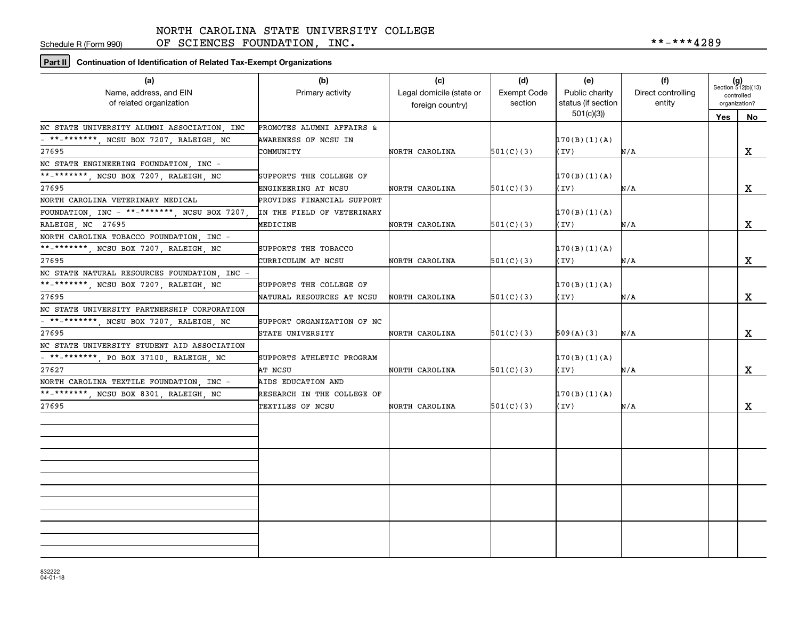Schedule R (Form 990)

OF SCIENCES FOUNDATION, INC.  $***-***4289$ 

**Part II Continuation of Identification of Related Tax-Exempt Organizations**

| (a)                                                               | (b)                        | (c)                      | (d)         | (e)                             | (f)                | $(g)$<br>Section 512(b)(13)<br>controlled<br>organization? |             |
|-------------------------------------------------------------------|----------------------------|--------------------------|-------------|---------------------------------|--------------------|------------------------------------------------------------|-------------|
| Name, address, and EIN                                            | Primary activity           | Legal domicile (state or | Exempt Code | Public charity                  | Direct controlling |                                                            |             |
| of related organization                                           |                            | foreign country)         | section     | status (if section<br>501(c)(3) | entity             |                                                            |             |
| NC STATE UNIVERSITY ALUMNI ASSOCIATION, INC                       | PROMOTES ALUMNI AFFAIRS &  |                          |             |                                 |                    | Yes                                                        | No          |
| - **-*******, NCSU BOX 7207, RALEIGH, NC                          | AWARENESS OF NCSU IN       |                          |             | 170(B)(1)(A)                    |                    |                                                            |             |
| 27695                                                             | COMMUNITY                  | NORTH CAROLINA           | 501(C)(3)   |                                 |                    |                                                            |             |
|                                                                   |                            |                          |             | (IV)                            | N/A                |                                                            | X           |
| NC STATE ENGINEERING FOUNDATION. INC -                            |                            |                          |             |                                 |                    |                                                            |             |
| **_*******, NCSU BOX 7207, RALEIGH, NC                            | SUPPORTS THE COLLEGE OF    |                          |             | 170(B)(1)(A)                    |                    |                                                            |             |
| 27695                                                             | ENGINEERING AT NCSU        | NORTH CAROLINA           | 501(C)(3)   | (IV)                            | N/A                |                                                            | X           |
| NORTH CAROLINA VETERINARY MEDICAL                                 | PROVIDES FINANCIAL SUPPORT |                          |             |                                 |                    |                                                            |             |
| FOUNDATION, INC - **-*******, NCSU BOX 7207,                      | IN THE FIELD OF VETERINARY |                          |             | 170(B)(1)(A)                    |                    |                                                            |             |
| RALEIGH, NC 27695                                                 | MEDICINE                   | NORTH CAROLINA           | 501(C)(3)   | (IV)                            | N/A                |                                                            | X           |
| NORTH CAROLINA TOBACCO FOUNDATION, INC -                          |                            |                          |             |                                 |                    |                                                            |             |
| **-*******, NCSU BOX 7207, RALEIGH, NC                            | SUPPORTS THE TOBACCO       |                          |             | 170(B)(1)(A)                    |                    |                                                            |             |
| 27695                                                             | CURRICULUM AT NCSU         | NORTH CAROLINA           | 501(C)(3)   | (TV)                            | N/A                |                                                            | $\mathbf x$ |
| NC STATE NATURAL RESOURCES FOUNDATION INC -                       |                            |                          |             |                                 |                    |                                                            |             |
| **-*******, NCSU BOX 7207, RALEIGH, NC                            | SUPPORTS THE COLLEGE OF    |                          |             | 170(B)(1)(A)                    |                    |                                                            |             |
| 27695                                                             | NATURAL RESOURCES AT NCSU  | NORTH CAROLINA           | 501(C)(3)   | (IV)                            | N/A                |                                                            | X           |
| NC STATE UNIVERSITY PARTNERSHIP CORPORATION                       |                            |                          |             |                                 |                    |                                                            |             |
| $\overline{\phantom{0}}$ = **-*******, NCSU BOX 7207, RALEIGH, NC | SUPPORT ORGANIZATION OF NC |                          |             |                                 |                    |                                                            |             |
| 27695                                                             | STATE UNIVERSITY           | NORTH CAROLINA           | 501(C)(3)   | 509(A)(3)                       | N/A                |                                                            | X           |
| NC STATE UNIVERSITY STUDENT AID ASSOCIATION                       |                            |                          |             |                                 |                    |                                                            |             |
| - **-*******, PO BOX 37100, RALEIGH, NC                           | SUPPORTS ATHLETIC PROGRAM  |                          |             | 170(B)(1)(A)                    |                    |                                                            |             |
| 27627                                                             | AT NCSU                    | NORTH CAROLINA           | 501(C)(3)   | (TV)                            | N/A                |                                                            | X           |
| NORTH CAROLINA TEXTILE FOUNDATION INC -                           | AIDS EDUCATION AND         |                          |             |                                 |                    |                                                            |             |
| **-*******, NCSU BOX 8301, RALEIGH, NC                            | RESEARCH IN THE COLLEGE OF |                          |             | 170(B)(1)(A)                    |                    |                                                            |             |
| 27695                                                             | TEXTILES OF NCSU           | NORTH CAROLINA           | 501(C)(3)   | (IV)                            | N/A                |                                                            | X           |
|                                                                   |                            |                          |             |                                 |                    |                                                            |             |
|                                                                   |                            |                          |             |                                 |                    |                                                            |             |
|                                                                   |                            |                          |             |                                 |                    |                                                            |             |
|                                                                   |                            |                          |             |                                 |                    |                                                            |             |
|                                                                   |                            |                          |             |                                 |                    |                                                            |             |
|                                                                   |                            |                          |             |                                 |                    |                                                            |             |
|                                                                   |                            |                          |             |                                 |                    |                                                            |             |
|                                                                   |                            |                          |             |                                 |                    |                                                            |             |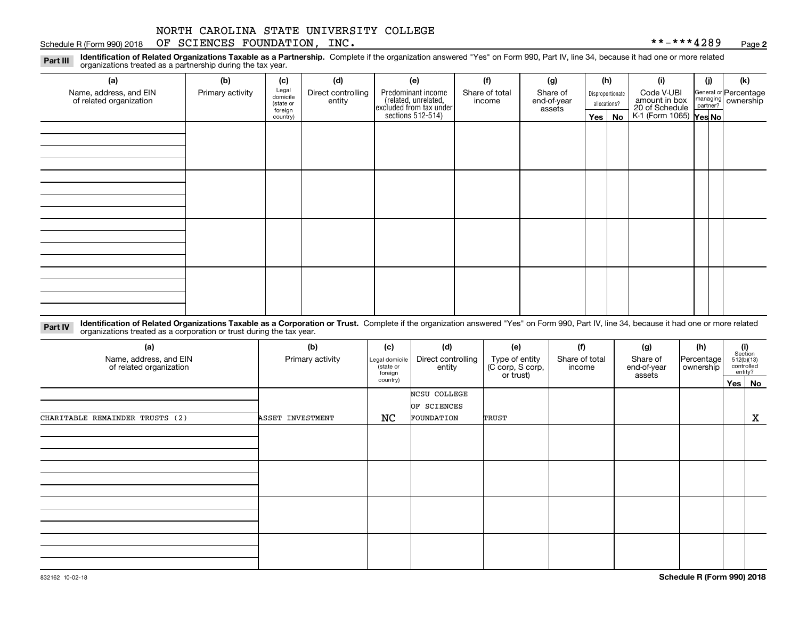### Schedule R (Form 990) 2018 Page OF SCIENCES FOUNDATION, INC. \*\*-\*\*\*4289

**2**

**Identification of Related Organizations Taxable as a Partnership.** Complete if the organization answered "Yes" on Form 990, Part IV, line 34, because it had one or more related **Part III** organizations treated as a partnership during the tax year.

| (a)                                               | (b)              | (c)                  | (d)                | (e)                                                                                       | (f)                      | (g)                   |                                  | (h) | (i)                                      | (i) | (k)                   |
|---------------------------------------------------|------------------|----------------------|--------------------|-------------------------------------------------------------------------------------------|--------------------------|-----------------------|----------------------------------|-----|------------------------------------------|-----|-----------------------|
| Name, address, and EIN<br>of related organization | Primary activity | Legal<br>domicile    | Direct controlling | Predominant income<br>related, unrelated,<br>excluded from tax under<br>sections 512-514) | Share of total<br>income | Share of              | Disproportionate<br>allocations? |     | Code V-UBI<br>amount in box              |     | General or Percentage |
|                                                   |                  | (state or<br>foreign | entity             |                                                                                           |                          | end-of-year<br>assets |                                  |     |                                          |     | managing ownership    |
|                                                   |                  | country)             |                    |                                                                                           |                          |                       | Yes $ $                          | No  | 20 of Schedule<br>K-1 (Form 1065) Yes No |     |                       |
|                                                   |                  |                      |                    |                                                                                           |                          |                       |                                  |     |                                          |     |                       |
|                                                   |                  |                      |                    |                                                                                           |                          |                       |                                  |     |                                          |     |                       |
|                                                   |                  |                      |                    |                                                                                           |                          |                       |                                  |     |                                          |     |                       |
|                                                   |                  |                      |                    |                                                                                           |                          |                       |                                  |     |                                          |     |                       |
|                                                   |                  |                      |                    |                                                                                           |                          |                       |                                  |     |                                          |     |                       |
|                                                   |                  |                      |                    |                                                                                           |                          |                       |                                  |     |                                          |     |                       |
|                                                   |                  |                      |                    |                                                                                           |                          |                       |                                  |     |                                          |     |                       |
|                                                   |                  |                      |                    |                                                                                           |                          |                       |                                  |     |                                          |     |                       |
|                                                   |                  |                      |                    |                                                                                           |                          |                       |                                  |     |                                          |     |                       |
|                                                   |                  |                      |                    |                                                                                           |                          |                       |                                  |     |                                          |     |                       |
|                                                   |                  |                      |                    |                                                                                           |                          |                       |                                  |     |                                          |     |                       |
|                                                   |                  |                      |                    |                                                                                           |                          |                       |                                  |     |                                          |     |                       |
|                                                   |                  |                      |                    |                                                                                           |                          |                       |                                  |     |                                          |     |                       |
|                                                   |                  |                      |                    |                                                                                           |                          |                       |                                  |     |                                          |     |                       |
|                                                   |                  |                      |                    |                                                                                           |                          |                       |                                  |     |                                          |     |                       |
|                                                   |                  |                      |                    |                                                                                           |                          |                       |                                  |     |                                          |     |                       |
|                                                   |                  |                      |                    |                                                                                           |                          |                       |                                  |     |                                          |     |                       |

**Identification of Related Organizations Taxable as a Corporation or Trust.** Complete if the organization answered "Yes" on Form 990, Part IV, line 34, because it had one or more related **Part IV** organizations treated as a corporation or trust during the tax year.

| (a)<br>Name, address, and EIN<br>of related organization | (b)<br>Primary activity | (c)<br>Legal domicile<br>(state or<br>foreign | (d)<br>Direct controlling<br>entity | (e)<br>Type of entity<br>(C corp, S corp,<br>or trust) | (f)<br>Share of total<br>income | (g)<br>Share of<br>end-of-year<br>assets | (h)<br>Percentage<br>ownership | $\begin{array}{c} \textbf{(i)}\\ \text{Section}\\ 512 \text{(b)} \text{(13)}\\ \text{controlled}\end{array}$<br>entity? |
|----------------------------------------------------------|-------------------------|-----------------------------------------------|-------------------------------------|--------------------------------------------------------|---------------------------------|------------------------------------------|--------------------------------|-------------------------------------------------------------------------------------------------------------------------|
|                                                          |                         | country)                                      |                                     |                                                        |                                 |                                          |                                | Yes No                                                                                                                  |
|                                                          |                         |                                               | NCSU COLLEGE<br>OF SCIENCES         |                                                        |                                 |                                          |                                |                                                                                                                         |
| CHARITABLE REMAINDER TRUSTS (2)                          | ASSET INVESTMENT        | NC                                            | FOUNDATION                          | TRUST                                                  |                                 |                                          |                                | X                                                                                                                       |
|                                                          |                         |                                               |                                     |                                                        |                                 |                                          |                                |                                                                                                                         |
|                                                          |                         |                                               |                                     |                                                        |                                 |                                          |                                |                                                                                                                         |
|                                                          |                         |                                               |                                     |                                                        |                                 |                                          |                                |                                                                                                                         |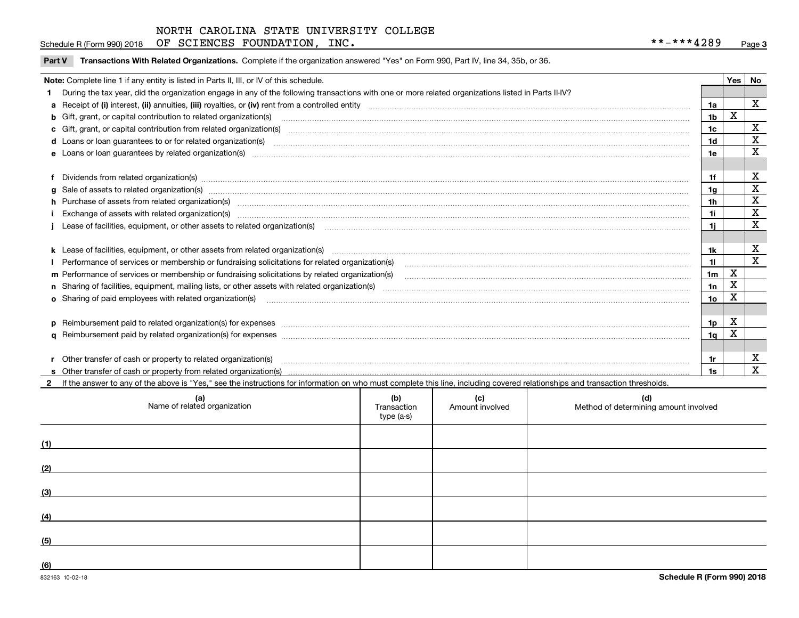Schedule R (Form 990) 2018 Page OF SCIENCES FOUNDATION, INC. \*\*-\*\*\*4289

| Part V Transactions With Related Organizations. Complete if the organization answered "Yes" on Form 990, Part IV, line 34, 35b, or 36 |  |  |
|---------------------------------------------------------------------------------------------------------------------------------------|--|--|
|                                                                                                                                       |  |  |

|  | Note: Complete line 1 if any entity is listed in Parts II, III, or IV of this schedule.                                                                                                                                        |                | Yes I | No           |  |  |
|--|--------------------------------------------------------------------------------------------------------------------------------------------------------------------------------------------------------------------------------|----------------|-------|--------------|--|--|
|  | During the tax year, did the organization engage in any of the following transactions with one or more related organizations listed in Parts II-IV?                                                                            |                |       |              |  |  |
|  | a Receipt of (i) interest, (ii) annuities, (iii) royalties, or (iv) rent from a controlled entity [1] controlled enting [1] controlled enting [1] controlled enting [1] controlled enting [1] contention controlled enting [1] | 1a             |       | $\mathbf{x}$ |  |  |
|  | b Gift, grant, or capital contribution to related organization(s) manufaction contains and contribution to related organization(s) manufaction contribution for related organization(s) manufaction contains and contribution  | 1b             | X     |              |  |  |
|  | c Gift, grant, or capital contribution from related organization(s) manufaction contains and contribution from related organization(s) manufaction contribution from related organization(s) manufaction contains and contribu | 1c             |       | $\mathbf X$  |  |  |
|  | d Loans or loan guarantees to or for related organization(s) material content to consume the content of the state of the content of the content of the state or for related organization(s) materials are consumed and content | 1 <sub>d</sub> |       | X            |  |  |
|  |                                                                                                                                                                                                                                | 1e             |       | X            |  |  |
|  |                                                                                                                                                                                                                                |                |       |              |  |  |
|  | f Dividends from related organization(s) manufactured contains and contained and contained contained and contained and contained and contained and contained and contained and contained and contained and contained and conta | 1f             |       | X            |  |  |
|  | g Sale of assets to related organization(s) www.assettion.com/www.assettion.com/www.assettion.com/www.assettion.com/www.assettion.com/www.assettion.com/www.assettion.com/www.assettion.com/www.assettion.com/www.assettion.co | 1a             |       | X            |  |  |
|  | h Purchase of assets from related organization(s) manufactured and content to content and content and content and content and content and content and content and content and content and content and content and content and  | 1 <sub>h</sub> |       | X            |  |  |
|  |                                                                                                                                                                                                                                | 1i             |       | $\mathbf X$  |  |  |
|  | Lease of facilities, equipment, or other assets to related organization(s) manufactured content and content and content and content and content and content and content and content and content and content and content and co | 1i             |       | X            |  |  |
|  |                                                                                                                                                                                                                                |                |       |              |  |  |
|  |                                                                                                                                                                                                                                | 1k             |       | X            |  |  |
|  | Performance of services or membership or fundraising solicitations for related organization(s) manufaction manufaction and the service of services or membership or fundraising solicitations for related organization(s) manu | 11             |       | X            |  |  |
|  | m Performance of services or membership or fundraising solicitations by related organization(s)                                                                                                                                | 1 <sub>m</sub> | X     |              |  |  |
|  |                                                                                                                                                                                                                                | 1n             | х     |              |  |  |
|  | <b>o</b> Sharing of paid employees with related organization(s)                                                                                                                                                                | 1o             | Χ     |              |  |  |
|  |                                                                                                                                                                                                                                |                |       |              |  |  |
|  |                                                                                                                                                                                                                                | 1p             | X     |              |  |  |
|  |                                                                                                                                                                                                                                | 1 <sub>q</sub> | X     |              |  |  |
|  |                                                                                                                                                                                                                                |                |       |              |  |  |
|  | r Other transfer of cash or property to related organization(s)                                                                                                                                                                | 1r             |       | х            |  |  |
|  |                                                                                                                                                                                                                                | 1s             |       | X            |  |  |
|  | 2 If the answer to any of the above is "Yes," see the instructions for information on who must complete this line, including covered relationships and transaction thresholds.                                                 |                |       |              |  |  |

| (a)<br>Name of related organization | (b)<br>Transaction<br>type (a-s) | (c)<br>Amount involved | (d)<br>Method of determining amount involved |
|-------------------------------------|----------------------------------|------------------------|----------------------------------------------|
| (1)                                 |                                  |                        |                                              |
| (2)                                 |                                  |                        |                                              |
| (3)                                 |                                  |                        |                                              |
| (4)                                 |                                  |                        |                                              |
| (5)                                 |                                  |                        |                                              |
| (6)                                 |                                  |                        |                                              |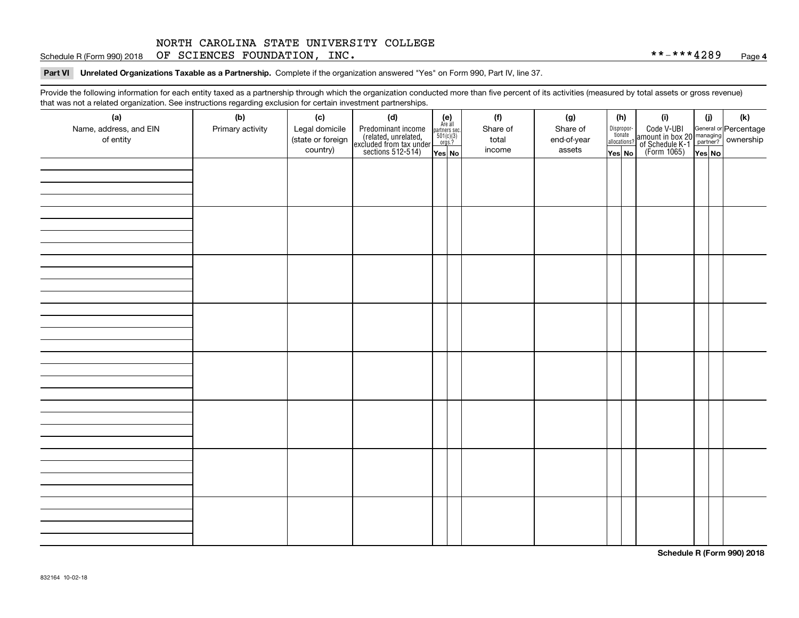Schedule R (Form 990) 2018 Page OF SCIENCES FOUNDATION, INC. \*\*-\*\*\*4289

**Part VI Unrelated Organizations Taxable as a Partnership.**  Complete if the organization answered "Yes" on Form 990, Part IV, line 37.

Provide the following information for each entity taxed as a partnership through which the organization conducted more than five percent of its activities (measured by total assets or gross revenue) that was not a related organization. See instructions regarding exclusion for certain investment partnerships.

| - - - - -<br>(a)                    | − ອ−<br>. <del>.</del><br>(b) | (c)                                 | (d)                                                                                        |                                                                                                                  |  | (f)               | (g)                     |              | (h)                   | (i)                                                                                          | (i)    | (k) |
|-------------------------------------|-------------------------------|-------------------------------------|--------------------------------------------------------------------------------------------|------------------------------------------------------------------------------------------------------------------|--|-------------------|-------------------------|--------------|-----------------------|----------------------------------------------------------------------------------------------|--------|-----|
| Name, address, and EIN<br>of entity | Primary activity              | Legal domicile<br>(state or foreign | Predominant income<br>(related, unrelated,<br>excluded from tax under<br>sections 512-514) | $\begin{array}{c} \textbf{(e)}\\ \text{Are all} \\ \text{partners sec.}\\ 501(c)(3)\\ \text{orgs.?} \end{array}$ |  | Share of<br>total | Share of<br>end-of-year | allocations? | Dispropor-<br>tionate | Code V-UBI<br>amount in box 20 managing<br>of Schedule K-1 partner?<br>(Form 1065)<br>ves No |        |     |
|                                     |                               | country)                            |                                                                                            | Yes No                                                                                                           |  | income            | assets                  | Yes No       |                       |                                                                                              | Yes No |     |
|                                     |                               |                                     |                                                                                            |                                                                                                                  |  |                   |                         |              |                       |                                                                                              |        |     |
|                                     |                               |                                     |                                                                                            |                                                                                                                  |  |                   |                         |              |                       |                                                                                              |        |     |
|                                     |                               |                                     |                                                                                            |                                                                                                                  |  |                   |                         |              |                       |                                                                                              |        |     |
|                                     |                               |                                     |                                                                                            |                                                                                                                  |  |                   |                         |              |                       |                                                                                              |        |     |
|                                     |                               |                                     |                                                                                            |                                                                                                                  |  |                   |                         |              |                       |                                                                                              |        |     |
|                                     |                               |                                     |                                                                                            |                                                                                                                  |  |                   |                         |              |                       |                                                                                              |        |     |
|                                     |                               |                                     |                                                                                            |                                                                                                                  |  |                   |                         |              |                       |                                                                                              |        |     |
|                                     |                               |                                     |                                                                                            |                                                                                                                  |  |                   |                         |              |                       |                                                                                              |        |     |
|                                     |                               |                                     |                                                                                            |                                                                                                                  |  |                   |                         |              |                       |                                                                                              |        |     |
|                                     |                               |                                     |                                                                                            |                                                                                                                  |  |                   |                         |              |                       |                                                                                              |        |     |
|                                     |                               |                                     |                                                                                            |                                                                                                                  |  |                   |                         |              |                       |                                                                                              |        |     |
|                                     |                               |                                     |                                                                                            |                                                                                                                  |  |                   |                         |              |                       |                                                                                              |        |     |
|                                     |                               |                                     |                                                                                            |                                                                                                                  |  |                   |                         |              |                       |                                                                                              |        |     |
|                                     |                               |                                     |                                                                                            |                                                                                                                  |  |                   |                         |              |                       |                                                                                              |        |     |
|                                     |                               |                                     |                                                                                            |                                                                                                                  |  |                   |                         |              |                       |                                                                                              |        |     |
|                                     |                               |                                     |                                                                                            |                                                                                                                  |  |                   |                         |              |                       |                                                                                              |        |     |
|                                     |                               |                                     |                                                                                            |                                                                                                                  |  |                   |                         |              |                       |                                                                                              |        |     |
|                                     |                               |                                     |                                                                                            |                                                                                                                  |  |                   |                         |              |                       |                                                                                              |        |     |
|                                     |                               |                                     |                                                                                            |                                                                                                                  |  |                   |                         |              |                       |                                                                                              |        |     |
|                                     |                               |                                     |                                                                                            |                                                                                                                  |  |                   |                         |              |                       |                                                                                              |        |     |
|                                     |                               |                                     |                                                                                            |                                                                                                                  |  |                   |                         |              |                       |                                                                                              |        |     |
|                                     |                               |                                     |                                                                                            |                                                                                                                  |  |                   |                         |              |                       |                                                                                              |        |     |
|                                     |                               |                                     |                                                                                            |                                                                                                                  |  |                   |                         |              |                       |                                                                                              |        |     |
|                                     |                               |                                     |                                                                                            |                                                                                                                  |  |                   |                         |              |                       |                                                                                              |        |     |
|                                     |                               |                                     |                                                                                            |                                                                                                                  |  |                   |                         |              |                       |                                                                                              |        |     |
|                                     |                               |                                     |                                                                                            |                                                                                                                  |  |                   |                         |              |                       |                                                                                              |        |     |
|                                     |                               |                                     |                                                                                            |                                                                                                                  |  |                   |                         |              |                       |                                                                                              |        |     |
|                                     |                               |                                     |                                                                                            |                                                                                                                  |  |                   |                         |              |                       |                                                                                              |        |     |
|                                     |                               |                                     |                                                                                            |                                                                                                                  |  |                   |                         |              |                       |                                                                                              |        |     |
|                                     |                               |                                     |                                                                                            |                                                                                                                  |  |                   |                         |              |                       |                                                                                              |        |     |
|                                     |                               |                                     |                                                                                            |                                                                                                                  |  |                   |                         |              |                       |                                                                                              |        |     |
|                                     |                               |                                     |                                                                                            |                                                                                                                  |  |                   |                         |              |                       |                                                                                              |        |     |

**Schedule R (Form 990) 2018**